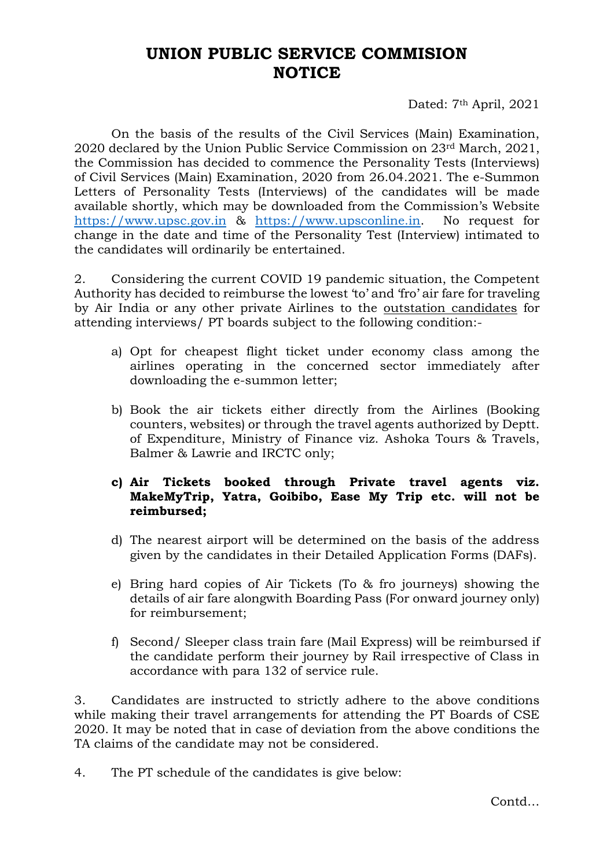## **UNION PUBLIC SERVICE COMMISION NOTICE**

Dated: 7<sup>th</sup> April, 2021

On the basis of the results of the Civil Services (Main) Examination, 2020 declared by the Union Public Service Commission on 23rd March, 2021, the Commission has decided to commence the Personality Tests (Interviews) of Civil Services (Main) Examination, 2020 from 26.04.2021. The e-Summon Letters of Personality Tests (Interviews) of the candidates will be made available shortly, which may be downloaded from the Commission's Website [https://www.upsc.gov.in](https://www.upsc.gov.in/) & [https://www.upsconline.in.](https://www.upsconline.in/) No request for change in the date and time of the Personality Test (Interview) intimated to the candidates will ordinarily be entertained.

2. Considering the current COVID 19 pandemic situation, the Competent Authority has decided to reimburse the lowest 'to' and 'fro' air fare for traveling by Air India or any other private Airlines to the outstation candidates for attending interviews/ PT boards subject to the following condition:-

- a) Opt for cheapest flight ticket under economy class among the airlines operating in the concerned sector immediately after downloading the e-summon letter;
- b) Book the air tickets either directly from the Airlines (Booking counters, websites) or through the travel agents authorized by Deptt. of Expenditure, Ministry of Finance viz. Ashoka Tours & Travels, Balmer & Lawrie and IRCTC only;
- **c) Air Tickets booked through Private travel agents viz. MakeMyTrip, Yatra, Goibibo, Ease My Trip etc. will not be reimbursed;**
- d) The nearest airport will be determined on the basis of the address given by the candidates in their Detailed Application Forms (DAFs).
- e) Bring hard copies of Air Tickets (To & fro journeys) showing the details of air fare alongwith Boarding Pass (For onward journey only) for reimbursement;
- f) Second/ Sleeper class train fare (Mail Express) will be reimbursed if the candidate perform their journey by Rail irrespective of Class in accordance with para 132 of service rule.

3. Candidates are instructed to strictly adhere to the above conditions while making their travel arrangements for attending the PT Boards of CSE 2020. It may be noted that in case of deviation from the above conditions the TA claims of the candidate may not be considered.

4. The PT schedule of the candidates is give below: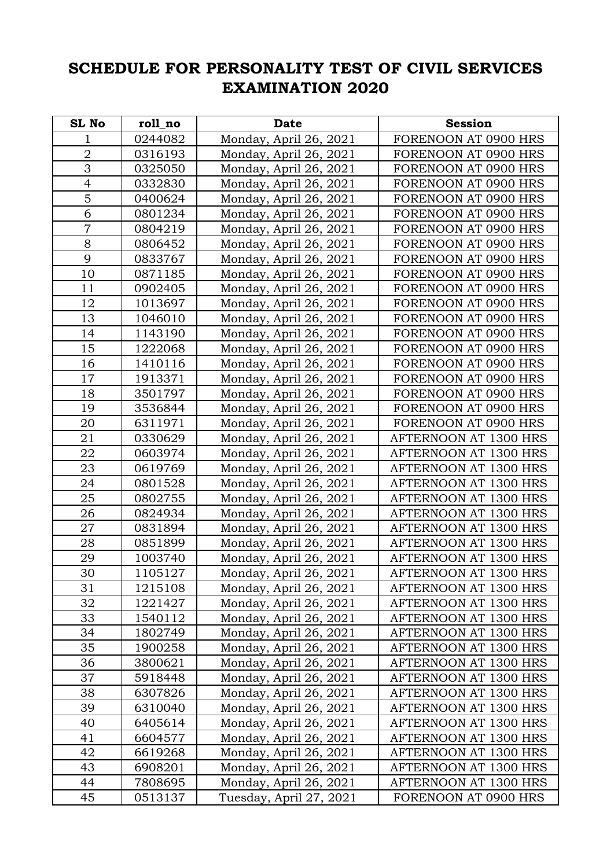## **SCHEDULE FOR PERSONALITY TEST OF CIVIL SERVICES EXAMINATION 2020**

| <b>SL No</b>   | roll no | <b>Date</b>             | <b>Session</b>               |
|----------------|---------|-------------------------|------------------------------|
| 1              | 0244082 | Monday, April 26, 2021  | FORENOON AT 0900 HRS         |
| $\overline{2}$ | 0316193 | Monday, April 26, 2021  | FORENOON AT 0900 HRS         |
| 3              | 0325050 | Monday, April 26, 2021  | FORENOON AT 0900 HRS         |
| $\overline{4}$ | 0332830 | Monday, April 26, 2021  | FORENOON AT 0900 HRS         |
| 5              | 0400624 | Monday, April 26, 2021  | FORENOON AT 0900 HRS         |
| 6              | 0801234 | Monday, April 26, 2021  | FORENOON AT 0900 HRS         |
| $\overline{7}$ | 0804219 | Monday, April 26, 2021  | FORENOON AT 0900 HRS         |
| 8              | 0806452 | Monday, April 26, 2021  | FORENOON AT 0900 HRS         |
| 9              | 0833767 | Monday, April 26, 2021  | FORENOON AT 0900 HRS         |
| 10             | 0871185 | Monday, April 26, 2021  | FORENOON AT 0900 HRS         |
| 11             | 0902405 | Monday, April 26, 2021  | FORENOON AT 0900 HRS         |
| 12             | 1013697 | Monday, April 26, 2021  | FORENOON AT 0900 HRS         |
| 13             | 1046010 | Monday, April 26, 2021  | FORENOON AT 0900 HRS         |
| 14             | 1143190 | Monday, April 26, 2021  | FORENOON AT 0900 HRS         |
| 15             | 1222068 | Monday, April 26, 2021  | FORENOON AT 0900 HRS         |
| 16             | 1410116 | Monday, April 26, 2021  | FORENOON AT 0900 HRS         |
| 17             | 1913371 | Monday, April 26, 2021  | FORENOON AT 0900 HRS         |
| 18             | 3501797 | Monday, April 26, 2021  | FORENOON AT 0900 HRS         |
| 19             | 3536844 | Monday, April 26, 2021  | FORENOON AT 0900 HRS         |
| 20             | 6311971 | Monday, April 26, 2021  | FORENOON AT 0900 HRS         |
| 21             | 0330629 | Monday, April 26, 2021  | AFTERNOON AT 1300 HRS        |
| 22             | 0603974 | Monday, April 26, 2021  | AFTERNOON AT 1300 HRS        |
| 23             | 0619769 | Monday, April 26, 2021  | AFTERNOON AT 1300 HRS        |
| 24             | 0801528 | Monday, April 26, 2021  | AFTERNOON AT 1300 HRS        |
| 25             | 0802755 | Monday, April 26, 2021  | AFTERNOON AT 1300 HRS        |
| 26             | 0824934 | Monday, April 26, 2021  | AFTERNOON AT 1300 HRS        |
| 27             | 0831894 | Monday, April 26, 2021  | AFTERNOON AT 1300 HRS        |
| 28             | 0851899 | Monday, April 26, 2021  | AFTERNOON AT 1300 HRS        |
| 29             | 1003740 | Monday, April 26, 2021  | AFTERNOON AT 1300 HRS        |
| 30             | 1105127 | Monday, April 26, 2021  | AFTERNOON AT 1300 HRS        |
| 31             | 1215108 | Monday, April 26, 2021  | AFTERNOON AT 1300 HRS        |
| 32             | 1221427 | Monday, April 26, 2021  | AFTERNOON AT 1300 HRS        |
| 33             | 1540112 | Monday, April 26, 2021  | <b>AFTERNOON AT 1300 HRS</b> |
| 34             | 1802749 | Monday, April 26, 2021  | <b>AFTERNOON AT 1300 HRS</b> |
| 35             | 1900258 | Monday, April 26, 2021  | AFTERNOON AT 1300 HRS        |
| 36             | 3800621 | Monday, April 26, 2021  | AFTERNOON AT 1300 HRS        |
| 37             | 5918448 | Monday, April 26, 2021  | AFTERNOON AT 1300 HRS        |
| 38             | 6307826 | Monday, April 26, 2021  | AFTERNOON AT 1300 HRS        |
| 39             | 6310040 | Monday, April 26, 2021  | AFTERNOON AT 1300 HRS        |
| 40             | 6405614 | Monday, April 26, 2021  | AFTERNOON AT 1300 HRS        |
| 41             | 6604577 | Monday, April 26, 2021  | AFTERNOON AT 1300 HRS        |
| 42             | 6619268 | Monday, April 26, 2021  | AFTERNOON AT 1300 HRS        |
| 43             | 6908201 | Monday, April 26, 2021  | AFTERNOON AT 1300 HRS        |
| 44             | 7808695 | Monday, April 26, 2021  | AFTERNOON AT 1300 HRS        |
| 45             | 0513137 | Tuesday, April 27, 2021 | FORENOON AT 0900 HRS         |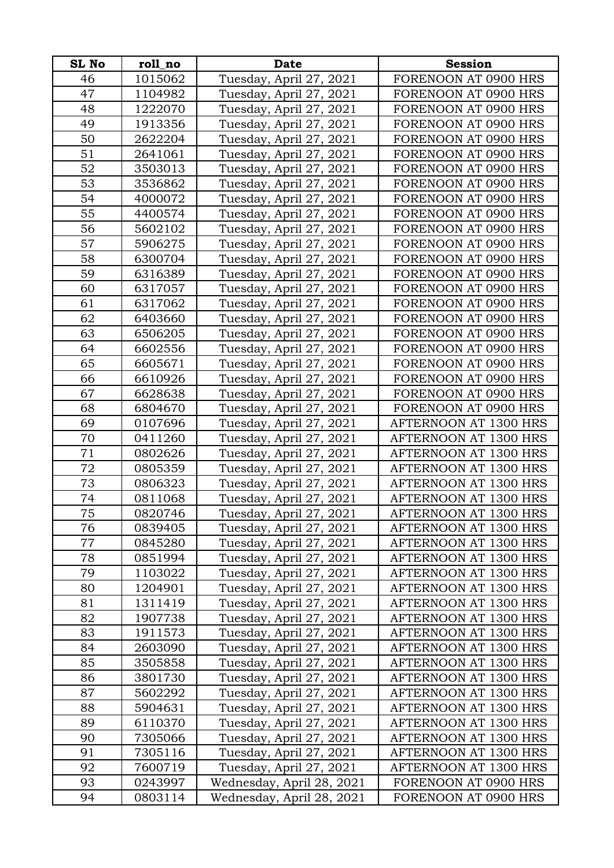| <b>SL No</b> | roll_no            | <b>Date</b>                                        | <b>Session</b>                                 |
|--------------|--------------------|----------------------------------------------------|------------------------------------------------|
| 46           | 1015062            | Tuesday, April 27, 2021                            | FORENOON AT 0900 HRS                           |
| 47           | 1104982            | Tuesday, April 27, 2021                            | FORENOON AT 0900 HRS                           |
| 48           | 1222070            | Tuesday, April 27, 2021                            | FORENOON AT 0900 HRS                           |
| 49           | 1913356            | Tuesday, April 27, 2021                            | FORENOON AT 0900 HRS                           |
| 50           | 2622204            | Tuesday, April 27, 2021                            | FORENOON AT 0900 HRS                           |
| 51           | 2641061            | Tuesday, April 27, 2021                            | FORENOON AT 0900 HRS                           |
| 52           | 3503013            | Tuesday, April 27, 2021                            | FORENOON AT 0900 HRS                           |
| 53           | 3536862            | Tuesday, April 27, 2021                            | FORENOON AT 0900 HRS                           |
| 54           | 4000072            | Tuesday, April 27, 2021                            | FORENOON AT 0900 HRS                           |
| 55           | 4400574            | Tuesday, April 27, 2021                            | FORENOON AT 0900 HRS                           |
| 56           | 5602102            | Tuesday, April 27, 2021                            | FORENOON AT 0900 HRS                           |
| 57           | 5906275            | Tuesday, April 27, 2021                            | FORENOON AT 0900 HRS                           |
| 58           | 6300704            | Tuesday, April 27, 2021                            | FORENOON AT 0900 HRS                           |
| 59           | 6316389            | Tuesday, April 27, 2021                            | FORENOON AT 0900 HRS                           |
| 60           | 6317057            | Tuesday, April 27, 2021                            | FORENOON AT 0900 HRS                           |
| 61           | 6317062            | Tuesday, April 27, 2021                            | FORENOON AT 0900 HRS                           |
| 62           | 6403660            | Tuesday, April 27, 2021                            | FORENOON AT 0900 HRS                           |
| 63           | 6506205            | Tuesday, April 27, 2021                            | FORENOON AT 0900 HRS                           |
| 64           | 6602556            | Tuesday, April 27, 2021                            | FORENOON AT 0900 HRS                           |
| 65           | 6605671            | Tuesday, April 27, 2021                            | FORENOON AT 0900 HRS                           |
| 66           | 6610926            | Tuesday, April 27, 2021                            | FORENOON AT 0900 HRS                           |
| 67           | 6628638            | Tuesday, April 27, 2021                            | FORENOON AT 0900 HRS                           |
| 68           | 6804670            | Tuesday, April 27, 2021                            | FORENOON AT 0900 HRS                           |
| 69           | 0107696            | Tuesday, April 27, 2021                            | AFTERNOON AT 1300 HRS                          |
| 70           | 0411260            | Tuesday, April 27, 2021                            | AFTERNOON AT 1300 HRS                          |
| 71           | 0802626            | Tuesday, April 27, 2021                            | AFTERNOON AT 1300 HRS                          |
| 72           | 0805359            | Tuesday, April 27, 2021                            | AFTERNOON AT 1300 HRS                          |
| 73           | 0806323            | Tuesday, April 27, 2021                            | AFTERNOON AT 1300 HRS                          |
| 74           | 0811068            | Tuesday, April 27, 2021                            | AFTERNOON AT 1300 HRS                          |
| 75           | 0820746            | Tuesday, April 27, 2021                            | AFTERNOON AT 1300 HRS                          |
| 76           | 0839405            | Tuesday, April 27, 2021                            | AFTERNOON AT 1300 HRS                          |
| 77           | 0845280            | Tuesday, April 27, 2021                            | AFTERNOON AT 1300 HRS                          |
| 78           | 0851994            | Tuesday, April 27, 2021                            | AFTERNOON AT 1300 HRS                          |
| 79           | 1103022            | Tuesday, April 27, 2021                            | AFTERNOON AT 1300 HRS                          |
| 80           | 1204901            | Tuesday, April 27, 2021                            | AFTERNOON AT 1300 HRS                          |
| 81           | 1311419            | Tuesday, April 27, 2021                            | AFTERNOON AT 1300 HRS                          |
| 82           | 1907738            | Tuesday, April 27, 2021                            | AFTERNOON AT 1300 HRS                          |
| 83           | 1911573            | Tuesday, April 27, 2021                            | AFTERNOON AT 1300 HRS                          |
| 84           | 2603090            | Tuesday, April 27, 2021                            | AFTERNOON AT 1300 HRS                          |
| 85           | 3505858            | Tuesday, April 27, 2021                            | AFTERNOON AT 1300 HRS                          |
| 86           | 3801730            | Tuesday, April 27, 2021                            | AFTERNOON AT 1300 HRS                          |
| 87<br>88     | 5602292<br>5904631 | Tuesday, April 27, 2021<br>Tuesday, April 27, 2021 | AFTERNOON AT 1300 HRS<br>AFTERNOON AT 1300 HRS |
| 89           | 6110370            | Tuesday, April 27, 2021                            | AFTERNOON AT 1300 HRS                          |
| 90           | 7305066            | Tuesday, April 27, 2021                            | AFTERNOON AT 1300 HRS                          |
| 91           | 7305116            | Tuesday, April 27, 2021                            | AFTERNOON AT 1300 HRS                          |
| 92           | 7600719            | Tuesday, April 27, 2021                            | AFTERNOON AT 1300 HRS                          |
| 93           | 0243997            | Wednesday, April 28, 2021                          | FORENOON AT 0900 HRS                           |
| 94           | 0803114            | Wednesday, April 28, 2021                          | FORENOON AT 0900 HRS                           |
|              |                    |                                                    |                                                |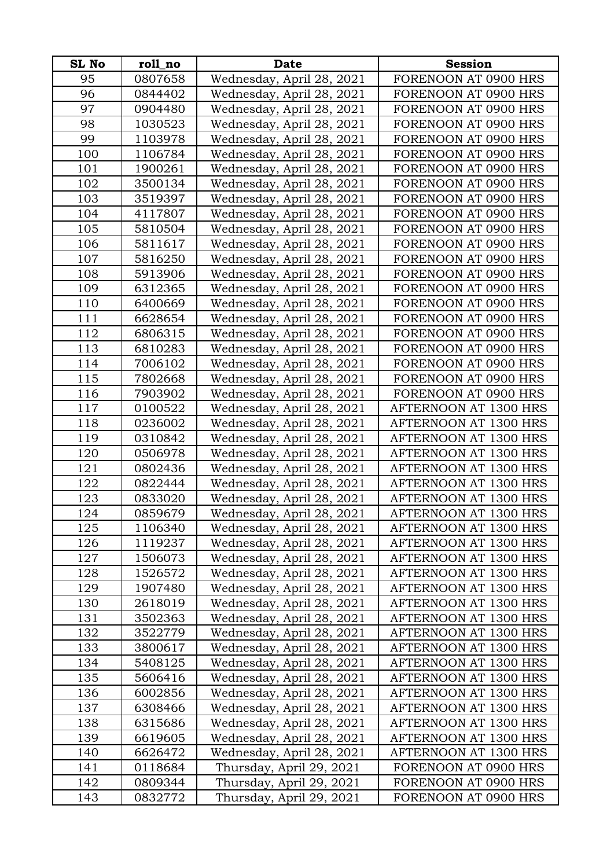| <b>SL No</b> | roll_no            | <b>Date</b>                                          | <b>Session</b>                                |
|--------------|--------------------|------------------------------------------------------|-----------------------------------------------|
| 95           | 0807658            | Wednesday, April 28, 2021                            | FORENOON AT 0900 HRS                          |
| 96           | 0844402            | Wednesday, April 28, 2021                            | FORENOON AT 0900 HRS                          |
| 97           | 0904480            | Wednesday, April 28, 2021                            | FORENOON AT 0900 HRS                          |
| 98           | 1030523            | Wednesday, April 28, 2021                            | FORENOON AT 0900 HRS                          |
| 99           | 1103978            | Wednesday, April 28, 2021                            | FORENOON AT 0900 HRS                          |
| 100          | 1106784            | Wednesday, April 28, 2021                            | FORENOON AT 0900 HRS                          |
| 101          | 1900261            | Wednesday, April 28, 2021                            | FORENOON AT 0900 HRS                          |
| 102          | 3500134            | Wednesday, April 28, 2021                            | FORENOON AT 0900 HRS                          |
| 103          | 3519397            | Wednesday, April 28, 2021                            | FORENOON AT 0900 HRS                          |
| 104          | 4117807            | Wednesday, April 28, 2021                            | FORENOON AT 0900 HRS                          |
| 105          | 5810504            | Wednesday, April 28, 2021                            | FORENOON AT 0900 HRS                          |
| 106          | 5811617            | Wednesday, April 28, 2021                            | FORENOON AT 0900 HRS                          |
| 107          | 5816250            | Wednesday, April 28, 2021                            | FORENOON AT 0900 HRS                          |
| 108          | 5913906            | Wednesday, April 28, 2021                            | FORENOON AT 0900 HRS                          |
| 109          | 6312365            | Wednesday, April 28, 2021                            | FORENOON AT 0900 HRS                          |
| 110          | 6400669            | Wednesday, April 28, 2021                            | FORENOON AT 0900 HRS                          |
| 111          | 6628654            | Wednesday, April 28, 2021                            | FORENOON AT 0900 HRS                          |
| 112          | 6806315            | Wednesday, April 28, 2021                            | FORENOON AT 0900 HRS                          |
| 113          | 6810283            | Wednesday, April 28, 2021                            | FORENOON AT 0900 HRS                          |
| 114          | 7006102            | Wednesday, April 28, 2021                            | FORENOON AT 0900 HRS                          |
| 115          | 7802668            | Wednesday, April 28, 2021                            | FORENOON AT 0900 HRS                          |
| 116          | 7903902            | Wednesday, April 28, 2021                            | FORENOON AT 0900 HRS                          |
| 117          | 0100522            | Wednesday, April 28, 2021                            | AFTERNOON AT 1300 HRS                         |
| 118          | 0236002            | Wednesday, April 28, 2021                            | AFTERNOON AT 1300 HRS                         |
| 119          | 0310842            | Wednesday, April 28, 2021                            | AFTERNOON AT 1300 HRS                         |
| 120          | 0506978            | Wednesday, April 28, 2021                            | AFTERNOON AT 1300 HRS                         |
| 121          | 0802436            | Wednesday, April 28, 2021                            | AFTERNOON AT 1300 HRS                         |
| 122          | 0822444            | Wednesday, April 28, 2021                            | AFTERNOON AT 1300 HRS                         |
| 123          | 0833020            | Wednesday, April 28, 2021                            | AFTERNOON AT 1300 HRS                         |
| 124          | 0859679            | Wednesday, April 28, 2021                            | AFTERNOON AT 1300 HRS                         |
| 125          | 1106340            | Wednesday, April 28, 2021                            | AFTERNOON AT 1300 HRS                         |
| 126          | 1119237            | Wednesday, April 28, 2021                            | AFTERNOON AT 1300 HRS                         |
| 127          | 1506073            | Wednesday, April 28, 2021                            | AFTERNOON AT 1300 HRS                         |
| 128          | 1526572            | Wednesday, April 28, 2021                            | AFTERNOON AT 1300 HRS                         |
| 129          | 1907480            | Wednesday, April 28, 2021                            | AFTERNOON AT 1300 HRS                         |
| 130          | 2618019            | Wednesday, April 28, 2021                            | AFTERNOON AT 1300 HRS                         |
| 131          | 3502363            | Wednesday, April 28, 2021                            | AFTERNOON AT 1300 HRS                         |
| 132          | 3522779            | Wednesday, April 28, 2021                            | AFTERNOON AT 1300 HRS                         |
| 133          | 3800617            | Wednesday, April 28, 2021                            | AFTERNOON AT 1300 HRS                         |
| 134          | 5408125            | Wednesday, April 28, 2021                            | AFTERNOON AT 1300 HRS                         |
| 135          | 5606416            | Wednesday, April 28, 2021                            | AFTERNOON AT 1300 HRS                         |
| 136          | 6002856            | Wednesday, April 28, 2021                            | AFTERNOON AT 1300 HRS                         |
| 137          | 6308466            | Wednesday, April 28, 2021                            | AFTERNOON AT 1300 HRS                         |
| 138          | 6315686            | Wednesday, April 28, 2021                            | AFTERNOON AT 1300 HRS                         |
| 139          | 6619605            | Wednesday, April 28, 2021                            | AFTERNOON AT 1300 HRS                         |
| 140<br>141   | 6626472            | Wednesday, April 28, 2021                            | AFTERNOON AT 1300 HRS<br>FORENOON AT 0900 HRS |
| 142          | 0118684<br>0809344 | Thursday, April 29, 2021<br>Thursday, April 29, 2021 | FORENOON AT 0900 HRS                          |
|              |                    |                                                      |                                               |
| 143          | 0832772            | Thursday, April 29, 2021                             | FORENOON AT 0900 HRS                          |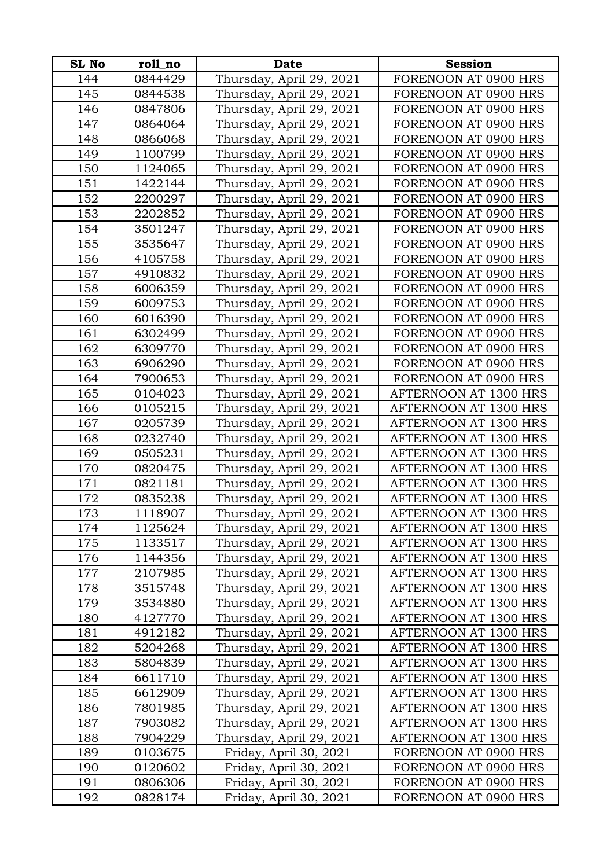| <b>SL No</b> | roll_no | <b>Date</b>              | <b>Session</b>               |
|--------------|---------|--------------------------|------------------------------|
| 144          | 0844429 | Thursday, April 29, 2021 | FORENOON AT 0900 HRS         |
| 145          | 0844538 | Thursday, April 29, 2021 | FORENOON AT 0900 HRS         |
| 146          | 0847806 | Thursday, April 29, 2021 | FORENOON AT 0900 HRS         |
| 147          | 0864064 | Thursday, April 29, 2021 | FORENOON AT 0900 HRS         |
| 148          | 0866068 | Thursday, April 29, 2021 | FORENOON AT 0900 HRS         |
| 149          | 1100799 | Thursday, April 29, 2021 | FORENOON AT 0900 HRS         |
| 150          | 1124065 | Thursday, April 29, 2021 | FORENOON AT 0900 HRS         |
| 151          | 1422144 | Thursday, April 29, 2021 | FORENOON AT 0900 HRS         |
| 152          | 2200297 | Thursday, April 29, 2021 | FORENOON AT 0900 HRS         |
| 153          | 2202852 | Thursday, April 29, 2021 | FORENOON AT 0900 HRS         |
| 154          | 3501247 | Thursday, April 29, 2021 | FORENOON AT 0900 HRS         |
| 155          | 3535647 | Thursday, April 29, 2021 | FORENOON AT 0900 HRS         |
| 156          | 4105758 | Thursday, April 29, 2021 | FORENOON AT 0900 HRS         |
| 157          | 4910832 | Thursday, April 29, 2021 | FORENOON AT 0900 HRS         |
| 158          | 6006359 | Thursday, April 29, 2021 | FORENOON AT 0900 HRS         |
| 159          | 6009753 | Thursday, April 29, 2021 | FORENOON AT 0900 HRS         |
| 160          | 6016390 | Thursday, April 29, 2021 | FORENOON AT 0900 HRS         |
| 161          | 6302499 | Thursday, April 29, 2021 | FORENOON AT 0900 HRS         |
| 162          | 6309770 | Thursday, April 29, 2021 | FORENOON AT 0900 HRS         |
| 163          | 6906290 | Thursday, April 29, 2021 | FORENOON AT 0900 HRS         |
| 164          | 7900653 | Thursday, April 29, 2021 | FORENOON AT 0900 HRS         |
| 165          | 0104023 | Thursday, April 29, 2021 | AFTERNOON AT 1300 HRS        |
| 166          | 0105215 | Thursday, April 29, 2021 | AFTERNOON AT 1300 HRS        |
| 167          | 0205739 | Thursday, April 29, 2021 | AFTERNOON AT 1300 HRS        |
| 168          | 0232740 | Thursday, April 29, 2021 | AFTERNOON AT 1300 HRS        |
| 169          | 0505231 | Thursday, April 29, 2021 | AFTERNOON AT 1300 HRS        |
| 170          | 0820475 | Thursday, April 29, 2021 | AFTERNOON AT 1300 HRS        |
| 171          | 0821181 | Thursday, April 29, 2021 | AFTERNOON AT 1300 HRS        |
| 172          | 0835238 | Thursday, April 29, 2021 | AFTERNOON AT 1300 HRS        |
| 173          | 1118907 | Thursday, April 29, 2021 | AFTERNOON AT 1300 HRS        |
| 174          | 1125624 | Thursday, April 29, 2021 | AFTERNOON AT 1300 HRS        |
| 175          | 1133517 | Thursday, April 29, 2021 | AFTERNOON AT 1300 HRS        |
| 176          | 1144356 | Thursday, April 29, 2021 | AFTERNOON AT 1300 HRS        |
| 177          | 2107985 | Thursday, April 29, 2021 | AFTERNOON AT 1300 HRS        |
| 178          | 3515748 | Thursday, April 29, 2021 | AFTERNOON AT 1300 HRS        |
| 179          | 3534880 | Thursday, April 29, 2021 | AFTERNOON AT 1300 HRS        |
| 180          | 4127770 | Thursday, April 29, 2021 | AFTERNOON AT 1300 HRS        |
| 181          | 4912182 | Thursday, April 29, 2021 | AFTERNOON AT 1300 HRS        |
| 182          | 5204268 | Thursday, April 29, 2021 | <b>AFTERNOON AT 1300 HRS</b> |
| 183          | 5804839 | Thursday, April 29, 2021 | AFTERNOON AT 1300 HRS        |
| 184          | 6611710 | Thursday, April 29, 2021 | AFTERNOON AT 1300 HRS        |
| 185          | 6612909 | Thursday, April 29, 2021 | AFTERNOON AT 1300 HRS        |
| 186          | 7801985 | Thursday, April 29, 2021 | AFTERNOON AT 1300 HRS        |
| 187          | 7903082 | Thursday, April 29, 2021 | AFTERNOON AT 1300 HRS        |
| 188          | 7904229 | Thursday, April 29, 2021 | AFTERNOON AT 1300 HRS        |
| 189          | 0103675 | Friday, April 30, 2021   | FORENOON AT 0900 HRS         |
| 190          | 0120602 | Friday, April 30, 2021   | FORENOON AT 0900 HRS         |
| 191          | 0806306 | Friday, April 30, 2021   | FORENOON AT 0900 HRS         |
| 192          | 0828174 | Friday, April 30, 2021   | FORENOON AT 0900 HRS         |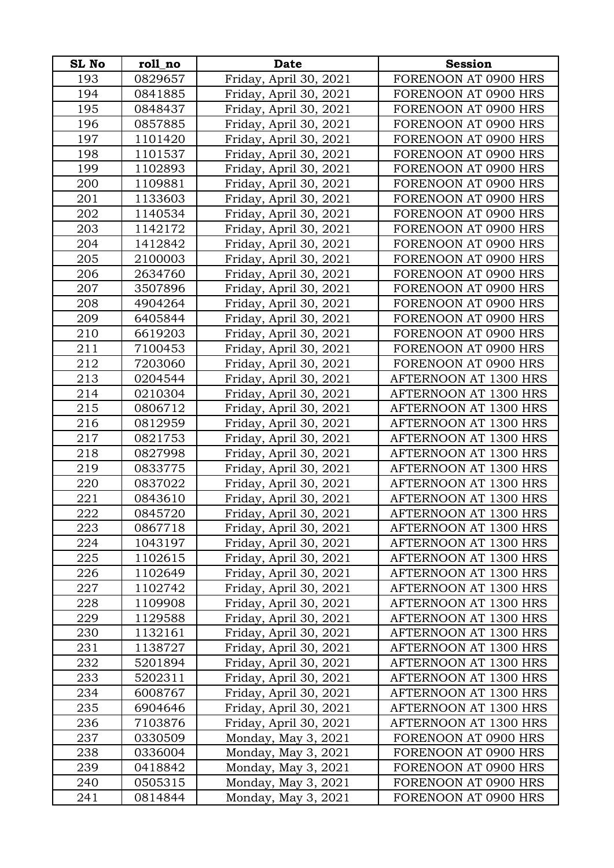| <b>SL No</b> | roll_no | <b>Date</b>            | <b>Session</b>               |
|--------------|---------|------------------------|------------------------------|
| 193          | 0829657 | Friday, April 30, 2021 | FORENOON AT 0900 HRS         |
| 194          | 0841885 | Friday, April 30, 2021 | FORENOON AT 0900 HRS         |
| 195          | 0848437 | Friday, April 30, 2021 | FORENOON AT 0900 HRS         |
| 196          | 0857885 | Friday, April 30, 2021 | FORENOON AT 0900 HRS         |
| 197          | 1101420 | Friday, April 30, 2021 | FORENOON AT 0900 HRS         |
| 198          | 1101537 | Friday, April 30, 2021 | FORENOON AT 0900 HRS         |
| 199          | 1102893 | Friday, April 30, 2021 | FORENOON AT 0900 HRS         |
| 200          | 1109881 | Friday, April 30, 2021 | FORENOON AT 0900 HRS         |
| 201          | 1133603 | Friday, April 30, 2021 | FORENOON AT 0900 HRS         |
| 202          | 1140534 | Friday, April 30, 2021 | FORENOON AT 0900 HRS         |
| 203          | 1142172 | Friday, April 30, 2021 | FORENOON AT 0900 HRS         |
| 204          | 1412842 | Friday, April 30, 2021 | FORENOON AT 0900 HRS         |
| 205          | 2100003 | Friday, April 30, 2021 | FORENOON AT 0900 HRS         |
| 206          | 2634760 | Friday, April 30, 2021 | FORENOON AT 0900 HRS         |
| 207          | 3507896 | Friday, April 30, 2021 | FORENOON AT 0900 HRS         |
| 208          | 4904264 | Friday, April 30, 2021 | FORENOON AT 0900 HRS         |
| 209          | 6405844 | Friday, April 30, 2021 | FORENOON AT 0900 HRS         |
| 210          | 6619203 | Friday, April 30, 2021 | FORENOON AT 0900 HRS         |
| 211          | 7100453 | Friday, April 30, 2021 | FORENOON AT 0900 HRS         |
| 212          | 7203060 | Friday, April 30, 2021 | FORENOON AT 0900 HRS         |
| 213          | 0204544 | Friday, April 30, 2021 | AFTERNOON AT 1300 HRS        |
| 214          | 0210304 | Friday, April 30, 2021 | AFTERNOON AT 1300 HRS        |
| 215          | 0806712 | Friday, April 30, 2021 | AFTERNOON AT 1300 HRS        |
| 216          | 0812959 | Friday, April 30, 2021 | AFTERNOON AT 1300 HRS        |
| 217          | 0821753 | Friday, April 30, 2021 | AFTERNOON AT 1300 HRS        |
| 218          | 0827998 | Friday, April 30, 2021 | AFTERNOON AT 1300 HRS        |
| 219          | 0833775 | Friday, April 30, 2021 | AFTERNOON AT 1300 HRS        |
| 220          | 0837022 | Friday, April 30, 2021 | AFTERNOON AT 1300 HRS        |
| 221          | 0843610 | Friday, April 30, 2021 | AFTERNOON AT 1300 HRS        |
| 222          | 0845720 | Friday, April 30, 2021 | AFTERNOON AT 1300 HRS        |
| 223          | 0867718 | Friday, April 30, 2021 | AFTERNOON AT 1300 HRS        |
| 224          | 1043197 | Friday, April 30, 2021 | AFTERNOON AT 1300 HRS        |
| 225          | 1102615 | Friday, April 30, 2021 | AFTERNOON AT 1300 HRS        |
| 226          | 1102649 | Friday, April 30, 2021 | AFTERNOON AT 1300 HRS        |
| 227          | 1102742 | Friday, April 30, 2021 | AFTERNOON AT 1300 HRS        |
| 228          | 1109908 | Friday, April 30, 2021 | AFTERNOON AT 1300 HRS        |
| 229          | 1129588 | Friday, April 30, 2021 | AFTERNOON AT 1300 HRS        |
| 230          | 1132161 | Friday, April 30, 2021 | AFTERNOON AT 1300 HRS        |
| 231          | 1138727 | Friday, April 30, 2021 | <b>AFTERNOON AT 1300 HRS</b> |
| 232          | 5201894 | Friday, April 30, 2021 | AFTERNOON AT 1300 HRS        |
| 233          | 5202311 | Friday, April 30, 2021 | AFTERNOON AT 1300 HRS        |
| 234          | 6008767 | Friday, April 30, 2021 | AFTERNOON AT 1300 HRS        |
| 235          | 6904646 | Friday, April 30, 2021 | AFTERNOON AT 1300 HRS        |
| 236          | 7103876 | Friday, April 30, 2021 | AFTERNOON AT 1300 HRS        |
| 237          | 0330509 | Monday, May 3, 2021    | FORENOON AT 0900 HRS         |
| 238          | 0336004 | Monday, May 3, 2021    | FORENOON AT 0900 HRS         |
| 239          | 0418842 | Monday, May 3, 2021    | FORENOON AT 0900 HRS         |
| 240          | 0505315 | Monday, May 3, 2021    | FORENOON AT 0900 HRS         |
| 241          | 0814844 | Monday, May 3, 2021    | FORENOON AT 0900 HRS         |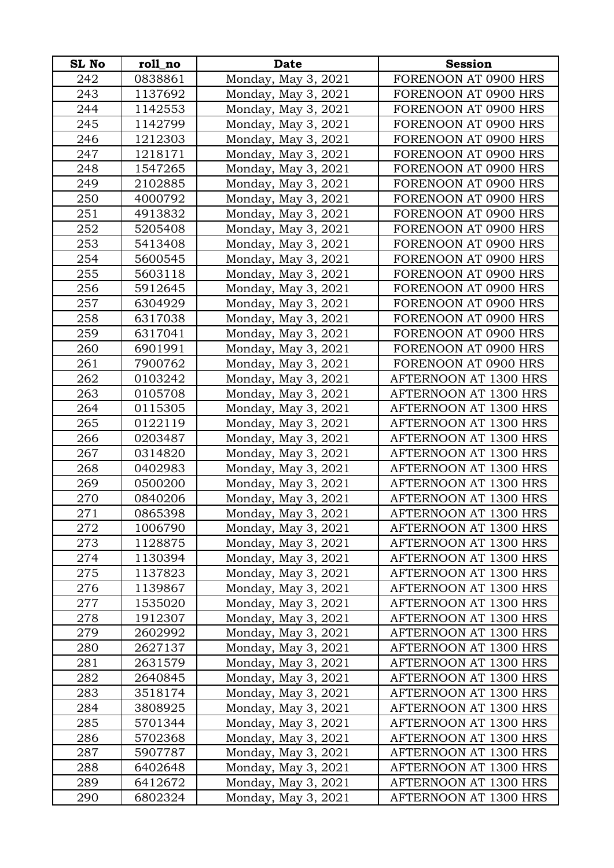| <b>SL No</b> | roll_no | <b>Date</b>         | <b>Session</b>               |
|--------------|---------|---------------------|------------------------------|
| 242          | 0838861 | Monday, May 3, 2021 | FORENOON AT 0900 HRS         |
| 243          | 1137692 | Monday, May 3, 2021 | FORENOON AT 0900 HRS         |
| 244          | 1142553 | Monday, May 3, 2021 | FORENOON AT 0900 HRS         |
| 245          | 1142799 | Monday, May 3, 2021 | FORENOON AT 0900 HRS         |
| 246          | 1212303 | Monday, May 3, 2021 | FORENOON AT 0900 HRS         |
| 247          | 1218171 | Monday, May 3, 2021 | FORENOON AT 0900 HRS         |
| 248          | 1547265 | Monday, May 3, 2021 | FORENOON AT 0900 HRS         |
| 249          | 2102885 | Monday, May 3, 2021 | FORENOON AT 0900 HRS         |
| 250          | 4000792 | Monday, May 3, 2021 | FORENOON AT 0900 HRS         |
| 251          | 4913832 | Monday, May 3, 2021 | FORENOON AT 0900 HRS         |
| 252          | 5205408 | Monday, May 3, 2021 | FORENOON AT 0900 HRS         |
| 253          | 5413408 | Monday, May 3, 2021 | FORENOON AT 0900 HRS         |
| 254          | 5600545 | Monday, May 3, 2021 | FORENOON AT 0900 HRS         |
| 255          | 5603118 | Monday, May 3, 2021 | FORENOON AT 0900 HRS         |
| 256          | 5912645 | Monday, May 3, 2021 | FORENOON AT 0900 HRS         |
| 257          | 6304929 | Monday, May 3, 2021 | FORENOON AT 0900 HRS         |
| 258          | 6317038 | Monday, May 3, 2021 | FORENOON AT 0900 HRS         |
| 259          | 6317041 | Monday, May 3, 2021 | FORENOON AT 0900 HRS         |
| 260          | 6901991 | Monday, May 3, 2021 | FORENOON AT 0900 HRS         |
| 261          | 7900762 | Monday, May 3, 2021 | FORENOON AT 0900 HRS         |
| 262          | 0103242 | Monday, May 3, 2021 | AFTERNOON AT 1300 HRS        |
| 263          | 0105708 | Monday, May 3, 2021 | AFTERNOON AT 1300 HRS        |
| 264          | 0115305 | Monday, May 3, 2021 | AFTERNOON AT 1300 HRS        |
| 265          | 0122119 | Monday, May 3, 2021 | AFTERNOON AT 1300 HRS        |
| 266          | 0203487 | Monday, May 3, 2021 | AFTERNOON AT 1300 HRS        |
| 267          | 0314820 | Monday, May 3, 2021 | AFTERNOON AT 1300 HRS        |
| 268          | 0402983 | Monday, May 3, 2021 | AFTERNOON AT 1300 HRS        |
| 269          | 0500200 | Monday, May 3, 2021 | AFTERNOON AT 1300 HRS        |
| 270          | 0840206 | Monday, May 3, 2021 | AFTERNOON AT 1300 HRS        |
| 271          | 0865398 | Monday, May 3, 2021 | AFTERNOON AT 1300 HRS        |
| 272          | 1006790 | Monday, May 3, 2021 | AFTERNOON AT 1300 HRS        |
| 273          | 1128875 | Monday, May 3, 2021 | AFTERNOON AT 1300 HRS        |
| 274          | 1130394 | Monday, May 3, 2021 | AFTERNOON AT 1300 HRS        |
| 275          | 1137823 | Monday, May 3, 2021 | AFTERNOON AT 1300 HRS        |
| 276          | 1139867 | Monday, May 3, 2021 | AFTERNOON AT 1300 HRS        |
| 277          | 1535020 | Monday, May 3, 2021 | AFTERNOON AT 1300 HRS        |
| 278          | 1912307 | Monday, May 3, 2021 | <b>AFTERNOON AT 1300 HRS</b> |
| 279          | 2602992 | Monday, May 3, 2021 | AFTERNOON AT 1300 HRS        |
| 280          | 2627137 | Monday, May 3, 2021 | AFTERNOON AT 1300 HRS        |
| 281          | 2631579 | Monday, May 3, 2021 | AFTERNOON AT 1300 HRS        |
| 282          | 2640845 | Monday, May 3, 2021 | AFTERNOON AT 1300 HRS        |
| 283          | 3518174 | Monday, May 3, 2021 | AFTERNOON AT 1300 HRS        |
| 284          | 3808925 | Monday, May 3, 2021 | AFTERNOON AT 1300 HRS        |
| 285          | 5701344 | Monday, May 3, 2021 | AFTERNOON AT 1300 HRS        |
| 286          | 5702368 | Monday, May 3, 2021 | AFTERNOON AT 1300 HRS        |
| 287          | 5907787 | Monday, May 3, 2021 | AFTERNOON AT 1300 HRS        |
| 288          | 6402648 | Monday, May 3, 2021 | AFTERNOON AT 1300 HRS        |
| 289          | 6412672 | Monday, May 3, 2021 | AFTERNOON AT 1300 HRS        |
| 290          | 6802324 | Monday, May 3, 2021 | AFTERNOON AT 1300 HRS        |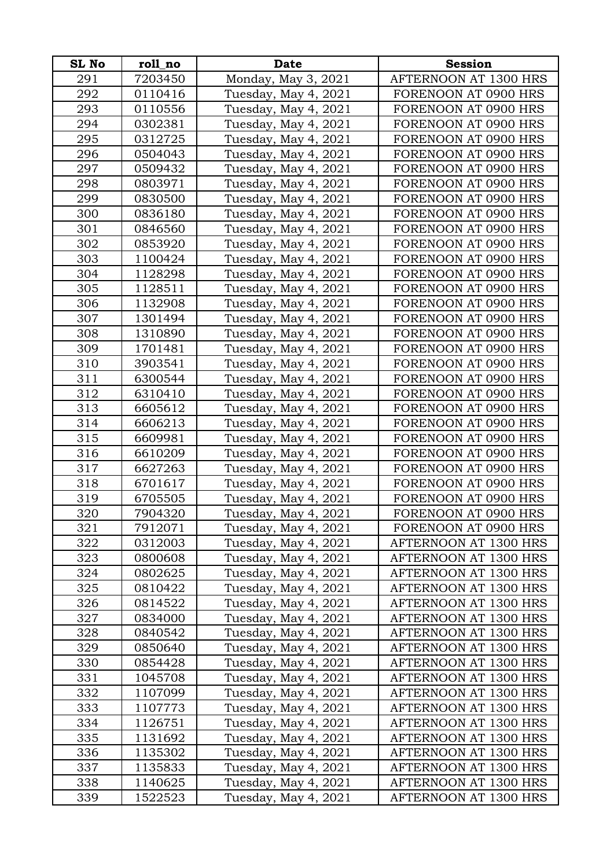| <b>SL No</b> | roll_no | <b>Date</b>          | <b>Session</b>               |
|--------------|---------|----------------------|------------------------------|
| 291          | 7203450 | Monday, May 3, 2021  | AFTERNOON AT 1300 HRS        |
| 292          | 0110416 | Tuesday, May 4, 2021 | FORENOON AT 0900 HRS         |
| 293          | 0110556 | Tuesday, May 4, 2021 | FORENOON AT 0900 HRS         |
| 294          | 0302381 | Tuesday, May 4, 2021 | FORENOON AT 0900 HRS         |
| 295          | 0312725 | Tuesday, May 4, 2021 | FORENOON AT 0900 HRS         |
| 296          | 0504043 | Tuesday, May 4, 2021 | FORENOON AT 0900 HRS         |
| 297          | 0509432 | Tuesday, May 4, 2021 | FORENOON AT 0900 HRS         |
| 298          | 0803971 | Tuesday, May 4, 2021 | FORENOON AT 0900 HRS         |
| 299          | 0830500 | Tuesday, May 4, 2021 | FORENOON AT 0900 HRS         |
| 300          | 0836180 | Tuesday, May 4, 2021 | FORENOON AT 0900 HRS         |
| 301          | 0846560 | Tuesday, May 4, 2021 | FORENOON AT 0900 HRS         |
| 302          | 0853920 | Tuesday, May 4, 2021 | FORENOON AT 0900 HRS         |
| 303          | 1100424 | Tuesday, May 4, 2021 | FORENOON AT 0900 HRS         |
| 304          | 1128298 | Tuesday, May 4, 2021 | FORENOON AT 0900 HRS         |
| 305          | 1128511 | Tuesday, May 4, 2021 | FORENOON AT 0900 HRS         |
| 306          | 1132908 | Tuesday, May 4, 2021 | FORENOON AT 0900 HRS         |
| 307          | 1301494 | Tuesday, May 4, 2021 | FORENOON AT 0900 HRS         |
| 308          | 1310890 | Tuesday, May 4, 2021 | FORENOON AT 0900 HRS         |
| 309          | 1701481 | Tuesday, May 4, 2021 | FORENOON AT 0900 HRS         |
| 310          | 3903541 | Tuesday, May 4, 2021 | FORENOON AT 0900 HRS         |
| 311          | 6300544 | Tuesday, May 4, 2021 | FORENOON AT 0900 HRS         |
| 312          | 6310410 | Tuesday, May 4, 2021 | FORENOON AT 0900 HRS         |
| 313          | 6605612 | Tuesday, May 4, 2021 | FORENOON AT 0900 HRS         |
| 314          | 6606213 | Tuesday, May 4, 2021 | FORENOON AT 0900 HRS         |
| 315          | 6609981 | Tuesday, May 4, 2021 | FORENOON AT 0900 HRS         |
| 316          | 6610209 | Tuesday, May 4, 2021 | FORENOON AT 0900 HRS         |
| 317          | 6627263 | Tuesday, May 4, 2021 | FORENOON AT 0900 HRS         |
| 318          | 6701617 | Tuesday, May 4, 2021 | FORENOON AT 0900 HRS         |
| 319          | 6705505 | Tuesday, May 4, 2021 | FORENOON AT 0900 HRS         |
| 320          | 7904320 | Tuesday, May 4, 2021 | FORENOON AT 0900 HRS         |
| 321          | 7912071 | Tuesday, May 4, 2021 | FORENOON AT 0900 HRS         |
| 322          | 0312003 | Tuesday, May 4, 2021 | AFTERNOON AT 1300 HRS        |
| 323          | 0800608 | Tuesday, May 4, 2021 | AFTERNOON AT 1300 HRS        |
| 324          | 0802625 | Tuesday, May 4, 2021 | AFTERNOON AT 1300 HRS        |
| 325          | 0810422 | Tuesday, May 4, 2021 | AFTERNOON AT 1300 HRS        |
| 326          | 0814522 | Tuesday, May 4, 2021 | AFTERNOON AT 1300 HRS        |
| 327          | 0834000 | Tuesday, May 4, 2021 | <b>AFTERNOON AT 1300 HRS</b> |
| 328          | 0840542 | Tuesday, May 4, 2021 | AFTERNOON AT 1300 HRS        |
| 329          | 0850640 | Tuesday, May 4, 2021 | <b>AFTERNOON AT 1300 HRS</b> |
| 330          | 0854428 | Tuesday, May 4, 2021 | AFTERNOON AT 1300 HRS        |
| 331          | 1045708 | Tuesday, May 4, 2021 | AFTERNOON AT 1300 HRS        |
| 332          | 1107099 | Tuesday, May 4, 2021 | AFTERNOON AT 1300 HRS        |
| 333          | 1107773 | Tuesday, May 4, 2021 | AFTERNOON AT 1300 HRS        |
| 334          | 1126751 | Tuesday, May 4, 2021 | AFTERNOON AT 1300 HRS        |
| 335          | 1131692 | Tuesday, May 4, 2021 | AFTERNOON AT 1300 HRS        |
| 336          | 1135302 | Tuesday, May 4, 2021 | AFTERNOON AT 1300 HRS        |
| 337          | 1135833 | Tuesday, May 4, 2021 | AFTERNOON AT 1300 HRS        |
| 338          | 1140625 | Tuesday, May 4, 2021 | AFTERNOON AT 1300 HRS        |
| 339          | 1522523 | Tuesday, May 4, 2021 | AFTERNOON AT 1300 HRS        |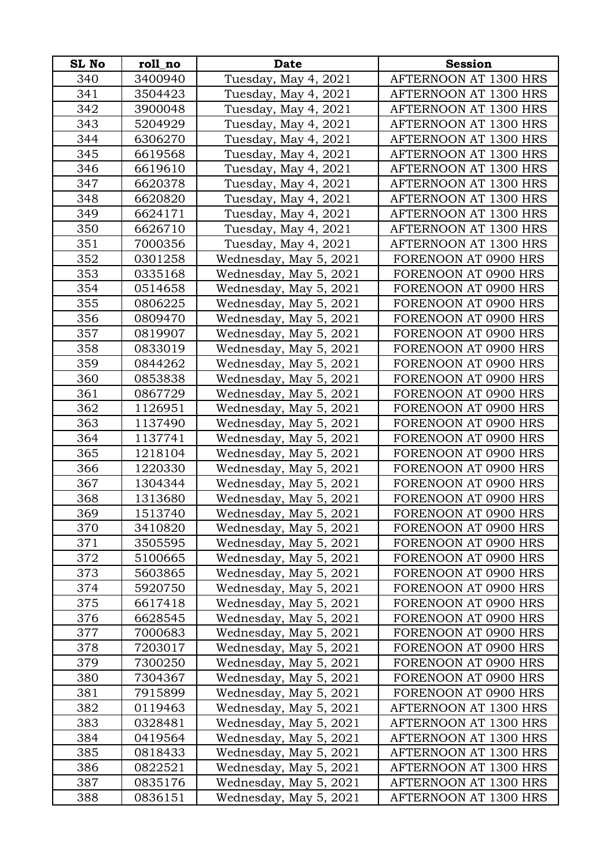| <b>SL No</b> | roll no | <b>Date</b>            | <b>Session</b>               |
|--------------|---------|------------------------|------------------------------|
| 340          | 3400940 | Tuesday, May 4, 2021   | AFTERNOON AT 1300 HRS        |
| 341          | 3504423 | Tuesday, May 4, 2021   | AFTERNOON AT 1300 HRS        |
| 342          | 3900048 | Tuesday, May 4, 2021   | <b>AFTERNOON AT 1300 HRS</b> |
| 343          | 5204929 | Tuesday, May 4, 2021   | AFTERNOON AT 1300 HRS        |
| 344          | 6306270 | Tuesday, May 4, 2021   | AFTERNOON AT 1300 HRS        |
| 345          | 6619568 | Tuesday, May 4, 2021   | AFTERNOON AT 1300 HRS        |
| 346          | 6619610 | Tuesday, May 4, 2021   | AFTERNOON AT 1300 HRS        |
| 347          | 6620378 | Tuesday, May 4, 2021   | AFTERNOON AT 1300 HRS        |
| 348          | 6620820 | Tuesday, May 4, 2021   | AFTERNOON AT 1300 HRS        |
| 349          | 6624171 | Tuesday, May 4, 2021   | AFTERNOON AT 1300 HRS        |
| 350          | 6626710 | Tuesday, May 4, 2021   | AFTERNOON AT 1300 HRS        |
| 351          | 7000356 | Tuesday, May 4, 2021   | AFTERNOON AT 1300 HRS        |
| 352          | 0301258 | Wednesday, May 5, 2021 | FORENOON AT 0900 HRS         |
| 353          | 0335168 | Wednesday, May 5, 2021 | FORENOON AT 0900 HRS         |
| 354          | 0514658 | Wednesday, May 5, 2021 | FORENOON AT 0900 HRS         |
| 355          | 0806225 | Wednesday, May 5, 2021 | FORENOON AT 0900 HRS         |
| 356          | 0809470 | Wednesday, May 5, 2021 | FORENOON AT 0900 HRS         |
| 357          | 0819907 | Wednesday, May 5, 2021 | FORENOON AT 0900 HRS         |
| 358          | 0833019 | Wednesday, May 5, 2021 | FORENOON AT 0900 HRS         |
| 359          | 0844262 | Wednesday, May 5, 2021 | FORENOON AT 0900 HRS         |
| 360          | 0853838 | Wednesday, May 5, 2021 | FORENOON AT 0900 HRS         |
| 361          | 0867729 | Wednesday, May 5, 2021 | FORENOON AT 0900 HRS         |
| 362          | 1126951 | Wednesday, May 5, 2021 | FORENOON AT 0900 HRS         |
| 363          | 1137490 | Wednesday, May 5, 2021 | FORENOON AT 0900 HRS         |
| 364          | 1137741 | Wednesday, May 5, 2021 | FORENOON AT 0900 HRS         |
| 365          | 1218104 | Wednesday, May 5, 2021 | FORENOON AT 0900 HRS         |
| 366          | 1220330 | Wednesday, May 5, 2021 | FORENOON AT 0900 HRS         |
| 367          | 1304344 | Wednesday, May 5, 2021 | FORENOON AT 0900 HRS         |
| 368          | 1313680 | Wednesday, May 5, 2021 | FORENOON AT 0900 HRS         |
| 369          | 1513740 | Wednesday, May 5, 2021 | FORENOON AT 0900 HRS         |
| 370          | 3410820 | Wednesday, May 5, 2021 | FORENOON AT 0900 HRS         |
| 371          | 3505595 | Wednesday, May 5, 2021 | FORENOON AT 0900 HRS         |
| 372          | 5100665 | Wednesday, May 5, 2021 | FORENOON AT 0900 HRS         |
| 373          | 5603865 | Wednesday, May 5, 2021 | FORENOON AT 0900 HRS         |
| 374          | 5920750 | Wednesday, May 5, 2021 | FORENOON AT 0900 HRS         |
| 375          | 6617418 | Wednesday, May 5, 2021 | FORENOON AT 0900 HRS         |
| 376          | 6628545 | Wednesday, May 5, 2021 | FORENOON AT 0900 HRS         |
| 377          | 7000683 | Wednesday, May 5, 2021 | FORENOON AT 0900 HRS         |
| 378          | 7203017 | Wednesday, May 5, 2021 | FORENOON AT 0900 HRS         |
| 379          | 7300250 | Wednesday, May 5, 2021 | FORENOON AT 0900 HRS         |
| 380          | 7304367 | Wednesday, May 5, 2021 | FORENOON AT 0900 HRS         |
| 381          | 7915899 | Wednesday, May 5, 2021 | FORENOON AT 0900 HRS         |
| 382          | 0119463 | Wednesday, May 5, 2021 | AFTERNOON AT 1300 HRS        |
| 383          | 0328481 | Wednesday, May 5, 2021 | AFTERNOON AT 1300 HRS        |
| 384          | 0419564 | Wednesday, May 5, 2021 | AFTERNOON AT 1300 HRS        |
| 385          | 0818433 | Wednesday, May 5, 2021 | AFTERNOON AT 1300 HRS        |
| 386          | 0822521 | Wednesday, May 5, 2021 | AFTERNOON AT 1300 HRS        |
| 387          | 0835176 | Wednesday, May 5, 2021 | AFTERNOON AT 1300 HRS        |
| 388          | 0836151 | Wednesday, May 5, 2021 | AFTERNOON AT 1300 HRS        |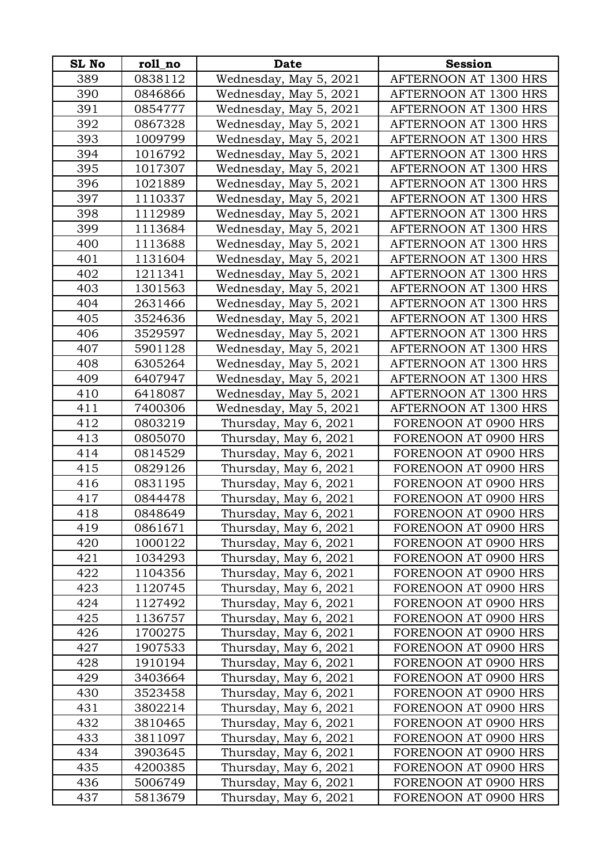| <b>SL No</b> | roll_no | <b>Date</b>            | <b>Session</b>        |
|--------------|---------|------------------------|-----------------------|
| 389          | 0838112 | Wednesday, May 5, 2021 | AFTERNOON AT 1300 HRS |
| 390          | 0846866 | Wednesday, May 5, 2021 | AFTERNOON AT 1300 HRS |
| 391          | 0854777 | Wednesday, May 5, 2021 | AFTERNOON AT 1300 HRS |
| 392          | 0867328 | Wednesday, May 5, 2021 | AFTERNOON AT 1300 HRS |
| 393          | 1009799 | Wednesday, May 5, 2021 | AFTERNOON AT 1300 HRS |
| 394          | 1016792 | Wednesday, May 5, 2021 | AFTERNOON AT 1300 HRS |
| 395          | 1017307 | Wednesday, May 5, 2021 | AFTERNOON AT 1300 HRS |
| 396          | 1021889 | Wednesday, May 5, 2021 | AFTERNOON AT 1300 HRS |
| 397          | 1110337 | Wednesday, May 5, 2021 | AFTERNOON AT 1300 HRS |
| 398          | 1112989 | Wednesday, May 5, 2021 | AFTERNOON AT 1300 HRS |
| 399          | 1113684 | Wednesday, May 5, 2021 | AFTERNOON AT 1300 HRS |
| 400          | 1113688 | Wednesday, May 5, 2021 | AFTERNOON AT 1300 HRS |
| 401          | 1131604 | Wednesday, May 5, 2021 | AFTERNOON AT 1300 HRS |
| 402          | 1211341 | Wednesday, May 5, 2021 | AFTERNOON AT 1300 HRS |
| 403          | 1301563 | Wednesday, May 5, 2021 | AFTERNOON AT 1300 HRS |
| 404          | 2631466 | Wednesday, May 5, 2021 | AFTERNOON AT 1300 HRS |
| 405          | 3524636 | Wednesday, May 5, 2021 | AFTERNOON AT 1300 HRS |
| 406          | 3529597 | Wednesday, May 5, 2021 | AFTERNOON AT 1300 HRS |
| 407          | 5901128 | Wednesday, May 5, 2021 | AFTERNOON AT 1300 HRS |
| 408          | 6305264 | Wednesday, May 5, 2021 | AFTERNOON AT 1300 HRS |
| 409          | 6407947 | Wednesday, May 5, 2021 | AFTERNOON AT 1300 HRS |
| 410          | 6418087 | Wednesday, May 5, 2021 | AFTERNOON AT 1300 HRS |
| 411          | 7400306 | Wednesday, May 5, 2021 | AFTERNOON AT 1300 HRS |
| 412          | 0803219 | Thursday, May 6, 2021  | FORENOON AT 0900 HRS  |
| 413          | 0805070 | Thursday, May 6, 2021  | FORENOON AT 0900 HRS  |
| 414          | 0814529 | Thursday, May 6, 2021  | FORENOON AT 0900 HRS  |
| 415          | 0829126 | Thursday, May 6, 2021  | FORENOON AT 0900 HRS  |
| 416          | 0831195 | Thursday, May 6, 2021  | FORENOON AT 0900 HRS  |
| 417          | 0844478 | Thursday, May 6, 2021  | FORENOON AT 0900 HRS  |
| 418          | 0848649 | Thursday, May 6, 2021  | FORENOON AT 0900 HRS  |
| 419          | 0861671 | Thursday, May 6, 2021  | FORENOON AT 0900 HRS  |
| 420          | 1000122 | Thursday, May 6, 2021  | FORENOON AT 0900 HRS  |
| 421          | 1034293 | Thursday, May 6, 2021  | FORENOON AT 0900 HRS  |
| 422          | 1104356 | Thursday, May 6, 2021  | FORENOON AT 0900 HRS  |
| 423          | 1120745 | Thursday, May 6, 2021  | FORENOON AT 0900 HRS  |
| 424          | 1127492 | Thursday, May 6, 2021  | FORENOON AT 0900 HRS  |
| 425          | 1136757 | Thursday, May 6, 2021  | FORENOON AT 0900 HRS  |
| 426          | 1700275 | Thursday, May 6, 2021  | FORENOON AT 0900 HRS  |
| 427          | 1907533 | Thursday, May 6, 2021  | FORENOON AT 0900 HRS  |
| 428          | 1910194 | Thursday, May 6, 2021  | FORENOON AT 0900 HRS  |
| 429          | 3403664 | Thursday, May 6, 2021  | FORENOON AT 0900 HRS  |
| 430          | 3523458 | Thursday, May 6, 2021  | FORENOON AT 0900 HRS  |
| 431          | 3802214 | Thursday, May 6, 2021  | FORENOON AT 0900 HRS  |
| 432          | 3810465 | Thursday, May 6, 2021  | FORENOON AT 0900 HRS  |
| 433          | 3811097 | Thursday, May 6, 2021  | FORENOON AT 0900 HRS  |
| 434          | 3903645 | Thursday, May 6, 2021  | FORENOON AT 0900 HRS  |
| 435          | 4200385 | Thursday, May 6, 2021  | FORENOON AT 0900 HRS  |
| 436          | 5006749 | Thursday, May 6, 2021  | FORENOON AT 0900 HRS  |
| 437          | 5813679 | Thursday, May 6, 2021  | FORENOON AT 0900 HRS  |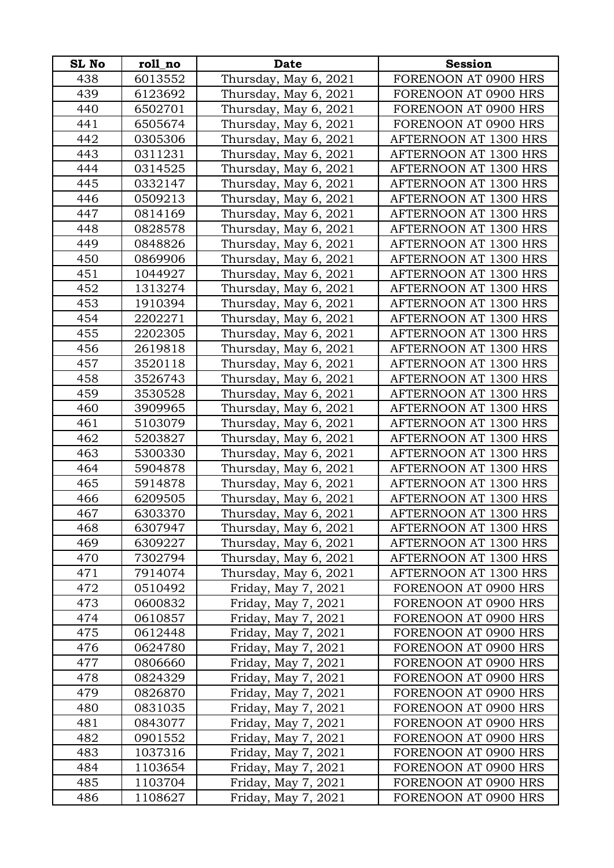| <b>SL No</b> | roll_no | <b>Date</b>           | <b>Session</b>        |
|--------------|---------|-----------------------|-----------------------|
| 438          | 6013552 | Thursday, May 6, 2021 | FORENOON AT 0900 HRS  |
| 439          | 6123692 | Thursday, May 6, 2021 | FORENOON AT 0900 HRS  |
| 440          | 6502701 | Thursday, May 6, 2021 | FORENOON AT 0900 HRS  |
| 441          | 6505674 | Thursday, May 6, 2021 | FORENOON AT 0900 HRS  |
| 442          | 0305306 | Thursday, May 6, 2021 | AFTERNOON AT 1300 HRS |
| 443          | 0311231 | Thursday, May 6, 2021 | AFTERNOON AT 1300 HRS |
| 444          | 0314525 | Thursday, May 6, 2021 | AFTERNOON AT 1300 HRS |
| 445          | 0332147 | Thursday, May 6, 2021 | AFTERNOON AT 1300 HRS |
| 446          | 0509213 | Thursday, May 6, 2021 | AFTERNOON AT 1300 HRS |
| 447          | 0814169 | Thursday, May 6, 2021 | AFTERNOON AT 1300 HRS |
| 448          | 0828578 | Thursday, May 6, 2021 | AFTERNOON AT 1300 HRS |
| 449          | 0848826 | Thursday, May 6, 2021 | AFTERNOON AT 1300 HRS |
| 450          | 0869906 | Thursday, May 6, 2021 | AFTERNOON AT 1300 HRS |
| 451          | 1044927 | Thursday, May 6, 2021 | AFTERNOON AT 1300 HRS |
| 452          | 1313274 | Thursday, May 6, 2021 | AFTERNOON AT 1300 HRS |
| 453          | 1910394 | Thursday, May 6, 2021 | AFTERNOON AT 1300 HRS |
| 454          | 2202271 | Thursday, May 6, 2021 | AFTERNOON AT 1300 HRS |
| 455          | 2202305 | Thursday, May 6, 2021 | AFTERNOON AT 1300 HRS |
| 456          | 2619818 | Thursday, May 6, 2021 | AFTERNOON AT 1300 HRS |
| 457          | 3520118 | Thursday, May 6, 2021 | AFTERNOON AT 1300 HRS |
| 458          | 3526743 | Thursday, May 6, 2021 | AFTERNOON AT 1300 HRS |
| 459          | 3530528 | Thursday, May 6, 2021 | AFTERNOON AT 1300 HRS |
| 460          | 3909965 | Thursday, May 6, 2021 | AFTERNOON AT 1300 HRS |
| 461          | 5103079 | Thursday, May 6, 2021 | AFTERNOON AT 1300 HRS |
| 462          | 5203827 | Thursday, May 6, 2021 | AFTERNOON AT 1300 HRS |
| 463          | 5300330 | Thursday, May 6, 2021 | AFTERNOON AT 1300 HRS |
| 464          | 5904878 | Thursday, May 6, 2021 | AFTERNOON AT 1300 HRS |
| 465          | 5914878 | Thursday, May 6, 2021 | AFTERNOON AT 1300 HRS |
| 466          | 6209505 | Thursday, May 6, 2021 | AFTERNOON AT 1300 HRS |
| 467          | 6303370 | Thursday, May 6, 2021 | AFTERNOON AT 1300 HRS |
| 468          | 6307947 | Thursday, May 6, 2021 | AFTERNOON AT 1300 HRS |
| 469          | 6309227 | Thursday, May 6, 2021 | AFTERNOON AT 1300 HRS |
| 470          | 7302794 | Thursday, May 6, 2021 | AFTERNOON AT 1300 HRS |
| 471          | 7914074 | Thursday, May 6, 2021 | AFTERNOON AT 1300 HRS |
| 472          | 0510492 | Friday, May 7, 2021   | FORENOON AT 0900 HRS  |
| 473          | 0600832 | Friday, May 7, 2021   | FORENOON AT 0900 HRS  |
| 474          | 0610857 | Friday, May 7, 2021   | FORENOON AT 0900 HRS  |
| 475          | 0612448 | Friday, May 7, 2021   | FORENOON AT 0900 HRS  |
| 476          | 0624780 | Friday, May 7, 2021   | FORENOON AT 0900 HRS  |
| 477          | 0806660 | Friday, May 7, 2021   | FORENOON AT 0900 HRS  |
| 478          | 0824329 | Friday, May 7, 2021   | FORENOON AT 0900 HRS  |
| 479          | 0826870 | Friday, May 7, 2021   | FORENOON AT 0900 HRS  |
| 480          | 0831035 | Friday, May 7, 2021   | FORENOON AT 0900 HRS  |
| 481          | 0843077 | Friday, May 7, 2021   | FORENOON AT 0900 HRS  |
| 482          | 0901552 | Friday, May 7, 2021   | FORENOON AT 0900 HRS  |
| 483          | 1037316 | Friday, May 7, 2021   | FORENOON AT 0900 HRS  |
| 484          | 1103654 | Friday, May 7, 2021   | FORENOON AT 0900 HRS  |
| 485          | 1103704 | Friday, May 7, 2021   | FORENOON AT 0900 HRS  |
| 486          | 1108627 | Friday, May 7, 2021   | FORENOON AT 0900 HRS  |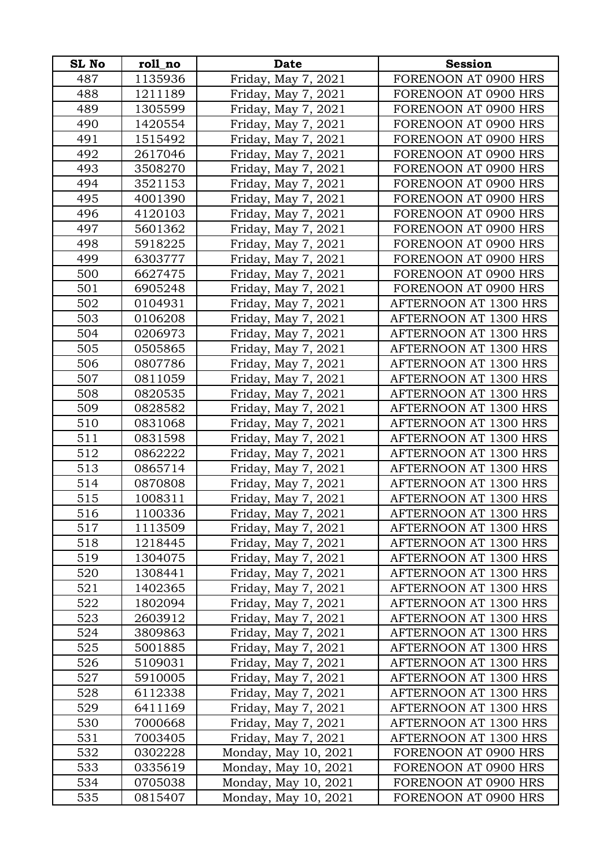| <b>SL No</b> | roll no | <b>Date</b>          | <b>Session</b>                                 |
|--------------|---------|----------------------|------------------------------------------------|
| 487          | 1135936 | Friday, May 7, 2021  | FORENOON AT 0900 HRS                           |
| 488          | 1211189 | Friday, May 7, 2021  | FORENOON AT 0900 HRS                           |
| 489          | 1305599 | Friday, May 7, 2021  | FORENOON AT 0900 HRS                           |
| 490          | 1420554 | Friday, May 7, 2021  | FORENOON AT 0900 HRS                           |
| 491          | 1515492 | Friday, May 7, 2021  | FORENOON AT 0900 HRS                           |
| 492          | 2617046 | Friday, May 7, 2021  | FORENOON AT 0900 HRS                           |
| 493          | 3508270 | Friday, May 7, 2021  | FORENOON AT 0900 HRS                           |
| 494          | 3521153 | Friday, May 7, 2021  | FORENOON AT 0900 HRS                           |
| 495          | 4001390 | Friday, May 7, 2021  | FORENOON AT 0900 HRS                           |
| 496          | 4120103 | Friday, May 7, 2021  | FORENOON AT 0900 HRS                           |
| 497          | 5601362 | Friday, May 7, 2021  | FORENOON AT 0900 HRS                           |
| 498          | 5918225 | Friday, May 7, 2021  | FORENOON AT 0900 HRS                           |
| 499          | 6303777 | Friday, May 7, 2021  | FORENOON AT 0900 HRS                           |
| 500          | 6627475 | Friday, May 7, 2021  | FORENOON AT 0900 HRS                           |
| 501          | 6905248 | Friday, May 7, 2021  | FORENOON AT 0900 HRS                           |
| 502          | 0104931 | Friday, May 7, 2021  | AFTERNOON AT 1300 HRS                          |
| 503          | 0106208 | Friday, May 7, 2021  | AFTERNOON AT 1300 HRS                          |
| 504          | 0206973 | Friday, May 7, 2021  | AFTERNOON AT 1300 HRS                          |
| 505          | 0505865 | Friday, May 7, 2021  | AFTERNOON AT 1300 HRS                          |
| 506          | 0807786 | Friday, May 7, 2021  | AFTERNOON AT 1300 HRS                          |
| 507          | 0811059 | Friday, May 7, 2021  | AFTERNOON AT 1300 HRS                          |
| 508          | 0820535 | Friday, May 7, 2021  | AFTERNOON AT 1300 HRS                          |
| 509          | 0828582 | Friday, May 7, 2021  | AFTERNOON AT 1300 HRS                          |
| 510          | 0831068 | Friday, May 7, 2021  | AFTERNOON AT 1300 HRS                          |
| 511          | 0831598 | Friday, May 7, 2021  | AFTERNOON AT 1300 HRS                          |
| 512          | 0862222 | Friday, May 7, 2021  | AFTERNOON AT 1300 HRS                          |
| 513          | 0865714 | Friday, May 7, 2021  | AFTERNOON AT 1300 HRS                          |
| 514          | 0870808 | Friday, May 7, 2021  | AFTERNOON AT 1300 HRS                          |
| 515          | 1008311 | Friday, May 7, 2021  | AFTERNOON AT 1300 HRS                          |
| 516          | 1100336 | Friday, May 7, 2021  | AFTERNOON AT 1300 HRS                          |
| 517          | 1113509 | Friday, May 7, 2021  | AFTERNOON AT 1300 HRS                          |
| 518          | 1218445 | Friday, May 7, 2021  | AFTERNOON AT 1300 HRS                          |
| 519          | 1304075 | Friday, May 7, 2021  | AFTERNOON AT 1300 HRS                          |
| 520          | 1308441 | Friday, May 7, 2021  | <b>AFTERNOON AT 1300 HRS</b>                   |
| 521          | 1402365 | Friday, May 7, 2021  | AFTERNOON AT 1300 HRS                          |
| 522          | 1802094 | Friday, May 7, 2021  | AFTERNOON AT 1300 HRS                          |
| 523          | 2603912 | Friday, May 7, 2021  | <b>AFTERNOON AT 1300 HRS</b>                   |
| 524          | 3809863 | Friday, May 7, 2021  | AFTERNOON AT 1300 HRS                          |
| 525          | 5001885 | Friday, May 7, 2021  | AFTERNOON AT 1300 HRS                          |
| 526          | 5109031 | Friday, May 7, 2021  | AFTERNOON AT 1300 HRS                          |
| 527          | 5910005 | Friday, May 7, 2021  | AFTERNOON AT 1300 HRS                          |
| 528          | 6112338 | Friday, May 7, 2021  | AFTERNOON AT 1300 HRS<br>AFTERNOON AT 1300 HRS |
| 529          | 6411169 | Friday, May 7, 2021  |                                                |
| 530          | 7000668 | Friday, May 7, 2021  | AFTERNOON AT 1300 HRS                          |
| 531          | 7003405 | Friday, May 7, 2021  | AFTERNOON AT 1300 HRS                          |
| 532<br>533   | 0302228 | Monday, May 10, 2021 | FORENOON AT 0900 HRS                           |
|              | 0335619 | Monday, May 10, 2021 | FORENOON AT 0900 HRS                           |
| 534          | 0705038 | Monday, May 10, 2021 | FORENOON AT 0900 HRS                           |
| 535          | 0815407 | Monday, May 10, 2021 | FORENOON AT 0900 HRS                           |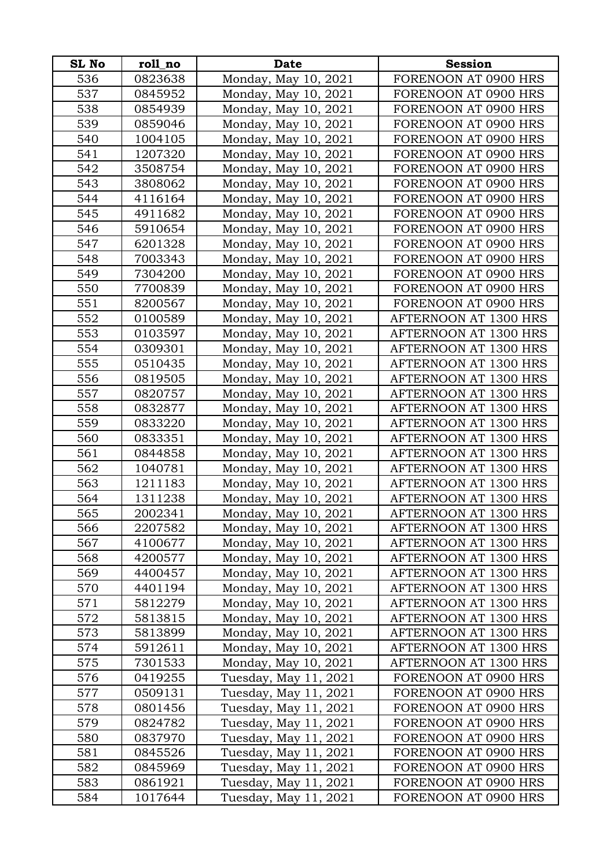| <b>SL No</b> | roll_no | <b>Date</b>           | <b>Session</b>        |
|--------------|---------|-----------------------|-----------------------|
| 536          | 0823638 | Monday, May 10, 2021  | FORENOON AT 0900 HRS  |
| 537          | 0845952 | Monday, May 10, 2021  | FORENOON AT 0900 HRS  |
| 538          | 0854939 | Monday, May 10, 2021  | FORENOON AT 0900 HRS  |
| 539          | 0859046 | Monday, May 10, 2021  | FORENOON AT 0900 HRS  |
| 540          | 1004105 | Monday, May 10, 2021  | FORENOON AT 0900 HRS  |
| 541          | 1207320 | Monday, May 10, 2021  | FORENOON AT 0900 HRS  |
| 542          | 3508754 | Monday, May 10, 2021  | FORENOON AT 0900 HRS  |
| 543          | 3808062 | Monday, May 10, 2021  | FORENOON AT 0900 HRS  |
| 544          | 4116164 | Monday, May 10, 2021  | FORENOON AT 0900 HRS  |
| 545          | 4911682 | Monday, May 10, 2021  | FORENOON AT 0900 HRS  |
| 546          | 5910654 | Monday, May 10, 2021  | FORENOON AT 0900 HRS  |
| 547          | 6201328 | Monday, May 10, 2021  | FORENOON AT 0900 HRS  |
| 548          | 7003343 | Monday, May 10, 2021  | FORENOON AT 0900 HRS  |
| 549          | 7304200 | Monday, May 10, 2021  | FORENOON AT 0900 HRS  |
| 550          | 7700839 | Monday, May 10, 2021  | FORENOON AT 0900 HRS  |
| 551          | 8200567 | Monday, May 10, 2021  | FORENOON AT 0900 HRS  |
| 552          | 0100589 | Monday, May 10, 2021  | AFTERNOON AT 1300 HRS |
| 553          | 0103597 | Monday, May 10, 2021  | AFTERNOON AT 1300 HRS |
| 554          | 0309301 | Monday, May 10, 2021  | AFTERNOON AT 1300 HRS |
| 555          | 0510435 | Monday, May 10, 2021  | AFTERNOON AT 1300 HRS |
| 556          | 0819505 | Monday, May 10, 2021  | AFTERNOON AT 1300 HRS |
| 557          | 0820757 | Monday, May 10, 2021  | AFTERNOON AT 1300 HRS |
| 558          | 0832877 | Monday, May 10, 2021  | AFTERNOON AT 1300 HRS |
| 559          | 0833220 | Monday, May 10, 2021  | AFTERNOON AT 1300 HRS |
| 560          | 0833351 | Monday, May 10, 2021  | AFTERNOON AT 1300 HRS |
| 561          | 0844858 | Monday, May 10, 2021  | AFTERNOON AT 1300 HRS |
| 562          | 1040781 | Monday, May 10, 2021  | AFTERNOON AT 1300 HRS |
| 563          | 1211183 | Monday, May 10, 2021  | AFTERNOON AT 1300 HRS |
| 564          | 1311238 | Monday, May 10, 2021  | AFTERNOON AT 1300 HRS |
| 565          | 2002341 | Monday, May 10, 2021  | AFTERNOON AT 1300 HRS |
| 566          | 2207582 | Monday, May 10, 2021  | AFTERNOON AT 1300 HRS |
| 567          | 4100677 | Monday, May 10, 2021  | AFTERNOON AT 1300 HRS |
| 568          | 4200577 | Monday, May 10, 2021  | AFTERNOON AT 1300 HRS |
| 569          | 4400457 | Monday, May 10, 2021  | AFTERNOON AT 1300 HRS |
| 570          | 4401194 | Monday, May 10, 2021  | AFTERNOON AT 1300 HRS |
| 571          | 5812279 | Monday, May 10, 2021  | AFTERNOON AT 1300 HRS |
| 572          | 5813815 | Monday, May 10, 2021  | AFTERNOON AT 1300 HRS |
| 573          | 5813899 | Monday, May 10, 2021  | AFTERNOON AT 1300 HRS |
| 574          | 5912611 | Monday, May 10, 2021  | AFTERNOON AT 1300 HRS |
| 575          | 7301533 | Monday, May 10, 2021  | AFTERNOON AT 1300 HRS |
| 576          | 0419255 | Tuesday, May 11, 2021 | FORENOON AT 0900 HRS  |
| 577          | 0509131 | Tuesday, May 11, 2021 | FORENOON AT 0900 HRS  |
| 578          | 0801456 | Tuesday, May 11, 2021 | FORENOON AT 0900 HRS  |
| 579          | 0824782 | Tuesday, May 11, 2021 | FORENOON AT 0900 HRS  |
| 580          | 0837970 | Tuesday, May 11, 2021 | FORENOON AT 0900 HRS  |
| 581          | 0845526 | Tuesday, May 11, 2021 | FORENOON AT 0900 HRS  |
| 582          | 0845969 | Tuesday, May 11, 2021 | FORENOON AT 0900 HRS  |
| 583          | 0861921 | Tuesday, May 11, 2021 | FORENOON AT 0900 HRS  |
| 584          | 1017644 | Tuesday, May 11, 2021 | FORENOON AT 0900 HRS  |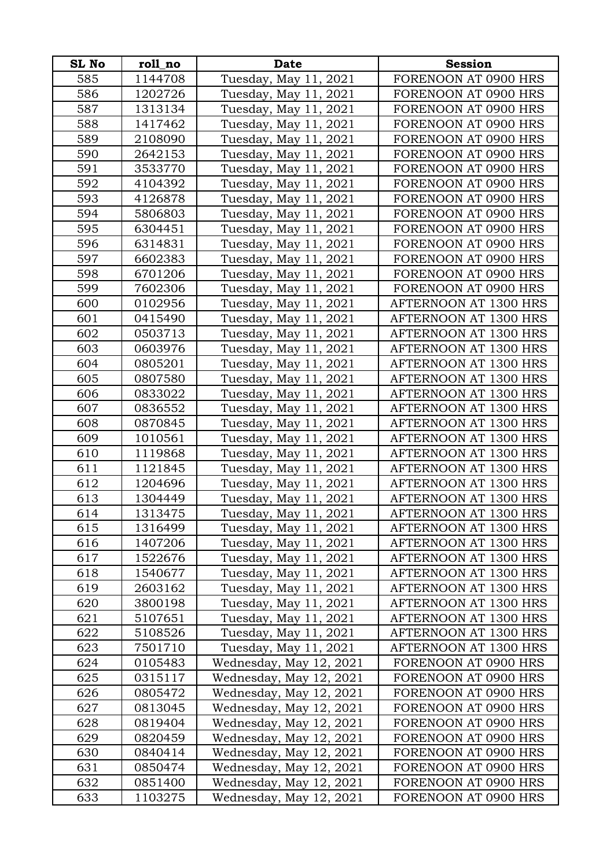| <b>SL No</b> | roll_no | <b>Date</b>             | <b>Session</b>               |
|--------------|---------|-------------------------|------------------------------|
| 585          | 1144708 | Tuesday, May 11, 2021   | FORENOON AT 0900 HRS         |
| 586          | 1202726 | Tuesday, May 11, 2021   | FORENOON AT 0900 HRS         |
| 587          | 1313134 | Tuesday, May 11, 2021   | FORENOON AT 0900 HRS         |
| 588          | 1417462 | Tuesday, May 11, 2021   | FORENOON AT 0900 HRS         |
| 589          | 2108090 | Tuesday, May 11, 2021   | FORENOON AT 0900 HRS         |
| 590          | 2642153 | Tuesday, May 11, 2021   | FORENOON AT 0900 HRS         |
| 591          | 3533770 | Tuesday, May 11, 2021   | FORENOON AT 0900 HRS         |
| 592          | 4104392 | Tuesday, May 11, 2021   | FORENOON AT 0900 HRS         |
| 593          | 4126878 | Tuesday, May 11, 2021   | FORENOON AT 0900 HRS         |
| 594          | 5806803 | Tuesday, May 11, 2021   | FORENOON AT 0900 HRS         |
| 595          | 6304451 | Tuesday, May 11, 2021   | FORENOON AT 0900 HRS         |
| 596          | 6314831 | Tuesday, May 11, 2021   | FORENOON AT 0900 HRS         |
| 597          | 6602383 | Tuesday, May 11, 2021   | FORENOON AT 0900 HRS         |
| 598          | 6701206 | Tuesday, May 11, 2021   | FORENOON AT 0900 HRS         |
| 599          | 7602306 | Tuesday, May 11, 2021   | FORENOON AT 0900 HRS         |
| 600          | 0102956 | Tuesday, May 11, 2021   | AFTERNOON AT 1300 HRS        |
| 601          | 0415490 | Tuesday, May 11, 2021   | AFTERNOON AT 1300 HRS        |
| 602          | 0503713 | Tuesday, May 11, 2021   | <b>AFTERNOON AT 1300 HRS</b> |
| 603          | 0603976 | Tuesday, May 11, 2021   | AFTERNOON AT 1300 HRS        |
| 604          | 0805201 | Tuesday, May 11, 2021   | AFTERNOON AT 1300 HRS        |
| 605          | 0807580 | Tuesday, May 11, 2021   | AFTERNOON AT 1300 HRS        |
| 606          | 0833022 | Tuesday, May 11, 2021   | AFTERNOON AT 1300 HRS        |
| 607          | 0836552 | Tuesday, May 11, 2021   | AFTERNOON AT 1300 HRS        |
| 608          | 0870845 | Tuesday, May 11, 2021   | AFTERNOON AT 1300 HRS        |
| 609          | 1010561 | Tuesday, May 11, 2021   | AFTERNOON AT 1300 HRS        |
| 610          | 1119868 | Tuesday, May 11, 2021   | AFTERNOON AT 1300 HRS        |
| 611          | 1121845 | Tuesday, May 11, 2021   | AFTERNOON AT 1300 HRS        |
| 612          | 1204696 | Tuesday, May 11, 2021   | AFTERNOON AT 1300 HRS        |
| 613          | 1304449 | Tuesday, May 11, 2021   | AFTERNOON AT 1300 HRS        |
| 614          | 1313475 | Tuesday, May 11, 2021   | AFTERNOON AT 1300 HRS        |
| 615          | 1316499 | Tuesday, May 11, 2021   | AFTERNOON AT 1300 HRS        |
| 616          | 1407206 | Tuesday, May 11, 2021   | AFTERNOON AT 1300 HRS        |
| 617          | 1522676 | Tuesday, May 11, 2021   | AFTERNOON AT 1300 HRS        |
| 618          | 1540677 | Tuesday, May 11, 2021   | AFTERNOON AT 1300 HRS        |
| 619          | 2603162 | Tuesday, May 11, 2021   | AFTERNOON AT 1300 HRS        |
| 620          | 3800198 | Tuesday, May 11, 2021   | AFTERNOON AT 1300 HRS        |
| 621          | 5107651 | Tuesday, May 11, 2021   | AFTERNOON AT 1300 HRS        |
| 622          | 5108526 | Tuesday, May 11, 2021   | AFTERNOON AT 1300 HRS        |
| 623          | 7501710 | Tuesday, May 11, 2021   | <b>AFTERNOON AT 1300 HRS</b> |
| 624          | 0105483 | Wednesday, May 12, 2021 | FORENOON AT 0900 HRS         |
| 625          | 0315117 | Wednesday, May 12, 2021 | FORENOON AT 0900 HRS         |
| 626          | 0805472 | Wednesday, May 12, 2021 | FORENOON AT 0900 HRS         |
| 627          | 0813045 | Wednesday, May 12, 2021 | FORENOON AT 0900 HRS         |
| 628          | 0819404 | Wednesday, May 12, 2021 | FORENOON AT 0900 HRS         |
| 629          | 0820459 | Wednesday, May 12, 2021 | FORENOON AT 0900 HRS         |
| 630          | 0840414 | Wednesday, May 12, 2021 | FORENOON AT 0900 HRS         |
| 631          | 0850474 | Wednesday, May 12, 2021 | FORENOON AT 0900 HRS         |
| 632          | 0851400 | Wednesday, May 12, 2021 | FORENOON AT 0900 HRS         |
| 633          | 1103275 | Wednesday, May 12, 2021 | FORENOON AT 0900 HRS         |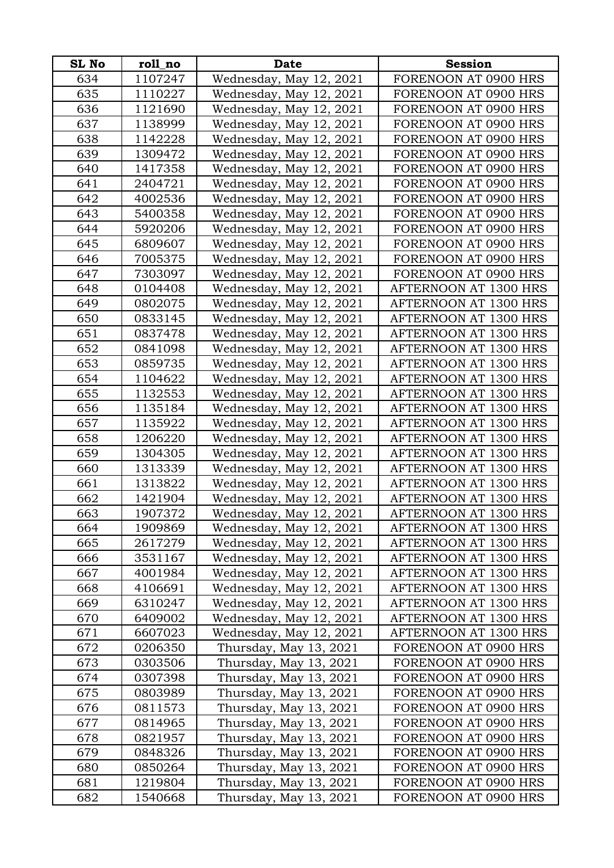| <b>SL No</b> | roll_no | <b>Date</b>             | <b>Session</b>               |
|--------------|---------|-------------------------|------------------------------|
| 634          | 1107247 | Wednesday, May 12, 2021 | FORENOON AT 0900 HRS         |
| 635          | 1110227 | Wednesday, May 12, 2021 | FORENOON AT 0900 HRS         |
| 636          | 1121690 | Wednesday, May 12, 2021 | FORENOON AT 0900 HRS         |
| 637          | 1138999 | Wednesday, May 12, 2021 | FORENOON AT 0900 HRS         |
| 638          | 1142228 | Wednesday, May 12, 2021 | FORENOON AT 0900 HRS         |
| 639          | 1309472 | Wednesday, May 12, 2021 | FORENOON AT 0900 HRS         |
| 640          | 1417358 | Wednesday, May 12, 2021 | FORENOON AT 0900 HRS         |
| 641          | 2404721 | Wednesday, May 12, 2021 | FORENOON AT 0900 HRS         |
| 642          | 4002536 | Wednesday, May 12, 2021 | FORENOON AT 0900 HRS         |
| 643          | 5400358 | Wednesday, May 12, 2021 | FORENOON AT 0900 HRS         |
| 644          | 5920206 | Wednesday, May 12, 2021 | FORENOON AT 0900 HRS         |
| 645          | 6809607 | Wednesday, May 12, 2021 | FORENOON AT 0900 HRS         |
| 646          | 7005375 | Wednesday, May 12, 2021 | FORENOON AT 0900 HRS         |
| 647          | 7303097 | Wednesday, May 12, 2021 | FORENOON AT 0900 HRS         |
| 648          | 0104408 | Wednesday, May 12, 2021 | AFTERNOON AT 1300 HRS        |
| 649          | 0802075 | Wednesday, May 12, 2021 | AFTERNOON AT 1300 HRS        |
| 650          | 0833145 | Wednesday, May 12, 2021 | AFTERNOON AT 1300 HRS        |
| 651          | 0837478 | Wednesday, May 12, 2021 | <b>AFTERNOON AT 1300 HRS</b> |
| 652          | 0841098 | Wednesday, May 12, 2021 | AFTERNOON AT 1300 HRS        |
| 653          | 0859735 | Wednesday, May 12, 2021 | AFTERNOON AT 1300 HRS        |
| 654          | 1104622 | Wednesday, May 12, 2021 | AFTERNOON AT 1300 HRS        |
| 655          | 1132553 | Wednesday, May 12, 2021 | AFTERNOON AT 1300 HRS        |
| 656          | 1135184 | Wednesday, May 12, 2021 | AFTERNOON AT 1300 HRS        |
| 657          | 1135922 | Wednesday, May 12, 2021 | AFTERNOON AT 1300 HRS        |
| 658          | 1206220 | Wednesday, May 12, 2021 | AFTERNOON AT 1300 HRS        |
| 659          | 1304305 | Wednesday, May 12, 2021 | AFTERNOON AT 1300 HRS        |
| 660          | 1313339 | Wednesday, May 12, 2021 | AFTERNOON AT 1300 HRS        |
| 661          | 1313822 | Wednesday, May 12, 2021 | AFTERNOON AT 1300 HRS        |
| 662          | 1421904 | Wednesday, May 12, 2021 | AFTERNOON AT 1300 HRS        |
| 663          | 1907372 | Wednesday, May 12, 2021 | AFTERNOON AT 1300 HRS        |
| 664          | 1909869 | Wednesday, May 12, 2021 | AFTERNOON AT 1300 HRS        |
| 665          | 2617279 | Wednesday, May 12, 2021 | AFTERNOON AT 1300 HRS        |
| 666          | 3531167 | Wednesday, May 12, 2021 | AFTERNOON AT 1300 HRS        |
| 667          | 4001984 | Wednesday, May 12, 2021 | <b>AFTERNOON AT 1300 HRS</b> |
| 668          | 4106691 | Wednesday, May 12, 2021 | AFTERNOON AT 1300 HRS        |
| 669          | 6310247 | Wednesday, May 12, 2021 | AFTERNOON AT 1300 HRS        |
| 670          | 6409002 | Wednesday, May 12, 2021 | AFTERNOON AT 1300 HRS        |
| 671          | 6607023 | Wednesday, May 12, 2021 | AFTERNOON AT 1300 HRS        |
| 672          | 0206350 | Thursday, May 13, 2021  | FORENOON AT 0900 HRS         |
| 673          | 0303506 | Thursday, May 13, 2021  | FORENOON AT 0900 HRS         |
| 674          | 0307398 | Thursday, May 13, 2021  | FORENOON AT 0900 HRS         |
| 675          | 0803989 | Thursday, May 13, 2021  | FORENOON AT 0900 HRS         |
| 676          | 0811573 | Thursday, May 13, 2021  | FORENOON AT 0900 HRS         |
| 677          | 0814965 | Thursday, May 13, 2021  | FORENOON AT 0900 HRS         |
| 678          | 0821957 | Thursday, May 13, 2021  | FORENOON AT 0900 HRS         |
| 679          | 0848326 | Thursday, May 13, 2021  | FORENOON AT 0900 HRS         |
| 680          | 0850264 | Thursday, May 13, 2021  | FORENOON AT 0900 HRS         |
| 681          | 1219804 | Thursday, May 13, 2021  | FORENOON AT 0900 HRS         |
| 682          | 1540668 | Thursday, May 13, 2021  | FORENOON AT 0900 HRS         |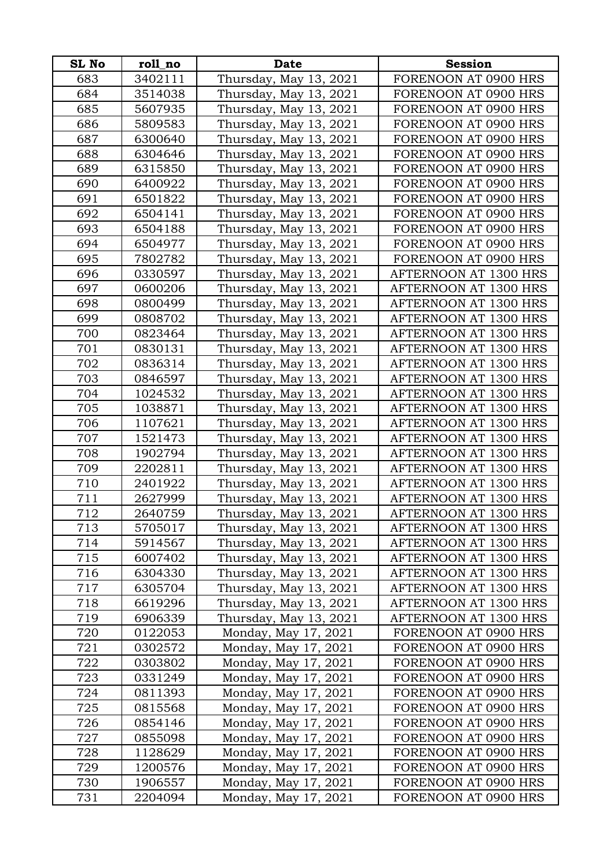| <b>SL No</b> | roll_no | <b>Date</b>            | <b>Session</b>        |
|--------------|---------|------------------------|-----------------------|
| 683          | 3402111 | Thursday, May 13, 2021 | FORENOON AT 0900 HRS  |
| 684          | 3514038 | Thursday, May 13, 2021 | FORENOON AT 0900 HRS  |
| 685          | 5607935 | Thursday, May 13, 2021 | FORENOON AT 0900 HRS  |
| 686          | 5809583 | Thursday, May 13, 2021 | FORENOON AT 0900 HRS  |
| 687          | 6300640 | Thursday, May 13, 2021 | FORENOON AT 0900 HRS  |
| 688          | 6304646 | Thursday, May 13, 2021 | FORENOON AT 0900 HRS  |
| 689          | 6315850 | Thursday, May 13, 2021 | FORENOON AT 0900 HRS  |
| 690          | 6400922 | Thursday, May 13, 2021 | FORENOON AT 0900 HRS  |
| 691          | 6501822 | Thursday, May 13, 2021 | FORENOON AT 0900 HRS  |
| 692          | 6504141 | Thursday, May 13, 2021 | FORENOON AT 0900 HRS  |
| 693          | 6504188 | Thursday, May 13, 2021 | FORENOON AT 0900 HRS  |
| 694          | 6504977 | Thursday, May 13, 2021 | FORENOON AT 0900 HRS  |
| 695          | 7802782 | Thursday, May 13, 2021 | FORENOON AT 0900 HRS  |
| 696          | 0330597 | Thursday, May 13, 2021 | AFTERNOON AT 1300 HRS |
| 697          | 0600206 | Thursday, May 13, 2021 | AFTERNOON AT 1300 HRS |
| 698          | 0800499 | Thursday, May 13, 2021 | AFTERNOON AT 1300 HRS |
| 699          | 0808702 | Thursday, May 13, 2021 | AFTERNOON AT 1300 HRS |
| 700          | 0823464 | Thursday, May 13, 2021 | AFTERNOON AT 1300 HRS |
| 701          | 0830131 | Thursday, May 13, 2021 | AFTERNOON AT 1300 HRS |
| 702          | 0836314 | Thursday, May 13, 2021 | AFTERNOON AT 1300 HRS |
| 703          | 0846597 | Thursday, May 13, 2021 | AFTERNOON AT 1300 HRS |
| 704          | 1024532 | Thursday, May 13, 2021 | AFTERNOON AT 1300 HRS |
| 705          | 1038871 | Thursday, May 13, 2021 | AFTERNOON AT 1300 HRS |
| 706          | 1107621 | Thursday, May 13, 2021 | AFTERNOON AT 1300 HRS |
| 707          | 1521473 | Thursday, May 13, 2021 | AFTERNOON AT 1300 HRS |
| 708          | 1902794 | Thursday, May 13, 2021 | AFTERNOON AT 1300 HRS |
| 709          | 2202811 | Thursday, May 13, 2021 | AFTERNOON AT 1300 HRS |
| 710          | 2401922 | Thursday, May 13, 2021 | AFTERNOON AT 1300 HRS |
| 711          | 2627999 | Thursday, May 13, 2021 | AFTERNOON AT 1300 HRS |
| 712          | 2640759 | Thursday, May 13, 2021 | AFTERNOON AT 1300 HRS |
| 713          | 5705017 | Thursday, May 13, 2021 | AFTERNOON AT 1300 HRS |
| 714          | 5914567 | Thursday, May 13, 2021 | AFTERNOON AT 1300 HRS |
| 715          | 6007402 | Thursday, May 13, 2021 | AFTERNOON AT 1300 HRS |
| 716          | 6304330 | Thursday, May 13, 2021 | AFTERNOON AT 1300 HRS |
| 717          | 6305704 | Thursday, May 13, 2021 | AFTERNOON AT 1300 HRS |
| 718          | 6619296 | Thursday, May 13, 2021 | AFTERNOON AT 1300 HRS |
| 719          | 6906339 | Thursday, May 13, 2021 | AFTERNOON AT 1300 HRS |
| 720          | 0122053 | Monday, May 17, 2021   | FORENOON AT 0900 HRS  |
| 721          | 0302572 | Monday, May 17, 2021   | FORENOON AT 0900 HRS  |
| 722          | 0303802 | Monday, May 17, 2021   | FORENOON AT 0900 HRS  |
| 723          | 0331249 | Monday, May 17, 2021   | FORENOON AT 0900 HRS  |
| 724          | 0811393 | Monday, May 17, 2021   | FORENOON AT 0900 HRS  |
| 725          | 0815568 | Monday, May 17, 2021   | FORENOON AT 0900 HRS  |
| 726          | 0854146 | Monday, May 17, 2021   | FORENOON AT 0900 HRS  |
| 727          | 0855098 | Monday, May 17, 2021   | FORENOON AT 0900 HRS  |
| 728          | 1128629 | Monday, May 17, 2021   | FORENOON AT 0900 HRS  |
| 729          | 1200576 | Monday, May 17, 2021   | FORENOON AT 0900 HRS  |
| 730          | 1906557 | Monday, May 17, 2021   | FORENOON AT 0900 HRS  |
| 731          | 2204094 | Monday, May 17, 2021   | FORENOON AT 0900 HRS  |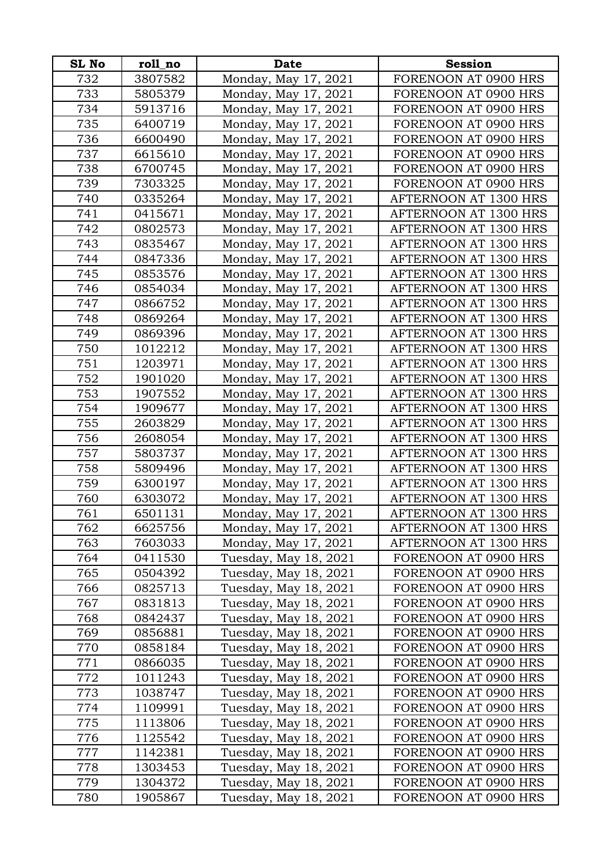| SL No   | roll_no | Date                  | <b>Session</b>        |
|---------|---------|-----------------------|-----------------------|
| 732     | 3807582 | Monday, May 17, 2021  | FORENOON AT 0900 HRS  |
| 733     | 5805379 | Monday, May 17, 2021  | FORENOON AT 0900 HRS  |
| 734     | 5913716 | Monday, May 17, 2021  | FORENOON AT 0900 HRS  |
| 735     | 6400719 | Monday, May 17, 2021  | FORENOON AT 0900 HRS  |
| 736     | 6600490 | Monday, May 17, 2021  | FORENOON AT 0900 HRS  |
| 737     | 6615610 | Monday, May 17, 2021  | FORENOON AT 0900 HRS  |
| 738     | 6700745 | Monday, May 17, 2021  | FORENOON AT 0900 HRS  |
| 739     | 7303325 | Monday, May 17, 2021  | FORENOON AT 0900 HRS  |
| 740     | 0335264 | Monday, May 17, 2021  | AFTERNOON AT 1300 HRS |
| 741     | 0415671 | Monday, May 17, 2021  | AFTERNOON AT 1300 HRS |
| 742     | 0802573 | Monday, May 17, 2021  | AFTERNOON AT 1300 HRS |
| 743     | 0835467 | Monday, May 17, 2021  | AFTERNOON AT 1300 HRS |
| 744     | 0847336 | Monday, May 17, 2021  | AFTERNOON AT 1300 HRS |
| 745     | 0853576 | Monday, May 17, 2021  | AFTERNOON AT 1300 HRS |
| 746     | 0854034 | Monday, May 17, 2021  | AFTERNOON AT 1300 HRS |
| 747     | 0866752 | Monday, May 17, 2021  | AFTERNOON AT 1300 HRS |
| 748     | 0869264 | Monday, May 17, 2021  | AFTERNOON AT 1300 HRS |
| 749     | 0869396 | Monday, May 17, 2021  | AFTERNOON AT 1300 HRS |
| 750     | 1012212 | Monday, May 17, 2021  | AFTERNOON AT 1300 HRS |
| 751     | 1203971 | Monday, May 17, 2021  | AFTERNOON AT 1300 HRS |
| 752     | 1901020 | Monday, May 17, 2021  | AFTERNOON AT 1300 HRS |
| 753     | 1907552 | Monday, May 17, 2021  | AFTERNOON AT 1300 HRS |
| 754     | 1909677 | Monday, May 17, 2021  | AFTERNOON AT 1300 HRS |
| 755     | 2603829 | Monday, May 17, 2021  | AFTERNOON AT 1300 HRS |
| 756     | 2608054 | Monday, May 17, 2021  | AFTERNOON AT 1300 HRS |
| 757     | 5803737 | Monday, May 17, 2021  | AFTERNOON AT 1300 HRS |
| 758     | 5809496 | Monday, May 17, 2021  | AFTERNOON AT 1300 HRS |
| 759     | 6300197 | Monday, May 17, 2021  | AFTERNOON AT 1300 HRS |
| 760     | 6303072 | Monday, May 17, 2021  | AFTERNOON AT 1300 HRS |
| 761     | 6501131 | Monday, May 17, 2021  | AFTERNOON AT 1300 HRS |
| 762     | 6625756 | Monday, May 17, 2021  | AFTERNOON AT 1300 HRS |
| 763     | 7603033 | Monday, May 17, 2021  | AFTERNOON AT 1300 HRS |
| 764     | 0411530 | Tuesday, May 18, 2021 | FORENOON AT 0900 HRS  |
| 765     | 0504392 | Tuesday, May 18, 2021 | FORENOON AT 0900 HRS  |
| 766     | 0825713 | Tuesday, May 18, 2021 | FORENOON AT 0900 HRS  |
| 767     | 0831813 | Tuesday, May 18, 2021 | FORENOON AT 0900 HRS  |
| 768     | 0842437 | Tuesday, May 18, 2021 | FORENOON AT 0900 HRS  |
| 769     | 0856881 | Tuesday, May 18, 2021 | FORENOON AT 0900 HRS  |
| 770     | 0858184 | Tuesday, May 18, 2021 | FORENOON AT 0900 HRS  |
| $771\,$ | 0866035 | Tuesday, May 18, 2021 | FORENOON AT 0900 HRS  |
| 772     | 1011243 | Tuesday, May 18, 2021 | FORENOON AT 0900 HRS  |
| 773     | 1038747 | Tuesday, May 18, 2021 | FORENOON AT 0900 HRS  |
| 774     | 1109991 | Tuesday, May 18, 2021 | FORENOON AT 0900 HRS  |
| 775     | 1113806 | Tuesday, May 18, 2021 | FORENOON AT 0900 HRS  |
| 776     | 1125542 | Tuesday, May 18, 2021 | FORENOON AT 0900 HRS  |
| 777     | 1142381 | Tuesday, May 18, 2021 | FORENOON AT 0900 HRS  |
| 778     | 1303453 | Tuesday, May 18, 2021 | FORENOON AT 0900 HRS  |
| 779     | 1304372 | Tuesday, May 18, 2021 | FORENOON AT 0900 HRS  |
| 780     | 1905867 | Tuesday, May 18, 2021 | FORENOON AT 0900 HRS  |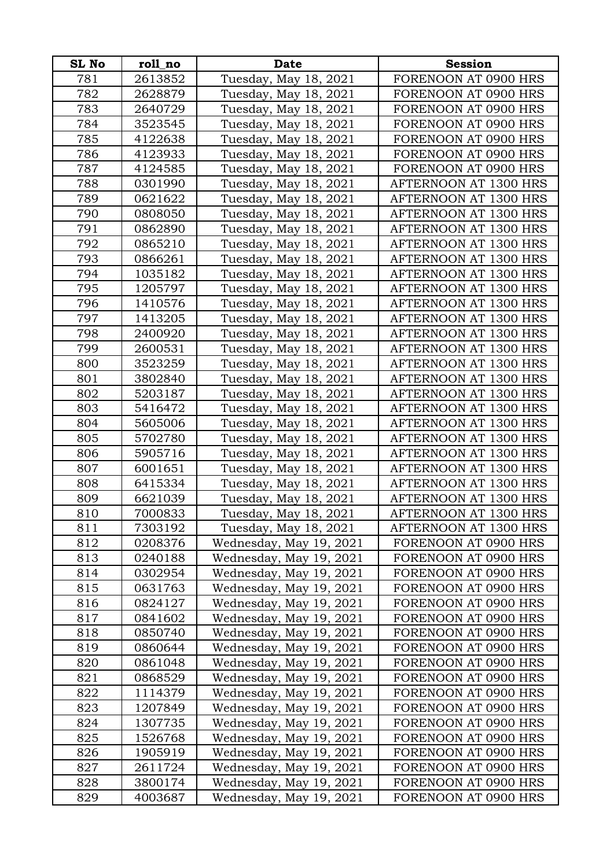| <b>SL No</b> | roll_no | <b>Date</b>             | <b>Session</b>        |
|--------------|---------|-------------------------|-----------------------|
| 781          | 2613852 | Tuesday, May 18, 2021   | FORENOON AT 0900 HRS  |
| 782          | 2628879 | Tuesday, May 18, 2021   | FORENOON AT 0900 HRS  |
| 783          | 2640729 | Tuesday, May 18, 2021   | FORENOON AT 0900 HRS  |
| 784          | 3523545 | Tuesday, May 18, 2021   | FORENOON AT 0900 HRS  |
| 785          | 4122638 | Tuesday, May 18, 2021   | FORENOON AT 0900 HRS  |
| 786          | 4123933 | Tuesday, May 18, 2021   | FORENOON AT 0900 HRS  |
| 787          | 4124585 | Tuesday, May 18, 2021   | FORENOON AT 0900 HRS  |
| 788          | 0301990 | Tuesday, May 18, 2021   | AFTERNOON AT 1300 HRS |
| 789          | 0621622 | Tuesday, May 18, 2021   | AFTERNOON AT 1300 HRS |
| 790          | 0808050 | Tuesday, May 18, 2021   | AFTERNOON AT 1300 HRS |
| 791          | 0862890 | Tuesday, May 18, 2021   | AFTERNOON AT 1300 HRS |
| 792          | 0865210 | Tuesday, May 18, 2021   | AFTERNOON AT 1300 HRS |
| 793          | 0866261 | Tuesday, May 18, 2021   | AFTERNOON AT 1300 HRS |
| 794          | 1035182 | Tuesday, May 18, 2021   | AFTERNOON AT 1300 HRS |
| 795          | 1205797 | Tuesday, May 18, 2021   | AFTERNOON AT 1300 HRS |
| 796          | 1410576 | Tuesday, May 18, 2021   | AFTERNOON AT 1300 HRS |
| 797          | 1413205 | Tuesday, May 18, 2021   | AFTERNOON AT 1300 HRS |
| 798          | 2400920 | Tuesday, May 18, 2021   | AFTERNOON AT 1300 HRS |
| 799          | 2600531 | Tuesday, May 18, 2021   | AFTERNOON AT 1300 HRS |
| 800          | 3523259 | Tuesday, May 18, 2021   | AFTERNOON AT 1300 HRS |
| 801          | 3802840 | Tuesday, May 18, 2021   | AFTERNOON AT 1300 HRS |
| 802          | 5203187 | Tuesday, May 18, 2021   | AFTERNOON AT 1300 HRS |
| 803          | 5416472 | Tuesday, May 18, 2021   | AFTERNOON AT 1300 HRS |
| 804          | 5605006 | Tuesday, May 18, 2021   | AFTERNOON AT 1300 HRS |
| 805          | 5702780 | Tuesday, May 18, 2021   | AFTERNOON AT 1300 HRS |
| 806          | 5905716 | Tuesday, May 18, 2021   | AFTERNOON AT 1300 HRS |
| 807          | 6001651 | Tuesday, May 18, 2021   | AFTERNOON AT 1300 HRS |
| 808          | 6415334 | Tuesday, May 18, 2021   | AFTERNOON AT 1300 HRS |
| 809          | 6621039 | Tuesday, May 18, 2021   | AFTERNOON AT 1300 HRS |
| 810          | 7000833 | Tuesday, May 18, 2021   | AFTERNOON AT 1300 HRS |
| 811          | 7303192 | Tuesday, May 18, 2021   | AFTERNOON AT 1300 HRS |
| 812          | 0208376 | Wednesday, May 19, 2021 | FORENOON AT 0900 HRS  |
| 813          | 0240188 | Wednesday, May 19, 2021 | FORENOON AT 0900 HRS  |
| 814          | 0302954 | Wednesday, May 19, 2021 | FORENOON AT 0900 HRS  |
| 815          | 0631763 | Wednesday, May 19, 2021 | FORENOON AT 0900 HRS  |
| 816          | 0824127 | Wednesday, May 19, 2021 | FORENOON AT 0900 HRS  |
| 817          | 0841602 | Wednesday, May 19, 2021 | FORENOON AT 0900 HRS  |
| 818          | 0850740 | Wednesday, May 19, 2021 | FORENOON AT 0900 HRS  |
| 819          | 0860644 | Wednesday, May 19, 2021 | FORENOON AT 0900 HRS  |
| 820          | 0861048 | Wednesday, May 19, 2021 | FORENOON AT 0900 HRS  |
| 821          | 0868529 | Wednesday, May 19, 2021 | FORENOON AT 0900 HRS  |
| 822          | 1114379 | Wednesday, May 19, 2021 | FORENOON AT 0900 HRS  |
| 823          | 1207849 | Wednesday, May 19, 2021 | FORENOON AT 0900 HRS  |
| 824          | 1307735 | Wednesday, May 19, 2021 | FORENOON AT 0900 HRS  |
| 825          | 1526768 | Wednesday, May 19, 2021 | FORENOON AT 0900 HRS  |
| 826          | 1905919 | Wednesday, May 19, 2021 | FORENOON AT 0900 HRS  |
| 827          | 2611724 | Wednesday, May 19, 2021 | FORENOON AT 0900 HRS  |
| 828          | 3800174 | Wednesday, May 19, 2021 | FORENOON AT 0900 HRS  |
| 829          | 4003687 | Wednesday, May 19, 2021 | FORENOON AT 0900 HRS  |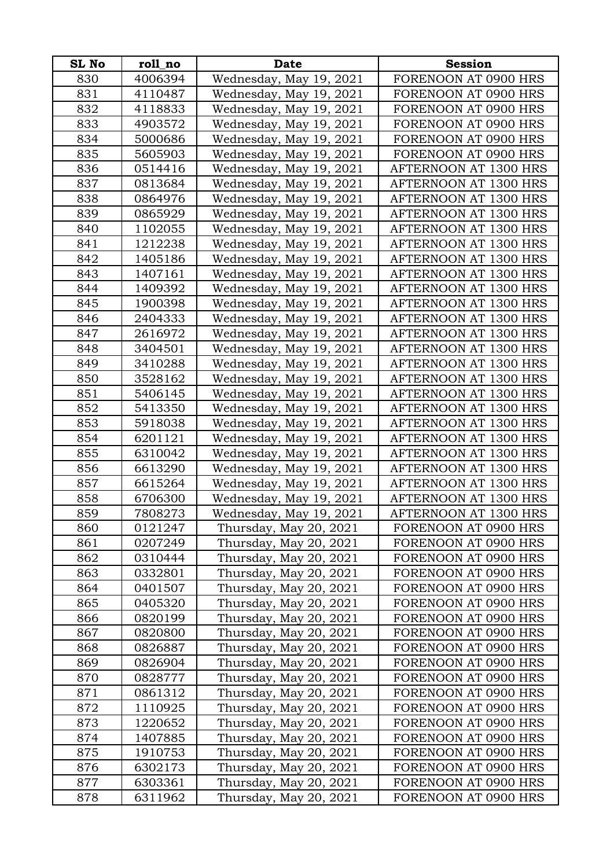| <b>SL No</b> | roll_no | <b>Date</b>             | <b>Session</b>        |
|--------------|---------|-------------------------|-----------------------|
| 830          | 4006394 | Wednesday, May 19, 2021 | FORENOON AT 0900 HRS  |
| 831          | 4110487 | Wednesday, May 19, 2021 | FORENOON AT 0900 HRS  |
| 832          | 4118833 | Wednesday, May 19, 2021 | FORENOON AT 0900 HRS  |
| 833          | 4903572 | Wednesday, May 19, 2021 | FORENOON AT 0900 HRS  |
| 834          | 5000686 | Wednesday, May 19, 2021 | FORENOON AT 0900 HRS  |
| 835          | 5605903 | Wednesday, May 19, 2021 | FORENOON AT 0900 HRS  |
| 836          | 0514416 | Wednesday, May 19, 2021 | AFTERNOON AT 1300 HRS |
| 837          | 0813684 | Wednesday, May 19, 2021 | AFTERNOON AT 1300 HRS |
| 838          | 0864976 | Wednesday, May 19, 2021 | AFTERNOON AT 1300 HRS |
| 839          | 0865929 | Wednesday, May 19, 2021 | AFTERNOON AT 1300 HRS |
| 840          | 1102055 | Wednesday, May 19, 2021 | AFTERNOON AT 1300 HRS |
| 841          | 1212238 | Wednesday, May 19, 2021 | AFTERNOON AT 1300 HRS |
| 842          | 1405186 | Wednesday, May 19, 2021 | AFTERNOON AT 1300 HRS |
| 843          | 1407161 | Wednesday, May 19, 2021 | AFTERNOON AT 1300 HRS |
| 844          | 1409392 | Wednesday, May 19, 2021 | AFTERNOON AT 1300 HRS |
| 845          | 1900398 | Wednesday, May 19, 2021 | AFTERNOON AT 1300 HRS |
| 846          | 2404333 | Wednesday, May 19, 2021 | AFTERNOON AT 1300 HRS |
| 847          | 2616972 | Wednesday, May 19, 2021 | AFTERNOON AT 1300 HRS |
| 848          | 3404501 | Wednesday, May 19, 2021 | AFTERNOON AT 1300 HRS |
| 849          | 3410288 | Wednesday, May 19, 2021 | AFTERNOON AT 1300 HRS |
| 850          | 3528162 | Wednesday, May 19, 2021 | AFTERNOON AT 1300 HRS |
| 851          | 5406145 | Wednesday, May 19, 2021 | AFTERNOON AT 1300 HRS |
| 852          | 5413350 | Wednesday, May 19, 2021 | AFTERNOON AT 1300 HRS |
| 853          | 5918038 | Wednesday, May 19, 2021 | AFTERNOON AT 1300 HRS |
| 854          | 6201121 | Wednesday, May 19, 2021 | AFTERNOON AT 1300 HRS |
| 855          | 6310042 | Wednesday, May 19, 2021 | AFTERNOON AT 1300 HRS |
| 856          | 6613290 | Wednesday, May 19, 2021 | AFTERNOON AT 1300 HRS |
| 857          | 6615264 | Wednesday, May 19, 2021 | AFTERNOON AT 1300 HRS |
| 858          | 6706300 | Wednesday, May 19, 2021 | AFTERNOON AT 1300 HRS |
| 859          | 7808273 | Wednesday, May 19, 2021 | AFTERNOON AT 1300 HRS |
| 860          | 0121247 | Thursday, May 20, 2021  | FORENOON AT 0900 HRS  |
| 861          | 0207249 | Thursday, May 20, 2021  | FORENOON AT 0900 HRS  |
| 862          | 0310444 | Thursday, May 20, 2021  | FORENOON AT 0900 HRS  |
| 863          | 0332801 | Thursday, May 20, 2021  | FORENOON AT 0900 HRS  |
| 864          | 0401507 | Thursday, May 20, 2021  | FORENOON AT 0900 HRS  |
| 865          | 0405320 | Thursday, May 20, 2021  | FORENOON AT 0900 HRS  |
| 866          | 0820199 | Thursday, May 20, 2021  | FORENOON AT 0900 HRS  |
| 867          | 0820800 | Thursday, May 20, 2021  | FORENOON AT 0900 HRS  |
| 868          | 0826887 | Thursday, May 20, 2021  | FORENOON AT 0900 HRS  |
| 869          | 0826904 | Thursday, May 20, 2021  | FORENOON AT 0900 HRS  |
| 870          | 0828777 | Thursday, May 20, 2021  | FORENOON AT 0900 HRS  |
| 871          | 0861312 | Thursday, May 20, 2021  | FORENOON AT 0900 HRS  |
| 872          | 1110925 | Thursday, May 20, 2021  | FORENOON AT 0900 HRS  |
| 873          | 1220652 | Thursday, May 20, 2021  | FORENOON AT 0900 HRS  |
| 874          | 1407885 | Thursday, May 20, 2021  | FORENOON AT 0900 HRS  |
| 875          | 1910753 | Thursday, May 20, 2021  | FORENOON AT 0900 HRS  |
| 876          | 6302173 | Thursday, May 20, 2021  | FORENOON AT 0900 HRS  |
| 877          | 6303361 | Thursday, May 20, 2021  | FORENOON AT 0900 HRS  |
| 878          | 6311962 | Thursday, May 20, 2021  | FORENOON AT 0900 HRS  |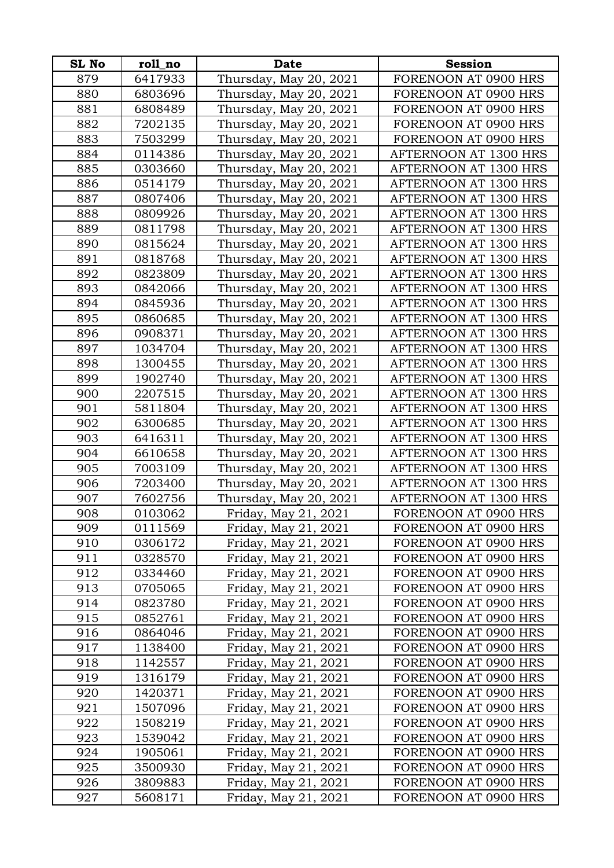| <b>SL No</b> | roll_no | <b>Date</b>            | <b>Session</b>        |
|--------------|---------|------------------------|-----------------------|
| 879          | 6417933 | Thursday, May 20, 2021 | FORENOON AT 0900 HRS  |
| 880          | 6803696 | Thursday, May 20, 2021 | FORENOON AT 0900 HRS  |
| 881          | 6808489 | Thursday, May 20, 2021 | FORENOON AT 0900 HRS  |
| 882          | 7202135 | Thursday, May 20, 2021 | FORENOON AT 0900 HRS  |
| 883          | 7503299 | Thursday, May 20, 2021 | FORENOON AT 0900 HRS  |
| 884          | 0114386 | Thursday, May 20, 2021 | AFTERNOON AT 1300 HRS |
| 885          | 0303660 | Thursday, May 20, 2021 | AFTERNOON AT 1300 HRS |
| 886          | 0514179 | Thursday, May 20, 2021 | AFTERNOON AT 1300 HRS |
| 887          | 0807406 | Thursday, May 20, 2021 | AFTERNOON AT 1300 HRS |
| 888          | 0809926 | Thursday, May 20, 2021 | AFTERNOON AT 1300 HRS |
| 889          | 0811798 | Thursday, May 20, 2021 | AFTERNOON AT 1300 HRS |
| 890          | 0815624 | Thursday, May 20, 2021 | AFTERNOON AT 1300 HRS |
| 891          | 0818768 | Thursday, May 20, 2021 | AFTERNOON AT 1300 HRS |
| 892          | 0823809 | Thursday, May 20, 2021 | AFTERNOON AT 1300 HRS |
| 893          | 0842066 | Thursday, May 20, 2021 | AFTERNOON AT 1300 HRS |
| 894          | 0845936 | Thursday, May 20, 2021 | AFTERNOON AT 1300 HRS |
| 895          | 0860685 | Thursday, May 20, 2021 | AFTERNOON AT 1300 HRS |
| 896          | 0908371 | Thursday, May 20, 2021 | AFTERNOON AT 1300 HRS |
| 897          | 1034704 | Thursday, May 20, 2021 | AFTERNOON AT 1300 HRS |
| 898          | 1300455 | Thursday, May 20, 2021 | AFTERNOON AT 1300 HRS |
| 899          | 1902740 | Thursday, May 20, 2021 | AFTERNOON AT 1300 HRS |
| 900          | 2207515 | Thursday, May 20, 2021 | AFTERNOON AT 1300 HRS |
| 901          | 5811804 | Thursday, May 20, 2021 | AFTERNOON AT 1300 HRS |
| 902          | 6300685 | Thursday, May 20, 2021 | AFTERNOON AT 1300 HRS |
| 903          | 6416311 | Thursday, May 20, 2021 | AFTERNOON AT 1300 HRS |
| 904          | 6610658 | Thursday, May 20, 2021 | AFTERNOON AT 1300 HRS |
| 905          | 7003109 | Thursday, May 20, 2021 | AFTERNOON AT 1300 HRS |
| 906          | 7203400 | Thursday, May 20, 2021 | AFTERNOON AT 1300 HRS |
| 907          | 7602756 | Thursday, May 20, 2021 | AFTERNOON AT 1300 HRS |
| 908          | 0103062 | Friday, May 21, 2021   | FORENOON AT 0900 HRS  |
| 909          | 0111569 | Friday, May 21, 2021   | FORENOON AT 0900 HRS  |
| 910          | 0306172 | Friday, May 21, 2021   | FORENOON AT 0900 HRS  |
| 911          | 0328570 | Friday, May 21, 2021   | FORENOON AT 0900 HRS  |
| 912          | 0334460 | Friday, May 21, 2021   | FORENOON AT 0900 HRS  |
| 913          | 0705065 | Friday, May 21, 2021   | FORENOON AT 0900 HRS  |
| 914          | 0823780 | Friday, May 21, 2021   | FORENOON AT 0900 HRS  |
| 915          | 0852761 | Friday, May 21, 2021   | FORENOON AT 0900 HRS  |
| 916          | 0864046 | Friday, May 21, 2021   | FORENOON AT 0900 HRS  |
| 917          | 1138400 | Friday, May 21, 2021   | FORENOON AT 0900 HRS  |
| 918          | 1142557 | Friday, May 21, 2021   | FORENOON AT 0900 HRS  |
| 919          | 1316179 | Friday, May 21, 2021   | FORENOON AT 0900 HRS  |
| 920          | 1420371 | Friday, May 21, 2021   | FORENOON AT 0900 HRS  |
| 921          | 1507096 | Friday, May 21, 2021   | FORENOON AT 0900 HRS  |
| 922          | 1508219 | Friday, May 21, 2021   | FORENOON AT 0900 HRS  |
| 923          | 1539042 | Friday, May 21, 2021   | FORENOON AT 0900 HRS  |
| 924          | 1905061 | Friday, May 21, 2021   | FORENOON AT 0900 HRS  |
| 925          | 3500930 | Friday, May 21, 2021   | FORENOON AT 0900 HRS  |
| 926          | 3809883 | Friday, May 21, 2021   | FORENOON AT 0900 HRS  |
| 927          | 5608171 | Friday, May 21, 2021   | FORENOON AT 0900 HRS  |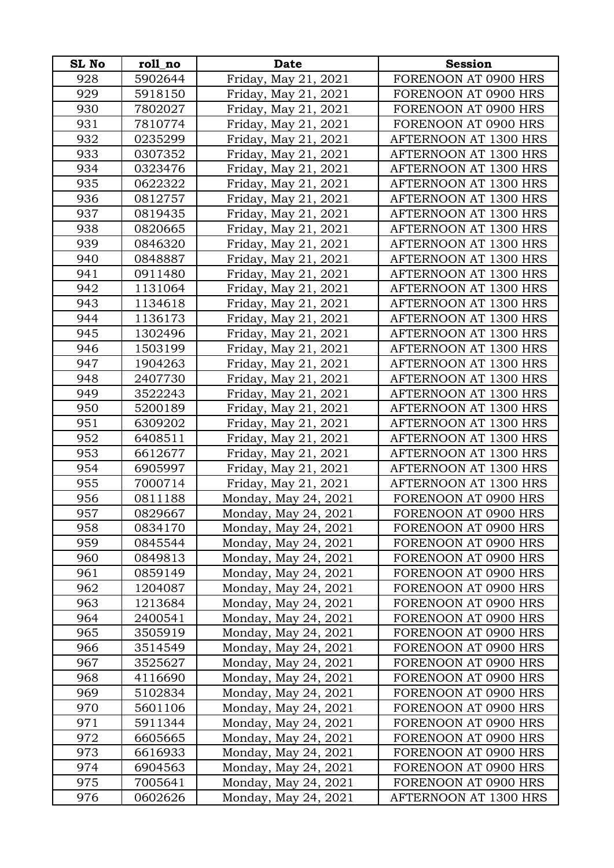| <b>SL No</b> | roll_no | <b>Date</b>          | <b>Session</b>        |
|--------------|---------|----------------------|-----------------------|
| 928          | 5902644 | Friday, May 21, 2021 | FORENOON AT 0900 HRS  |
| 929          | 5918150 | Friday, May 21, 2021 | FORENOON AT 0900 HRS  |
| 930          | 7802027 | Friday, May 21, 2021 | FORENOON AT 0900 HRS  |
| 931          | 7810774 | Friday, May 21, 2021 | FORENOON AT 0900 HRS  |
| 932          | 0235299 | Friday, May 21, 2021 | AFTERNOON AT 1300 HRS |
| 933          | 0307352 | Friday, May 21, 2021 | AFTERNOON AT 1300 HRS |
| 934          | 0323476 | Friday, May 21, 2021 | AFTERNOON AT 1300 HRS |
| 935          | 0622322 | Friday, May 21, 2021 | AFTERNOON AT 1300 HRS |
| 936          | 0812757 | Friday, May 21, 2021 | AFTERNOON AT 1300 HRS |
| 937          | 0819435 | Friday, May 21, 2021 | AFTERNOON AT 1300 HRS |
| 938          | 0820665 | Friday, May 21, 2021 | AFTERNOON AT 1300 HRS |
| 939          | 0846320 | Friday, May 21, 2021 | AFTERNOON AT 1300 HRS |
| 940          | 0848887 | Friday, May 21, 2021 | AFTERNOON AT 1300 HRS |
| 941          | 0911480 | Friday, May 21, 2021 | AFTERNOON AT 1300 HRS |
| 942          | 1131064 | Friday, May 21, 2021 | AFTERNOON AT 1300 HRS |
| 943          | 1134618 | Friday, May 21, 2021 | AFTERNOON AT 1300 HRS |
| 944          | 1136173 | Friday, May 21, 2021 | AFTERNOON AT 1300 HRS |
| 945          | 1302496 | Friday, May 21, 2021 | AFTERNOON AT 1300 HRS |
| 946          | 1503199 | Friday, May 21, 2021 | AFTERNOON AT 1300 HRS |
| 947          | 1904263 | Friday, May 21, 2021 | AFTERNOON AT 1300 HRS |
| 948          | 2407730 | Friday, May 21, 2021 | AFTERNOON AT 1300 HRS |
| 949          | 3522243 | Friday, May 21, 2021 | AFTERNOON AT 1300 HRS |
| 950          | 5200189 | Friday, May 21, 2021 | AFTERNOON AT 1300 HRS |
| 951          | 6309202 | Friday, May 21, 2021 | AFTERNOON AT 1300 HRS |
| 952          | 6408511 | Friday, May 21, 2021 | AFTERNOON AT 1300 HRS |
| 953          | 6612677 | Friday, May 21, 2021 | AFTERNOON AT 1300 HRS |
| 954          | 6905997 | Friday, May 21, 2021 | AFTERNOON AT 1300 HRS |
| 955          | 7000714 | Friday, May 21, 2021 | AFTERNOON AT 1300 HRS |
| 956          | 0811188 | Monday, May 24, 2021 | FORENOON AT 0900 HRS  |
| 957          | 0829667 | Monday, May 24, 2021 | FORENOON AT 0900 HRS  |
| 958          | 0834170 | Monday, May 24, 2021 | FORENOON AT 0900 HRS  |
| 959          | 0845544 | Monday, May 24, 2021 | FORENOON AT 0900 HRS  |
| 960          | 0849813 | Monday, May 24, 2021 | FORENOON AT 0900 HRS  |
| 961          | 0859149 | Monday, May 24, 2021 | FORENOON AT 0900 HRS  |
| 962          | 1204087 | Monday, May 24, 2021 | FORENOON AT 0900 HRS  |
| 963          | 1213684 | Monday, May 24, 2021 | FORENOON AT 0900 HRS  |
| 964          | 2400541 | Monday, May 24, 2021 | FORENOON AT 0900 HRS  |
| 965          | 3505919 | Monday, May 24, 2021 | FORENOON AT 0900 HRS  |
| 966          | 3514549 | Monday, May 24, 2021 | FORENOON AT 0900 HRS  |
| 967          | 3525627 | Monday, May 24, 2021 | FORENOON AT 0900 HRS  |
| 968          | 4116690 | Monday, May 24, 2021 | FORENOON AT 0900 HRS  |
| 969          | 5102834 | Monday, May 24, 2021 | FORENOON AT 0900 HRS  |
| 970          | 5601106 | Monday, May 24, 2021 | FORENOON AT 0900 HRS  |
| 971          | 5911344 | Monday, May 24, 2021 | FORENOON AT 0900 HRS  |
| 972          | 6605665 | Monday, May 24, 2021 | FORENOON AT 0900 HRS  |
| 973          | 6616933 | Monday, May 24, 2021 | FORENOON AT 0900 HRS  |
| 974          | 6904563 | Monday, May 24, 2021 | FORENOON AT 0900 HRS  |
| 975          | 7005641 | Monday, May 24, 2021 | FORENOON AT 0900 HRS  |
| 976          | 0602626 | Monday, May 24, 2021 | AFTERNOON AT 1300 HRS |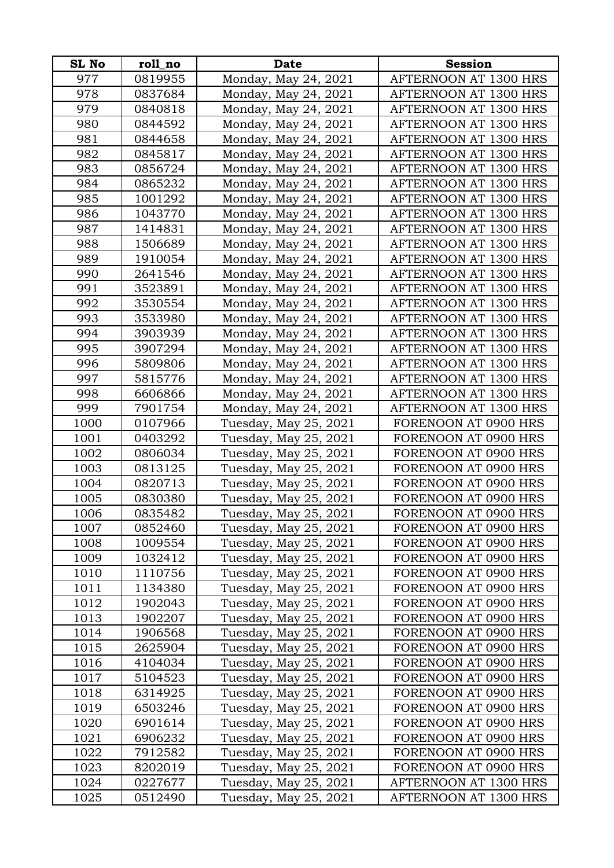| <b>SL No</b> | roll_no | <b>Date</b>           | <b>Session</b>        |
|--------------|---------|-----------------------|-----------------------|
| 977          | 0819955 | Monday, May 24, 2021  | AFTERNOON AT 1300 HRS |
| 978          | 0837684 | Monday, May 24, 2021  | AFTERNOON AT 1300 HRS |
| 979          | 0840818 | Monday, May 24, 2021  | AFTERNOON AT 1300 HRS |
| 980          | 0844592 | Monday, May 24, 2021  | AFTERNOON AT 1300 HRS |
| 981          | 0844658 | Monday, May 24, 2021  | AFTERNOON AT 1300 HRS |
| 982          | 0845817 | Monday, May 24, 2021  | AFTERNOON AT 1300 HRS |
| 983          | 0856724 | Monday, May 24, 2021  | AFTERNOON AT 1300 HRS |
| 984          | 0865232 | Monday, May 24, 2021  | AFTERNOON AT 1300 HRS |
| 985          | 1001292 | Monday, May 24, 2021  | AFTERNOON AT 1300 HRS |
| 986          | 1043770 | Monday, May 24, 2021  | AFTERNOON AT 1300 HRS |
| 987          | 1414831 | Monday, May 24, 2021  | AFTERNOON AT 1300 HRS |
| 988          | 1506689 | Monday, May 24, 2021  | AFTERNOON AT 1300 HRS |
| 989          | 1910054 | Monday, May 24, 2021  | AFTERNOON AT 1300 HRS |
| 990          | 2641546 | Monday, May 24, 2021  | AFTERNOON AT 1300 HRS |
| 991          | 3523891 | Monday, May 24, 2021  | AFTERNOON AT 1300 HRS |
| 992          | 3530554 | Monday, May 24, 2021  | AFTERNOON AT 1300 HRS |
| 993          | 3533980 | Monday, May 24, 2021  | AFTERNOON AT 1300 HRS |
| 994          | 3903939 | Monday, May 24, 2021  | AFTERNOON AT 1300 HRS |
| 995          | 3907294 | Monday, May 24, 2021  | AFTERNOON AT 1300 HRS |
| 996          | 5809806 | Monday, May 24, 2021  | AFTERNOON AT 1300 HRS |
| 997          | 5815776 | Monday, May 24, 2021  | AFTERNOON AT 1300 HRS |
| 998          | 6606866 | Monday, May 24, 2021  | AFTERNOON AT 1300 HRS |
| 999          | 7901754 | Monday, May 24, 2021  | AFTERNOON AT 1300 HRS |
| 1000         | 0107966 | Tuesday, May 25, 2021 | FORENOON AT 0900 HRS  |
| 1001         | 0403292 | Tuesday, May 25, 2021 | FORENOON AT 0900 HRS  |
| 1002         | 0806034 | Tuesday, May 25, 2021 | FORENOON AT 0900 HRS  |
| 1003         | 0813125 | Tuesday, May 25, 2021 | FORENOON AT 0900 HRS  |
| 1004         | 0820713 | Tuesday, May 25, 2021 | FORENOON AT 0900 HRS  |
| 1005         | 0830380 | Tuesday, May 25, 2021 | FORENOON AT 0900 HRS  |
| 1006         | 0835482 | Tuesday, May 25, 2021 | FORENOON AT 0900 HRS  |
| 1007         | 0852460 | Tuesday, May 25, 2021 | FORENOON AT 0900 HRS  |
| 1008         | 1009554 | Tuesday, May 25, 2021 | FORENOON AT 0900 HRS  |
| 1009         | 1032412 | Tuesday, May 25, 2021 | FORENOON AT 0900 HRS  |
| 1010         | 1110756 | Tuesday, May 25, 2021 | FORENOON AT 0900 HRS  |
| 1011         | 1134380 | Tuesday, May 25, 2021 | FORENOON AT 0900 HRS  |
| 1012         | 1902043 | Tuesday, May 25, 2021 | FORENOON AT 0900 HRS  |
| 1013         | 1902207 | Tuesday, May 25, 2021 | FORENOON AT 0900 HRS  |
| 1014         | 1906568 | Tuesday, May 25, 2021 | FORENOON AT 0900 HRS  |
| 1015         | 2625904 | Tuesday, May 25, 2021 | FORENOON AT 0900 HRS  |
| 1016         | 4104034 | Tuesday, May 25, 2021 | FORENOON AT 0900 HRS  |
| 1017         | 5104523 | Tuesday, May 25, 2021 | FORENOON AT 0900 HRS  |
| 1018         | 6314925 | Tuesday, May 25, 2021 | FORENOON AT 0900 HRS  |
| 1019         | 6503246 | Tuesday, May 25, 2021 | FORENOON AT 0900 HRS  |
| 1020         | 6901614 | Tuesday, May 25, 2021 | FORENOON AT 0900 HRS  |
| 1021         | 6906232 | Tuesday, May 25, 2021 | FORENOON AT 0900 HRS  |
| 1022         | 7912582 | Tuesday, May 25, 2021 | FORENOON AT 0900 HRS  |
| 1023         | 8202019 | Tuesday, May 25, 2021 | FORENOON AT 0900 HRS  |
| 1024         | 0227677 | Tuesday, May 25, 2021 | AFTERNOON AT 1300 HRS |
| 1025         | 0512490 | Tuesday, May 25, 2021 | AFTERNOON AT 1300 HRS |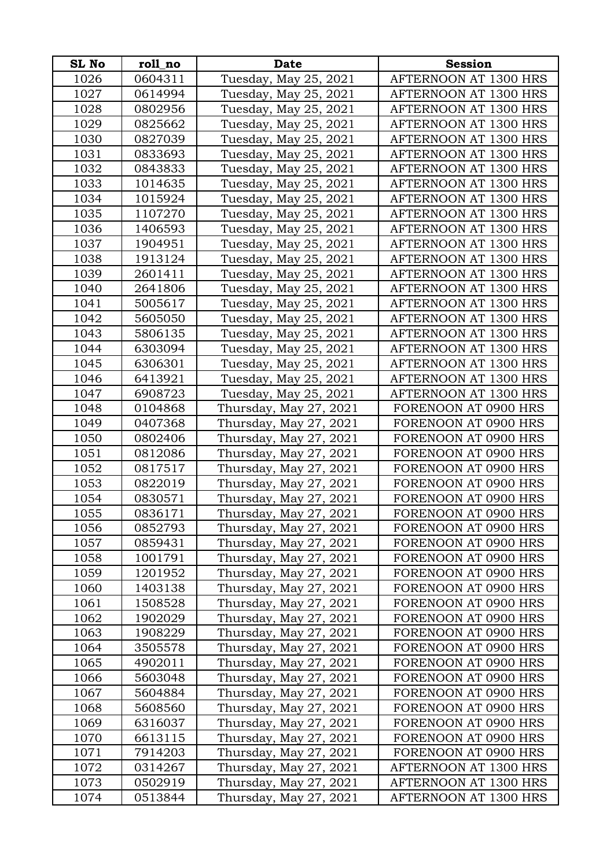| <b>SL No</b> | roll_no | <b>Date</b>            | <b>Session</b>        |
|--------------|---------|------------------------|-----------------------|
| 1026         | 0604311 | Tuesday, May 25, 2021  | AFTERNOON AT 1300 HRS |
| 1027         | 0614994 | Tuesday, May 25, 2021  | AFTERNOON AT 1300 HRS |
| 1028         | 0802956 | Tuesday, May 25, 2021  | AFTERNOON AT 1300 HRS |
| 1029         | 0825662 | Tuesday, May 25, 2021  | AFTERNOON AT 1300 HRS |
| 1030         | 0827039 | Tuesday, May 25, 2021  | AFTERNOON AT 1300 HRS |
| 1031         | 0833693 | Tuesday, May 25, 2021  | AFTERNOON AT 1300 HRS |
| 1032         | 0843833 | Tuesday, May 25, 2021  | AFTERNOON AT 1300 HRS |
| 1033         | 1014635 | Tuesday, May 25, 2021  | AFTERNOON AT 1300 HRS |
| 1034         | 1015924 | Tuesday, May 25, 2021  | AFTERNOON AT 1300 HRS |
| 1035         | 1107270 | Tuesday, May 25, 2021  | AFTERNOON AT 1300 HRS |
| 1036         | 1406593 | Tuesday, May 25, 2021  | AFTERNOON AT 1300 HRS |
| 1037         | 1904951 | Tuesday, May 25, 2021  | AFTERNOON AT 1300 HRS |
| 1038         | 1913124 | Tuesday, May 25, 2021  | AFTERNOON AT 1300 HRS |
| 1039         | 2601411 | Tuesday, May 25, 2021  | AFTERNOON AT 1300 HRS |
| 1040         | 2641806 | Tuesday, May 25, 2021  | AFTERNOON AT 1300 HRS |
| 1041         | 5005617 | Tuesday, May 25, 2021  | AFTERNOON AT 1300 HRS |
| 1042         | 5605050 | Tuesday, May 25, 2021  | AFTERNOON AT 1300 HRS |
| 1043         | 5806135 | Tuesday, May 25, 2021  | AFTERNOON AT 1300 HRS |
| 1044         | 6303094 | Tuesday, May 25, 2021  | AFTERNOON AT 1300 HRS |
| 1045         | 6306301 | Tuesday, May 25, 2021  | AFTERNOON AT 1300 HRS |
| 1046         | 6413921 | Tuesday, May 25, 2021  | AFTERNOON AT 1300 HRS |
| 1047         | 6908723 | Tuesday, May 25, 2021  | AFTERNOON AT 1300 HRS |
| 1048         | 0104868 | Thursday, May 27, 2021 | FORENOON AT 0900 HRS  |
| 1049         | 0407368 | Thursday, May 27, 2021 | FORENOON AT 0900 HRS  |
| 1050         | 0802406 | Thursday, May 27, 2021 | FORENOON AT 0900 HRS  |
| 1051         | 0812086 | Thursday, May 27, 2021 | FORENOON AT 0900 HRS  |
| 1052         | 0817517 | Thursday, May 27, 2021 | FORENOON AT 0900 HRS  |
| 1053         | 0822019 | Thursday, May 27, 2021 | FORENOON AT 0900 HRS  |
| 1054         | 0830571 | Thursday, May 27, 2021 | FORENOON AT 0900 HRS  |
| 1055         | 0836171 | Thursday, May 27, 2021 | FORENOON AT 0900 HRS  |
| 1056         | 0852793 | Thursday, May 27, 2021 | FORENOON AT 0900 HRS  |
| 1057         | 0859431 | Thursday, May 27, 2021 | FORENOON AT 0900 HRS  |
| 1058         | 1001791 | Thursday, May 27, 2021 | FORENOON AT 0900 HRS  |
| 1059         | 1201952 | Thursday, May 27, 2021 | FORENOON AT 0900 HRS  |
| 1060         | 1403138 | Thursday, May 27, 2021 | FORENOON AT 0900 HRS  |
| 1061         | 1508528 | Thursday, May 27, 2021 | FORENOON AT 0900 HRS  |
| 1062         | 1902029 | Thursday, May 27, 2021 | FORENOON AT 0900 HRS  |
| 1063         | 1908229 | Thursday, May 27, 2021 | FORENOON AT 0900 HRS  |
| 1064         | 3505578 | Thursday, May 27, 2021 | FORENOON AT 0900 HRS  |
| 1065         | 4902011 | Thursday, May 27, 2021 | FORENOON AT 0900 HRS  |
| 1066         | 5603048 | Thursday, May 27, 2021 | FORENOON AT 0900 HRS  |
| 1067         | 5604884 | Thursday, May 27, 2021 | FORENOON AT 0900 HRS  |
| 1068         | 5608560 | Thursday, May 27, 2021 | FORENOON AT 0900 HRS  |
| 1069         | 6316037 | Thursday, May 27, 2021 | FORENOON AT 0900 HRS  |
| 1070         | 6613115 | Thursday, May 27, 2021 | FORENOON AT 0900 HRS  |
| 1071         | 7914203 | Thursday, May 27, 2021 | FORENOON AT 0900 HRS  |
| 1072         | 0314267 | Thursday, May 27, 2021 | AFTERNOON AT 1300 HRS |
| 1073         | 0502919 | Thursday, May 27, 2021 | AFTERNOON AT 1300 HRS |
| 1074         | 0513844 | Thursday, May 27, 2021 | AFTERNOON AT 1300 HRS |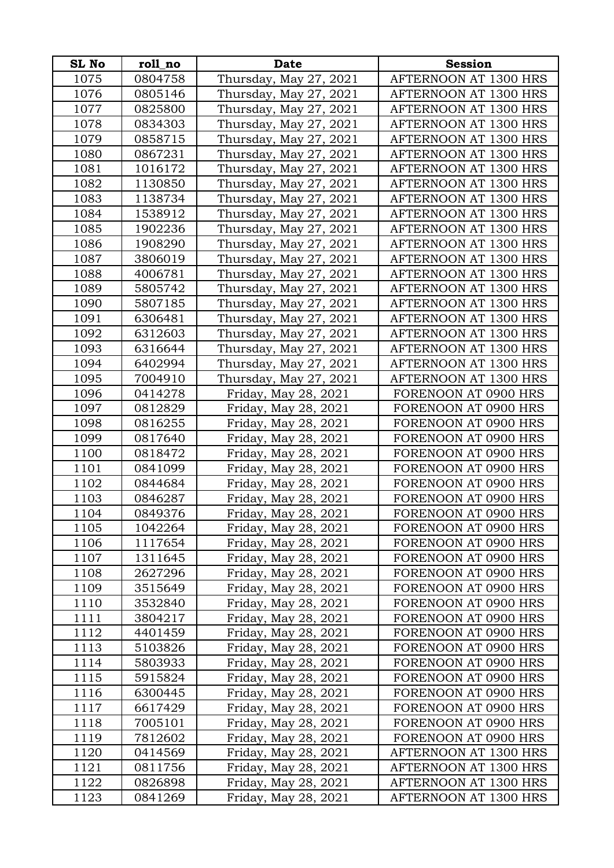| <b>SL No</b> | roll_no | Date                   | <b>Session</b>        |
|--------------|---------|------------------------|-----------------------|
| 1075         | 0804758 | Thursday, May 27, 2021 | AFTERNOON AT 1300 HRS |
| 1076         | 0805146 | Thursday, May 27, 2021 | AFTERNOON AT 1300 HRS |
| 1077         | 0825800 | Thursday, May 27, 2021 | AFTERNOON AT 1300 HRS |
| 1078         | 0834303 | Thursday, May 27, 2021 | AFTERNOON AT 1300 HRS |
| 1079         | 0858715 | Thursday, May 27, 2021 | AFTERNOON AT 1300 HRS |
| 1080         | 0867231 | Thursday, May 27, 2021 | AFTERNOON AT 1300 HRS |
| 1081         | 1016172 | Thursday, May 27, 2021 | AFTERNOON AT 1300 HRS |
| 1082         | 1130850 | Thursday, May 27, 2021 | AFTERNOON AT 1300 HRS |
| 1083         | 1138734 | Thursday, May 27, 2021 | AFTERNOON AT 1300 HRS |
| 1084         | 1538912 | Thursday, May 27, 2021 | AFTERNOON AT 1300 HRS |
| 1085         | 1902236 | Thursday, May 27, 2021 | AFTERNOON AT 1300 HRS |
| 1086         | 1908290 | Thursday, May 27, 2021 | AFTERNOON AT 1300 HRS |
| 1087         | 3806019 | Thursday, May 27, 2021 | AFTERNOON AT 1300 HRS |
| 1088         | 4006781 | Thursday, May 27, 2021 | AFTERNOON AT 1300 HRS |
| 1089         | 5805742 | Thursday, May 27, 2021 | AFTERNOON AT 1300 HRS |
| 1090         | 5807185 | Thursday, May 27, 2021 | AFTERNOON AT 1300 HRS |
| 1091         | 6306481 | Thursday, May 27, 2021 | AFTERNOON AT 1300 HRS |
| 1092         | 6312603 | Thursday, May 27, 2021 | AFTERNOON AT 1300 HRS |
| 1093         | 6316644 | Thursday, May 27, 2021 | AFTERNOON AT 1300 HRS |
| 1094         | 6402994 | Thursday, May 27, 2021 | AFTERNOON AT 1300 HRS |
| 1095         | 7004910 | Thursday, May 27, 2021 | AFTERNOON AT 1300 HRS |
| 1096         | 0414278 | Friday, May 28, 2021   | FORENOON AT 0900 HRS  |
| 1097         | 0812829 | Friday, May 28, 2021   | FORENOON AT 0900 HRS  |
| 1098         | 0816255 | Friday, May 28, 2021   | FORENOON AT 0900 HRS  |
| 1099         | 0817640 | Friday, May 28, 2021   | FORENOON AT 0900 HRS  |
| 1100         | 0818472 | Friday, May 28, 2021   | FORENOON AT 0900 HRS  |
| 1101         | 0841099 | Friday, May 28, 2021   | FORENOON AT 0900 HRS  |
| 1102         | 0844684 | Friday, May 28, 2021   | FORENOON AT 0900 HRS  |
| 1103         | 0846287 | Friday, May 28, 2021   | FORENOON AT 0900 HRS  |
| 1104         | 0849376 | Friday, May 28, 2021   | FORENOON AT 0900 HRS  |
| 1105         | 1042264 | Friday, May 28, 2021   | FORENOON AT 0900 HRS  |
| 1106         | 1117654 | Friday, May 28, 2021   | FORENOON AT 0900 HRS  |
| 1107         | 1311645 | Friday, May 28, 2021   | FORENOON AT 0900 HRS  |
| 1108         | 2627296 | Friday, May 28, 2021   | FORENOON AT 0900 HRS  |
| 1109         | 3515649 | Friday, May 28, 2021   | FORENOON AT 0900 HRS  |
| 1110         | 3532840 | Friday, May 28, 2021   | FORENOON AT 0900 HRS  |
| 1111         | 3804217 | Friday, May 28, 2021   | FORENOON AT 0900 HRS  |
| 1112         | 4401459 | Friday, May 28, 2021   | FORENOON AT 0900 HRS  |
| 1113         | 5103826 | Friday, May 28, 2021   | FORENOON AT 0900 HRS  |
| 1114         | 5803933 | Friday, May 28, 2021   | FORENOON AT 0900 HRS  |
| 1115         | 5915824 | Friday, May 28, 2021   | FORENOON AT 0900 HRS  |
| 1116         | 6300445 | Friday, May 28, 2021   | FORENOON AT 0900 HRS  |
| 1117         | 6617429 | Friday, May 28, 2021   | FORENOON AT 0900 HRS  |
| 1118         | 7005101 | Friday, May 28, 2021   | FORENOON AT 0900 HRS  |
| 1119         | 7812602 | Friday, May 28, 2021   | FORENOON AT 0900 HRS  |
| 1120         | 0414569 | Friday, May 28, 2021   | AFTERNOON AT 1300 HRS |
| 1121         | 0811756 | Friday, May 28, 2021   | AFTERNOON AT 1300 HRS |
| 1122         | 0826898 | Friday, May 28, 2021   | AFTERNOON AT 1300 HRS |
| 1123         | 0841269 | Friday, May 28, 2021   | AFTERNOON AT 1300 HRS |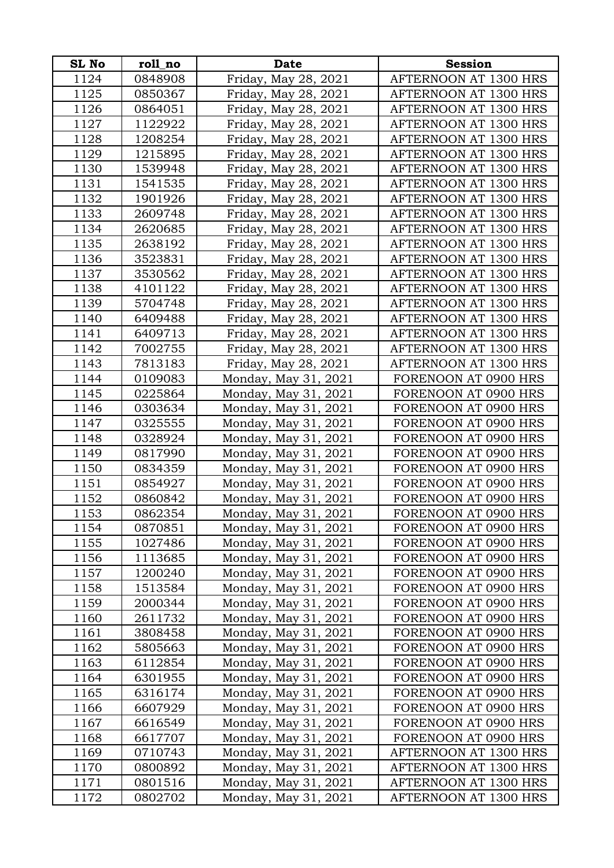| <b>SL No</b> | roll_no | <b>Date</b>          | <b>Session</b>        |
|--------------|---------|----------------------|-----------------------|
| 1124         | 0848908 | Friday, May 28, 2021 | AFTERNOON AT 1300 HRS |
| 1125         | 0850367 | Friday, May 28, 2021 | AFTERNOON AT 1300 HRS |
| 1126         | 0864051 | Friday, May 28, 2021 | AFTERNOON AT 1300 HRS |
| 1127         | 1122922 | Friday, May 28, 2021 | AFTERNOON AT 1300 HRS |
| 1128         | 1208254 | Friday, May 28, 2021 | AFTERNOON AT 1300 HRS |
| 1129         | 1215895 | Friday, May 28, 2021 | AFTERNOON AT 1300 HRS |
| 1130         | 1539948 | Friday, May 28, 2021 | AFTERNOON AT 1300 HRS |
| 1131         | 1541535 | Friday, May 28, 2021 | AFTERNOON AT 1300 HRS |
| 1132         | 1901926 | Friday, May 28, 2021 | AFTERNOON AT 1300 HRS |
| 1133         | 2609748 | Friday, May 28, 2021 | AFTERNOON AT 1300 HRS |
| 1134         | 2620685 | Friday, May 28, 2021 | AFTERNOON AT 1300 HRS |
| 1135         | 2638192 | Friday, May 28, 2021 | AFTERNOON AT 1300 HRS |
| 1136         | 3523831 | Friday, May 28, 2021 | AFTERNOON AT 1300 HRS |
| 1137         | 3530562 | Friday, May 28, 2021 | AFTERNOON AT 1300 HRS |
| 1138         | 4101122 | Friday, May 28, 2021 | AFTERNOON AT 1300 HRS |
| 1139         | 5704748 | Friday, May 28, 2021 | AFTERNOON AT 1300 HRS |
| 1140         | 6409488 | Friday, May 28, 2021 | AFTERNOON AT 1300 HRS |
| 1141         | 6409713 | Friday, May 28, 2021 | AFTERNOON AT 1300 HRS |
| 1142         | 7002755 | Friday, May 28, 2021 | AFTERNOON AT 1300 HRS |
| 1143         | 7813183 | Friday, May 28, 2021 | AFTERNOON AT 1300 HRS |
| 1144         | 0109083 | Monday, May 31, 2021 | FORENOON AT 0900 HRS  |
| 1145         | 0225864 | Monday, May 31, 2021 | FORENOON AT 0900 HRS  |
| 1146         | 0303634 | Monday, May 31, 2021 | FORENOON AT 0900 HRS  |
| 1147         | 0325555 | Monday, May 31, 2021 | FORENOON AT 0900 HRS  |
| 1148         | 0328924 | Monday, May 31, 2021 | FORENOON AT 0900 HRS  |
| 1149         | 0817990 | Monday, May 31, 2021 | FORENOON AT 0900 HRS  |
| 1150         | 0834359 | Monday, May 31, 2021 | FORENOON AT 0900 HRS  |
| 1151         | 0854927 | Monday, May 31, 2021 | FORENOON AT 0900 HRS  |
| 1152         | 0860842 | Monday, May 31, 2021 | FORENOON AT 0900 HRS  |
| 1153         | 0862354 | Monday, May 31, 2021 | FORENOON AT 0900 HRS  |
| 1154         | 0870851 | Monday, May 31, 2021 | FORENOON AT 0900 HRS  |
| 1155         | 1027486 | Monday, May 31, 2021 | FORENOON AT 0900 HRS  |
| 1156         | 1113685 | Monday, May 31, 2021 | FORENOON AT 0900 HRS  |
| 1157         | 1200240 | Monday, May 31, 2021 | FORENOON AT 0900 HRS  |
| 1158         | 1513584 | Monday, May 31, 2021 | FORENOON AT 0900 HRS  |
| 1159         | 2000344 | Monday, May 31, 2021 | FORENOON AT 0900 HRS  |
| 1160         | 2611732 | Monday, May 31, 2021 | FORENOON AT 0900 HRS  |
| 1161         | 3808458 | Monday, May 31, 2021 | FORENOON AT 0900 HRS  |
| 1162         | 5805663 | Monday, May 31, 2021 | FORENOON AT 0900 HRS  |
| 1163         | 6112854 | Monday, May 31, 2021 | FORENOON AT 0900 HRS  |
| 1164         | 6301955 | Monday, May 31, 2021 | FORENOON AT 0900 HRS  |
| 1165         | 6316174 | Monday, May 31, 2021 | FORENOON AT 0900 HRS  |
| 1166         | 6607929 | Monday, May 31, 2021 | FORENOON AT 0900 HRS  |
| 1167         | 6616549 | Monday, May 31, 2021 | FORENOON AT 0900 HRS  |
| 1168         | 6617707 | Monday, May 31, 2021 | FORENOON AT 0900 HRS  |
| 1169         | 0710743 | Monday, May 31, 2021 | AFTERNOON AT 1300 HRS |
| 1170         | 0800892 | Monday, May 31, 2021 | AFTERNOON AT 1300 HRS |
| 1171         | 0801516 | Monday, May 31, 2021 | AFTERNOON AT 1300 HRS |
| 1172         | 0802702 | Monday, May 31, 2021 | AFTERNOON AT 1300 HRS |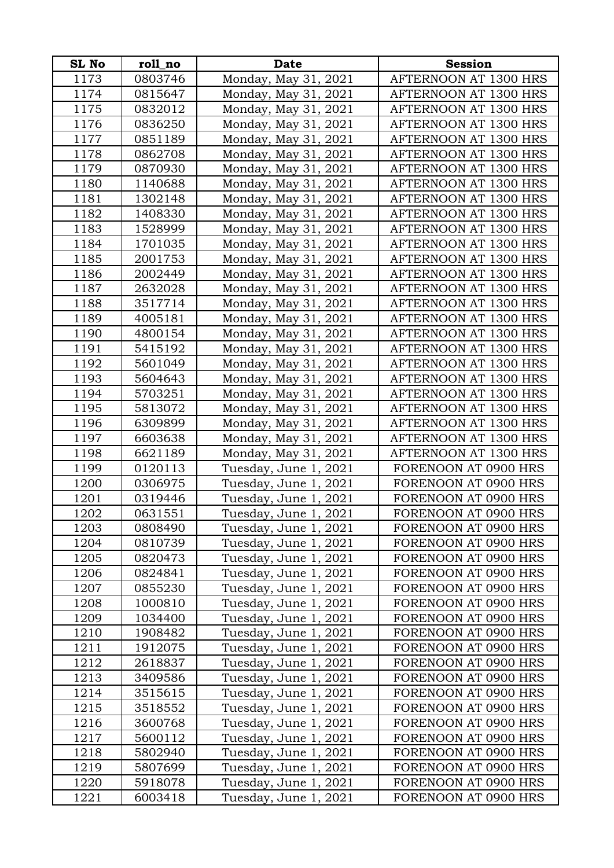| <b>SL No</b> | roll no | <b>Date</b>           | <b>Session</b>        |
|--------------|---------|-----------------------|-----------------------|
| 1173         | 0803746 | Monday, May 31, 2021  | AFTERNOON AT 1300 HRS |
| 1174         | 0815647 | Monday, May 31, 2021  | AFTERNOON AT 1300 HRS |
| 1175         | 0832012 | Monday, May 31, 2021  | AFTERNOON AT 1300 HRS |
| 1176         | 0836250 | Monday, May 31, 2021  | AFTERNOON AT 1300 HRS |
| 1177         | 0851189 | Monday, May 31, 2021  | AFTERNOON AT 1300 HRS |
| 1178         | 0862708 | Monday, May 31, 2021  | AFTERNOON AT 1300 HRS |
| 1179         | 0870930 | Monday, May 31, 2021  | AFTERNOON AT 1300 HRS |
| 1180         | 1140688 | Monday, May 31, 2021  | AFTERNOON AT 1300 HRS |
| 1181         | 1302148 | Monday, May 31, 2021  | AFTERNOON AT 1300 HRS |
| 1182         | 1408330 | Monday, May 31, 2021  | AFTERNOON AT 1300 HRS |
| 1183         | 1528999 | Monday, May 31, 2021  | AFTERNOON AT 1300 HRS |
| 1184         | 1701035 | Monday, May 31, 2021  | AFTERNOON AT 1300 HRS |
| 1185         | 2001753 | Monday, May 31, 2021  | AFTERNOON AT 1300 HRS |
| 1186         | 2002449 | Monday, May 31, 2021  | AFTERNOON AT 1300 HRS |
| 1187         | 2632028 | Monday, May 31, 2021  | AFTERNOON AT 1300 HRS |
| 1188         | 3517714 | Monday, May 31, 2021  | AFTERNOON AT 1300 HRS |
| 1189         | 4005181 | Monday, May 31, 2021  | AFTERNOON AT 1300 HRS |
| 1190         | 4800154 | Monday, May 31, 2021  | AFTERNOON AT 1300 HRS |
| 1191         | 5415192 | Monday, May 31, 2021  | AFTERNOON AT 1300 HRS |
| 1192         | 5601049 | Monday, May 31, 2021  | AFTERNOON AT 1300 HRS |
| 1193         | 5604643 | Monday, May 31, 2021  | AFTERNOON AT 1300 HRS |
| 1194         | 5703251 | Monday, May 31, 2021  | AFTERNOON AT 1300 HRS |
| 1195         | 5813072 | Monday, May 31, 2021  | AFTERNOON AT 1300 HRS |
| 1196         | 6309899 | Monday, May 31, 2021  | AFTERNOON AT 1300 HRS |
| 1197         | 6603638 | Monday, May 31, 2021  | AFTERNOON AT 1300 HRS |
| 1198         | 6621189 | Monday, May 31, 2021  | AFTERNOON AT 1300 HRS |
| 1199         | 0120113 | Tuesday, June 1, 2021 | FORENOON AT 0900 HRS  |
| 1200         | 0306975 | Tuesday, June 1, 2021 | FORENOON AT 0900 HRS  |
| 1201         | 0319446 | Tuesday, June 1, 2021 | FORENOON AT 0900 HRS  |
| 1202         | 0631551 | Tuesday, June 1, 2021 | FORENOON AT 0900 HRS  |
| 1203         | 0808490 | Tuesday, June 1, 2021 | FORENOON AT 0900 HRS  |
| 1204         | 0810739 | Tuesday, June 1, 2021 | FORENOON AT 0900 HRS  |
| 1205         | 0820473 | Tuesday, June 1, 2021 | FORENOON AT 0900 HRS  |
| 1206         | 0824841 | Tuesday, June 1, 2021 | FORENOON AT 0900 HRS  |
| 1207         | 0855230 | Tuesday, June 1, 2021 | FORENOON AT 0900 HRS  |
| 1208         | 1000810 | Tuesday, June 1, 2021 | FORENOON AT 0900 HRS  |
| 1209         | 1034400 | Tuesday, June 1, 2021 | FORENOON AT 0900 HRS  |
| 1210         | 1908482 | Tuesday, June 1, 2021 | FORENOON AT 0900 HRS  |
| 1211         | 1912075 | Tuesday, June 1, 2021 | FORENOON AT 0900 HRS  |
| 1212         | 2618837 | Tuesday, June 1, 2021 | FORENOON AT 0900 HRS  |
| 1213         | 3409586 | Tuesday, June 1, 2021 | FORENOON AT 0900 HRS  |
| 1214         | 3515615 | Tuesday, June 1, 2021 | FORENOON AT 0900 HRS  |
| 1215         | 3518552 | Tuesday, June 1, 2021 | FORENOON AT 0900 HRS  |
| 1216         | 3600768 | Tuesday, June 1, 2021 | FORENOON AT 0900 HRS  |
| 1217         | 5600112 | Tuesday, June 1, 2021 | FORENOON AT 0900 HRS  |
| 1218         | 5802940 | Tuesday, June 1, 2021 | FORENOON AT 0900 HRS  |
| 1219         | 5807699 | Tuesday, June 1, 2021 | FORENOON AT 0900 HRS  |
| 1220         | 5918078 | Tuesday, June 1, 2021 | FORENOON AT 0900 HRS  |
| 1221         | 6003418 | Tuesday, June 1, 2021 | FORENOON AT 0900 HRS  |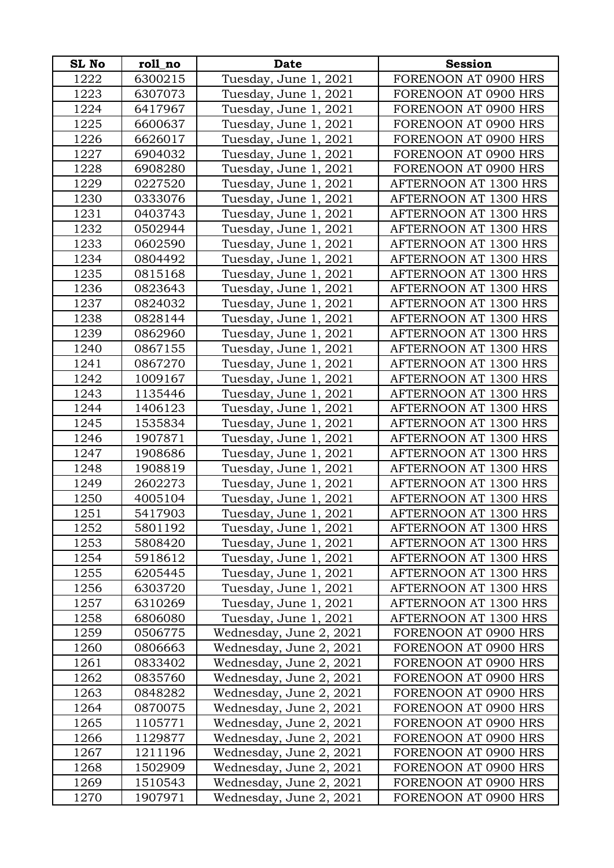| <b>SL No</b> | roll_no            | <b>Date</b>                                        | <b>Session</b>                               |
|--------------|--------------------|----------------------------------------------------|----------------------------------------------|
| 1222         | 6300215            | Tuesday, June 1, 2021                              | FORENOON AT 0900 HRS                         |
| 1223         | 6307073            | Tuesday, June 1, 2021                              | FORENOON AT 0900 HRS                         |
| 1224         | 6417967            | Tuesday, June 1, 2021                              | FORENOON AT 0900 HRS                         |
| 1225         | 6600637            | Tuesday, June 1, 2021                              | FORENOON AT 0900 HRS                         |
| 1226         | 6626017            | Tuesday, June 1, 2021                              | FORENOON AT 0900 HRS                         |
| 1227         | 6904032            | Tuesday, June 1, 2021                              | FORENOON AT 0900 HRS                         |
| 1228         | 6908280            | Tuesday, June 1, 2021                              | FORENOON AT 0900 HRS                         |
| 1229         | 0227520            | Tuesday, June 1, 2021                              | AFTERNOON AT 1300 HRS                        |
| 1230         | 0333076            | Tuesday, June 1, 2021                              | AFTERNOON AT 1300 HRS                        |
| 1231         | 0403743            | Tuesday, June 1, 2021                              | AFTERNOON AT 1300 HRS                        |
| 1232         | 0502944            | Tuesday, June 1, 2021                              | AFTERNOON AT 1300 HRS                        |
| 1233         | 0602590            | Tuesday, June 1, 2021                              | AFTERNOON AT 1300 HRS                        |
| 1234         | 0804492            | Tuesday, June 1, 2021                              | AFTERNOON AT 1300 HRS                        |
| 1235         | 0815168            | Tuesday, June 1, 2021                              | AFTERNOON AT 1300 HRS                        |
| 1236         | 0823643            | Tuesday, June 1, 2021                              | AFTERNOON AT 1300 HRS                        |
| 1237         | 0824032            | Tuesday, June 1, 2021                              | AFTERNOON AT 1300 HRS                        |
| 1238         | 0828144            | Tuesday, June 1, 2021                              | AFTERNOON AT 1300 HRS                        |
| 1239         | 0862960            | Tuesday, June 1, 2021                              | AFTERNOON AT 1300 HRS                        |
| 1240         | 0867155            | Tuesday, June 1, 2021                              | AFTERNOON AT 1300 HRS                        |
| 1241         | 0867270            | Tuesday, June 1, 2021                              | AFTERNOON AT 1300 HRS                        |
| 1242         | 1009167            | Tuesday, June 1, 2021                              | AFTERNOON AT 1300 HRS                        |
| 1243         | 1135446            | Tuesday, June 1, 2021                              | AFTERNOON AT 1300 HRS                        |
| 1244         | 1406123            | Tuesday, June 1, 2021                              | AFTERNOON AT 1300 HRS                        |
| 1245         | 1535834            | Tuesday, June 1, 2021                              | AFTERNOON AT 1300 HRS                        |
| 1246         | 1907871            | Tuesday, June 1, 2021                              | AFTERNOON AT 1300 HRS                        |
| 1247         | 1908686            | Tuesday, June 1, 2021                              | AFTERNOON AT 1300 HRS                        |
| 1248         | 1908819            | Tuesday, June 1, 2021                              | AFTERNOON AT 1300 HRS                        |
| 1249         | 2602273            | Tuesday, June 1, 2021                              | AFTERNOON AT 1300 HRS                        |
| 1250         | 4005104            | Tuesday, June 1, 2021                              | AFTERNOON AT 1300 HRS                        |
| 1251         | 5417903            | Tuesday, June 1, 2021                              | AFTERNOON AT 1300 HRS                        |
| 1252         | 5801192            | Tuesday, June 1, 2021                              | AFTERNOON AT 1300 HRS                        |
| 1253         | 5808420            | Tuesday, June 1, 2021                              | AFTERNOON AT 1300 HRS                        |
| 1254         | 5918612            | Tuesday, June 1, 2021                              | AFTERNOON AT 1300 HRS                        |
| 1255         | 6205445            | Tuesday, June 1, 2021                              | <b>AFTERNOON AT 1300 HRS</b>                 |
| 1256         | 6303720            | Tuesday, June 1, 2021                              | AFTERNOON AT 1300 HRS                        |
| 1257         | 6310269            | Tuesday, June 1, 2021                              | AFTERNOON AT 1300 HRS                        |
| 1258         | 6806080            | Tuesday, June 1, 2021                              | AFTERNOON AT 1300 HRS                        |
| 1259         | 0506775            | Wednesday, June 2, 2021                            | FORENOON AT 0900 HRS                         |
| 1260         | 0806663            | Wednesday, June 2, 2021                            | FORENOON AT 0900 HRS                         |
| 1261         | 0833402            | Wednesday, June 2, 2021                            | FORENOON AT 0900 HRS                         |
| 1262         | 0835760            | Wednesday, June 2, 2021                            | FORENOON AT 0900 HRS                         |
| 1263         | 0848282            | Wednesday, June 2, 2021                            | FORENOON AT 0900 HRS                         |
| 1264         | 0870075            | Wednesday, June 2, 2021                            | FORENOON AT 0900 HRS                         |
| 1265         | 1105771            | Wednesday, June 2, 2021                            | FORENOON AT 0900 HRS<br>FORENOON AT 0900 HRS |
| 1266<br>1267 | 1129877<br>1211196 | Wednesday, June 2, 2021<br>Wednesday, June 2, 2021 | FORENOON AT 0900 HRS                         |
| 1268         | 1502909            | Wednesday, June 2, 2021                            | FORENOON AT 0900 HRS                         |
| 1269         | 1510543            | Wednesday, June 2, 2021                            | FORENOON AT 0900 HRS                         |
| 1270         | 1907971            | Wednesday, June 2, 2021                            | FORENOON AT 0900 HRS                         |
|              |                    |                                                    |                                              |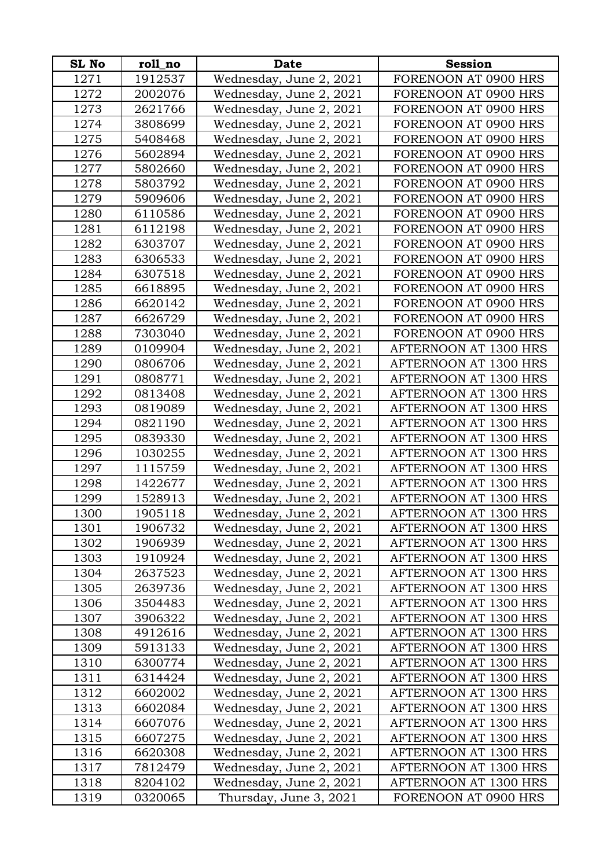| SL No        | roll_no            | <b>Date</b>                                        | <b>Session</b>                                 |
|--------------|--------------------|----------------------------------------------------|------------------------------------------------|
| 1271         | 1912537            | Wednesday, June 2, 2021                            | FORENOON AT 0900 HRS                           |
| 1272         | 2002076            | Wednesday, June 2, 2021                            | FORENOON AT 0900 HRS                           |
| 1273         | 2621766            | Wednesday, June 2, 2021                            | FORENOON AT 0900 HRS                           |
| 1274         | 3808699            | Wednesday, June 2, 2021                            | FORENOON AT 0900 HRS                           |
| 1275         | 5408468            | Wednesday, June 2, 2021                            | FORENOON AT 0900 HRS                           |
| 1276         | 5602894            | Wednesday, June 2, 2021                            | FORENOON AT 0900 HRS                           |
| 1277         | 5802660            | Wednesday, June 2, 2021                            | FORENOON AT 0900 HRS                           |
| 1278         | 5803792            | Wednesday, June 2, 2021                            | FORENOON AT 0900 HRS                           |
| 1279         | 5909606            | Wednesday, June 2, 2021                            | FORENOON AT 0900 HRS                           |
| 1280         | 6110586            | Wednesday, June 2, 2021                            | FORENOON AT 0900 HRS                           |
| 1281         | 6112198            | Wednesday, June 2, 2021                            | FORENOON AT 0900 HRS                           |
| 1282         | 6303707            | Wednesday, June 2, 2021                            | FORENOON AT 0900 HRS                           |
| 1283         | 6306533            | Wednesday, June 2, 2021                            | FORENOON AT 0900 HRS                           |
| 1284         | 6307518            | Wednesday, June 2, 2021                            | FORENOON AT 0900 HRS                           |
| 1285         | 6618895            | Wednesday, June 2, 2021                            | FORENOON AT 0900 HRS                           |
| 1286         | 6620142            | Wednesday, June 2, 2021                            | FORENOON AT 0900 HRS                           |
| 1287         | 6626729            | Wednesday, June 2, 2021                            | FORENOON AT 0900 HRS                           |
| 1288         | 7303040            | Wednesday, June 2, 2021                            | FORENOON AT 0900 HRS                           |
| 1289         | 0109904            | Wednesday, June 2, 2021                            | AFTERNOON AT 1300 HRS                          |
| 1290         | 0806706            | Wednesday, June 2, 2021                            | AFTERNOON AT 1300 HRS                          |
| 1291         | 0808771            | Wednesday, June 2, 2021                            | AFTERNOON AT 1300 HRS                          |
| 1292         | 0813408            | Wednesday, June 2, 2021                            | AFTERNOON AT 1300 HRS                          |
| 1293         | 0819089            | Wednesday, June 2, 2021                            | AFTERNOON AT 1300 HRS                          |
| 1294         | 0821190            | Wednesday, June 2, 2021                            | AFTERNOON AT 1300 HRS                          |
| 1295         | 0839330            | Wednesday, June 2, 2021                            | AFTERNOON AT 1300 HRS                          |
| 1296         | 1030255            | Wednesday, June 2, 2021                            | AFTERNOON AT 1300 HRS                          |
| 1297         | 1115759            | Wednesday, June 2, 2021                            | AFTERNOON AT 1300 HRS                          |
| 1298         | 1422677            | Wednesday, June 2, 2021                            | AFTERNOON AT 1300 HRS                          |
| 1299         | 1528913            | Wednesday, June 2, 2021                            | AFTERNOON AT 1300 HRS                          |
| 1300         | 1905118            | Wednesday, June 2, 2021                            | AFTERNOON AT 1300 HRS                          |
| 1301         | 1906732            | Wednesday, June 2, 2021                            | AFTERNOON AT 1300 HRS                          |
| 1302         | 1906939            | Wednesday, June 2, 2021                            | AFTERNOON AT 1300 HRS                          |
| 1303         | 1910924            | Wednesday, June 2, 2021                            | AFTERNOON AT 1300 HRS                          |
| 1304         | 2637523            | Wednesday, June 2, 2021                            | AFTERNOON AT 1300 HRS                          |
| 1305         | 2639736            | Wednesday, June 2, 2021                            | AFTERNOON AT 1300 HRS                          |
| 1306         | 3504483            | Wednesday, June 2, 2021                            | AFTERNOON AT 1300 HRS                          |
| 1307         | 3906322            | Wednesday, June 2, 2021                            | AFTERNOON AT 1300 HRS                          |
| 1308         | 4912616            | Wednesday, June 2, 2021                            | AFTERNOON AT 1300 HRS                          |
| 1309         | 5913133            | Wednesday, June 2, 2021                            | AFTERNOON AT 1300 HRS                          |
| 1310         | 6300774            | Wednesday, June 2, 2021                            | AFTERNOON AT 1300 HRS                          |
| 1311         | 6314424            | Wednesday, June 2, 2021                            | AFTERNOON AT 1300 HRS                          |
| 1312<br>1313 | 6602002<br>6602084 | Wednesday, June 2, 2021<br>Wednesday, June 2, 2021 | AFTERNOON AT 1300 HRS<br>AFTERNOON AT 1300 HRS |
| 1314         | 6607076            | Wednesday, June 2, 2021                            | AFTERNOON AT 1300 HRS                          |
| 1315         | 6607275            | Wednesday, June 2, 2021                            | AFTERNOON AT 1300 HRS                          |
| 1316         | 6620308            | Wednesday, June 2, 2021                            | AFTERNOON AT 1300 HRS                          |
| 1317         | 7812479            | Wednesday, June 2, 2021                            | AFTERNOON AT 1300 HRS                          |
| 1318         | 8204102            | Wednesday, June 2, 2021                            | AFTERNOON AT 1300 HRS                          |
| 1319         | 0320065            | Thursday, June 3, 2021                             | FORENOON AT 0900 HRS                           |
|              |                    |                                                    |                                                |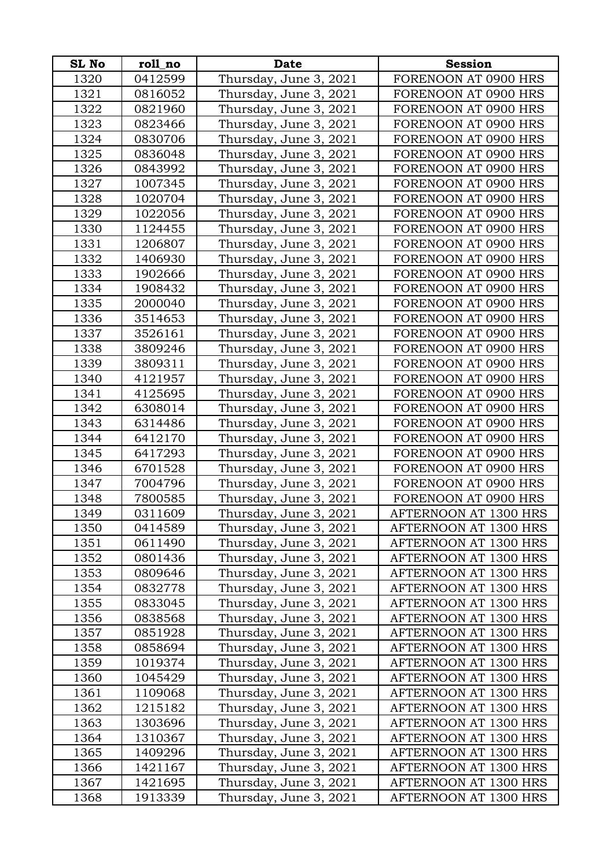| <b>SL No</b> | roll no | <b>Date</b>            | <b>Session</b>        |
|--------------|---------|------------------------|-----------------------|
| 1320         | 0412599 | Thursday, June 3, 2021 | FORENOON AT 0900 HRS  |
| 1321         | 0816052 | Thursday, June 3, 2021 | FORENOON AT 0900 HRS  |
| 1322         | 0821960 | Thursday, June 3, 2021 | FORENOON AT 0900 HRS  |
| 1323         | 0823466 | Thursday, June 3, 2021 | FORENOON AT 0900 HRS  |
| 1324         | 0830706 | Thursday, June 3, 2021 | FORENOON AT 0900 HRS  |
| 1325         | 0836048 | Thursday, June 3, 2021 | FORENOON AT 0900 HRS  |
| 1326         | 0843992 | Thursday, June 3, 2021 | FORENOON AT 0900 HRS  |
| 1327         | 1007345 | Thursday, June 3, 2021 | FORENOON AT 0900 HRS  |
| 1328         | 1020704 | Thursday, June 3, 2021 | FORENOON AT 0900 HRS  |
| 1329         | 1022056 | Thursday, June 3, 2021 | FORENOON AT 0900 HRS  |
| 1330         | 1124455 | Thursday, June 3, 2021 | FORENOON AT 0900 HRS  |
| 1331         | 1206807 | Thursday, June 3, 2021 | FORENOON AT 0900 HRS  |
| 1332         | 1406930 | Thursday, June 3, 2021 | FORENOON AT 0900 HRS  |
| 1333         | 1902666 | Thursday, June 3, 2021 | FORENOON AT 0900 HRS  |
| 1334         | 1908432 | Thursday, June 3, 2021 | FORENOON AT 0900 HRS  |
| 1335         | 2000040 | Thursday, June 3, 2021 | FORENOON AT 0900 HRS  |
| 1336         | 3514653 | Thursday, June 3, 2021 | FORENOON AT 0900 HRS  |
| 1337         | 3526161 | Thursday, June 3, 2021 | FORENOON AT 0900 HRS  |
| 1338         | 3809246 | Thursday, June 3, 2021 | FORENOON AT 0900 HRS  |
| 1339         | 3809311 | Thursday, June 3, 2021 | FORENOON AT 0900 HRS  |
| 1340         | 4121957 | Thursday, June 3, 2021 | FORENOON AT 0900 HRS  |
| 1341         | 4125695 | Thursday, June 3, 2021 | FORENOON AT 0900 HRS  |
| 1342         | 6308014 | Thursday, June 3, 2021 | FORENOON AT 0900 HRS  |
| 1343         | 6314486 | Thursday, June 3, 2021 | FORENOON AT 0900 HRS  |
| 1344         | 6412170 | Thursday, June 3, 2021 | FORENOON AT 0900 HRS  |
| 1345         | 6417293 | Thursday, June 3, 2021 | FORENOON AT 0900 HRS  |
| 1346         | 6701528 | Thursday, June 3, 2021 | FORENOON AT 0900 HRS  |
| 1347         | 7004796 | Thursday, June 3, 2021 | FORENOON AT 0900 HRS  |
| 1348         | 7800585 | Thursday, June 3, 2021 | FORENOON AT 0900 HRS  |
| 1349         | 0311609 | Thursday, June 3, 2021 | AFTERNOON AT 1300 HRS |
| 1350         | 0414589 | Thursday, June 3, 2021 | AFTERNOON AT 1300 HRS |
| 1351         | 0611490 | Thursday, June 3, 2021 | AFTERNOON AT 1300 HRS |
| 1352         | 0801436 | Thursday, June 3, 2021 | AFTERNOON AT 1300 HRS |
| 1353         | 0809646 | Thursday, June 3, 2021 | AFTERNOON AT 1300 HRS |
| 1354         | 0832778 | Thursday, June 3, 2021 | AFTERNOON AT 1300 HRS |
| 1355         | 0833045 | Thursday, June 3, 2021 | AFTERNOON AT 1300 HRS |
| 1356         | 0838568 | Thursday, June 3, 2021 | AFTERNOON AT 1300 HRS |
| 1357         | 0851928 | Thursday, June 3, 2021 | AFTERNOON AT 1300 HRS |
| 1358         | 0858694 | Thursday, June 3, 2021 | AFTERNOON AT 1300 HRS |
| 1359         | 1019374 | Thursday, June 3, 2021 | AFTERNOON AT 1300 HRS |
| 1360         | 1045429 | Thursday, June 3, 2021 | AFTERNOON AT 1300 HRS |
| 1361         | 1109068 | Thursday, June 3, 2021 | AFTERNOON AT 1300 HRS |
| 1362         | 1215182 | Thursday, June 3, 2021 | AFTERNOON AT 1300 HRS |
| 1363         | 1303696 | Thursday, June 3, 2021 | AFTERNOON AT 1300 HRS |
| 1364         | 1310367 | Thursday, June 3, 2021 | AFTERNOON AT 1300 HRS |
| 1365         | 1409296 | Thursday, June 3, 2021 | AFTERNOON AT 1300 HRS |
| 1366         | 1421167 | Thursday, June 3, 2021 | AFTERNOON AT 1300 HRS |
| 1367         | 1421695 | Thursday, June 3, 2021 | AFTERNOON AT 1300 HRS |
| 1368         | 1913339 | Thursday, June 3, 2021 | AFTERNOON AT 1300 HRS |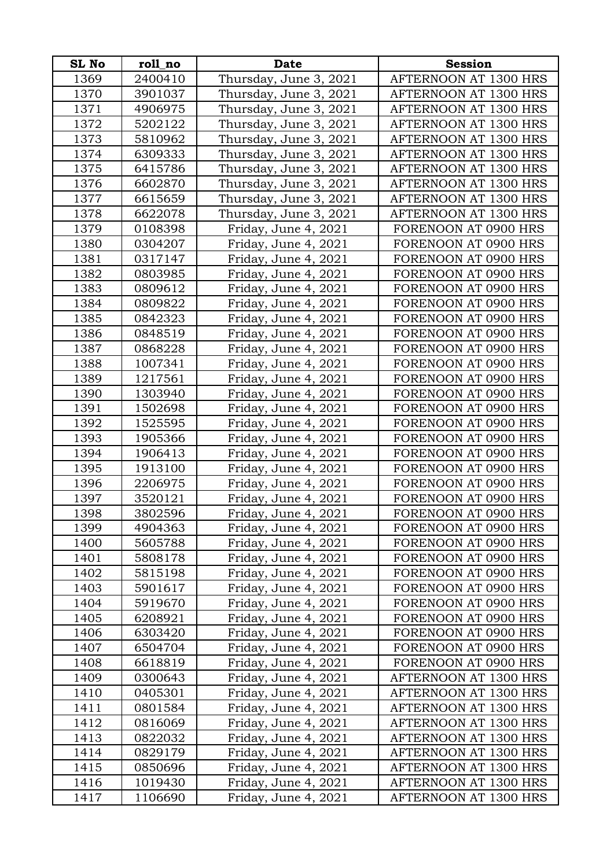| <b>SL No</b> | roll_no | Date                   | <b>Session</b>        |
|--------------|---------|------------------------|-----------------------|
| 1369         | 2400410 | Thursday, June 3, 2021 | AFTERNOON AT 1300 HRS |
| 1370         | 3901037 | Thursday, June 3, 2021 | AFTERNOON AT 1300 HRS |
| 1371         | 4906975 | Thursday, June 3, 2021 | AFTERNOON AT 1300 HRS |
| 1372         | 5202122 | Thursday, June 3, 2021 | AFTERNOON AT 1300 HRS |
| 1373         | 5810962 | Thursday, June 3, 2021 | AFTERNOON AT 1300 HRS |
| 1374         | 6309333 | Thursday, June 3, 2021 | AFTERNOON AT 1300 HRS |
| 1375         | 6415786 | Thursday, June 3, 2021 | AFTERNOON AT 1300 HRS |
| 1376         | 6602870 | Thursday, June 3, 2021 | AFTERNOON AT 1300 HRS |
| 1377         | 6615659 | Thursday, June 3, 2021 | AFTERNOON AT 1300 HRS |
| 1378         | 6622078 | Thursday, June 3, 2021 | AFTERNOON AT 1300 HRS |
| 1379         | 0108398 | Friday, June 4, 2021   | FORENOON AT 0900 HRS  |
| 1380         | 0304207 | Friday, June 4, 2021   | FORENOON AT 0900 HRS  |
| 1381         | 0317147 | Friday, June 4, 2021   | FORENOON AT 0900 HRS  |
| 1382         | 0803985 | Friday, June 4, 2021   | FORENOON AT 0900 HRS  |
| 1383         | 0809612 | Friday, June 4, 2021   | FORENOON AT 0900 HRS  |
| 1384         | 0809822 | Friday, June 4, 2021   | FORENOON AT 0900 HRS  |
| 1385         | 0842323 | Friday, June 4, 2021   | FORENOON AT 0900 HRS  |
| 1386         | 0848519 | Friday, June 4, 2021   | FORENOON AT 0900 HRS  |
| 1387         | 0868228 | Friday, June 4, 2021   | FORENOON AT 0900 HRS  |
| 1388         | 1007341 | Friday, June 4, 2021   | FORENOON AT 0900 HRS  |
| 1389         | 1217561 | Friday, June 4, 2021   | FORENOON AT 0900 HRS  |
| 1390         | 1303940 | Friday, June 4, 2021   | FORENOON AT 0900 HRS  |
| 1391         | 1502698 | Friday, June 4, 2021   | FORENOON AT 0900 HRS  |
| 1392         | 1525595 | Friday, June 4, 2021   | FORENOON AT 0900 HRS  |
| 1393         | 1905366 | Friday, June 4, 2021   | FORENOON AT 0900 HRS  |
| 1394         | 1906413 | Friday, June 4, 2021   | FORENOON AT 0900 HRS  |
| 1395         | 1913100 | Friday, June 4, 2021   | FORENOON AT 0900 HRS  |
| 1396         | 2206975 | Friday, June 4, 2021   | FORENOON AT 0900 HRS  |
| 1397         | 3520121 | Friday, June 4, 2021   | FORENOON AT 0900 HRS  |
| 1398         | 3802596 | Friday, June 4, 2021   | FORENOON AT 0900 HRS  |
| 1399         | 4904363 | Friday, June 4, 2021   | FORENOON AT 0900 HRS  |
| 1400         | 5605788 | Friday, June 4, 2021   | FORENOON AT 0900 HRS  |
| 1401         | 5808178 | Friday, June 4, 2021   | FORENOON AT 0900 HRS  |
| 1402         | 5815198 | Friday, June 4, 2021   | FORENOON AT 0900 HRS  |
| 1403         | 5901617 | Friday, June 4, 2021   | FORENOON AT 0900 HRS  |
| 1404         | 5919670 | Friday, June 4, 2021   | FORENOON AT 0900 HRS  |
| 1405         | 6208921 | Friday, June 4, 2021   | FORENOON AT 0900 HRS  |
| 1406         | 6303420 | Friday, June 4, 2021   | FORENOON AT 0900 HRS  |
| 1407         | 6504704 | Friday, June 4, 2021   | FORENOON AT 0900 HRS  |
| 1408         | 6618819 | Friday, June 4, 2021   | FORENOON AT 0900 HRS  |
| 1409         | 0300643 | Friday, June 4, 2021   | AFTERNOON AT 1300 HRS |
| 1410         | 0405301 | Friday, June 4, 2021   | AFTERNOON AT 1300 HRS |
| 1411         | 0801584 | Friday, June 4, 2021   | AFTERNOON AT 1300 HRS |
| 1412         | 0816069 | Friday, June 4, 2021   | AFTERNOON AT 1300 HRS |
| 1413         | 0822032 | Friday, June 4, 2021   | AFTERNOON AT 1300 HRS |
| 1414         | 0829179 | Friday, June 4, 2021   | AFTERNOON AT 1300 HRS |
| 1415         | 0850696 | Friday, June 4, 2021   | AFTERNOON AT 1300 HRS |
| 1416         | 1019430 | Friday, June 4, 2021   | AFTERNOON AT 1300 HRS |
| 1417         | 1106690 | Friday, June 4, 2021   | AFTERNOON AT 1300 HRS |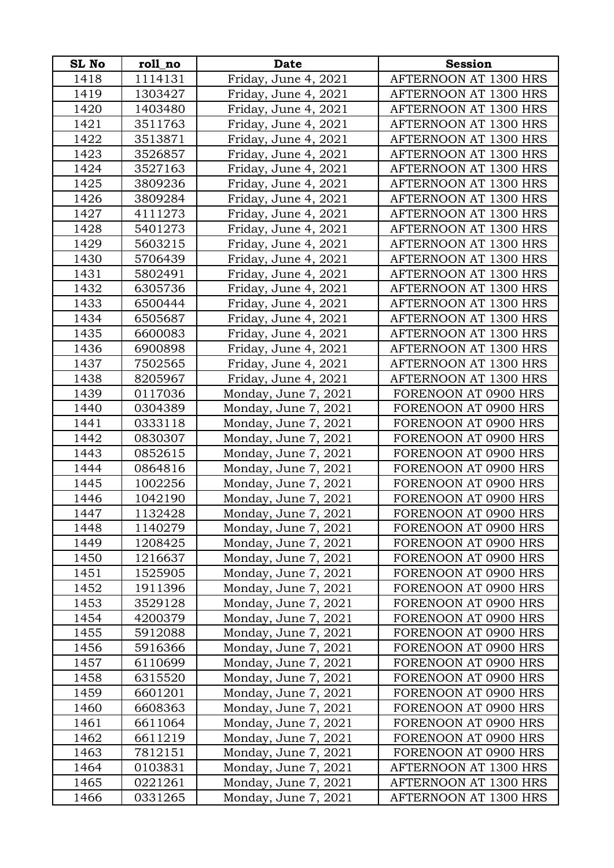| <b>SL No</b> | roll_no | Date                 | <b>Session</b>        |
|--------------|---------|----------------------|-----------------------|
| 1418         | 1114131 | Friday, June 4, 2021 | AFTERNOON AT 1300 HRS |
| 1419         | 1303427 | Friday, June 4, 2021 | AFTERNOON AT 1300 HRS |
| 1420         | 1403480 | Friday, June 4, 2021 | AFTERNOON AT 1300 HRS |
| 1421         | 3511763 | Friday, June 4, 2021 | AFTERNOON AT 1300 HRS |
| 1422         | 3513871 | Friday, June 4, 2021 | AFTERNOON AT 1300 HRS |
| 1423         | 3526857 | Friday, June 4, 2021 | AFTERNOON AT 1300 HRS |
| 1424         | 3527163 | Friday, June 4, 2021 | AFTERNOON AT 1300 HRS |
| 1425         | 3809236 | Friday, June 4, 2021 | AFTERNOON AT 1300 HRS |
| 1426         | 3809284 | Friday, June 4, 2021 | AFTERNOON AT 1300 HRS |
| 1427         | 4111273 | Friday, June 4, 2021 | AFTERNOON AT 1300 HRS |
| 1428         | 5401273 | Friday, June 4, 2021 | AFTERNOON AT 1300 HRS |
| 1429         | 5603215 | Friday, June 4, 2021 | AFTERNOON AT 1300 HRS |
| 1430         | 5706439 | Friday, June 4, 2021 | AFTERNOON AT 1300 HRS |
| 1431         | 5802491 | Friday, June 4, 2021 | AFTERNOON AT 1300 HRS |
| 1432         | 6305736 | Friday, June 4, 2021 | AFTERNOON AT 1300 HRS |
| 1433         | 6500444 | Friday, June 4, 2021 | AFTERNOON AT 1300 HRS |
| 1434         | 6505687 | Friday, June 4, 2021 | AFTERNOON AT 1300 HRS |
| 1435         | 6600083 | Friday, June 4, 2021 | AFTERNOON AT 1300 HRS |
| 1436         | 6900898 | Friday, June 4, 2021 | AFTERNOON AT 1300 HRS |
| 1437         | 7502565 | Friday, June 4, 2021 | AFTERNOON AT 1300 HRS |
| 1438         | 8205967 | Friday, June 4, 2021 | AFTERNOON AT 1300 HRS |
| 1439         | 0117036 | Monday, June 7, 2021 | FORENOON AT 0900 HRS  |
| 1440         | 0304389 | Monday, June 7, 2021 | FORENOON AT 0900 HRS  |
| 1441         | 0333118 | Monday, June 7, 2021 | FORENOON AT 0900 HRS  |
| 1442         | 0830307 | Monday, June 7, 2021 | FORENOON AT 0900 HRS  |
| 1443         | 0852615 | Monday, June 7, 2021 | FORENOON AT 0900 HRS  |
| 1444         | 0864816 | Monday, June 7, 2021 | FORENOON AT 0900 HRS  |
| 1445         | 1002256 | Monday, June 7, 2021 | FORENOON AT 0900 HRS  |
| 1446         | 1042190 | Monday, June 7, 2021 | FORENOON AT 0900 HRS  |
| 1447         | 1132428 | Monday, June 7, 2021 | FORENOON AT 0900 HRS  |
| 1448         | 1140279 | Monday, June 7, 2021 | FORENOON AT 0900 HRS  |
| 1449         | 1208425 | Monday, June 7, 2021 | FORENOON AT 0900 HRS  |
| 1450         | 1216637 | Monday, June 7, 2021 | FORENOON AT 0900 HRS  |
| 1451         | 1525905 | Monday, June 7, 2021 | FORENOON AT 0900 HRS  |
| 1452         | 1911396 | Monday, June 7, 2021 | FORENOON AT 0900 HRS  |
| 1453         | 3529128 | Monday, June 7, 2021 | FORENOON AT 0900 HRS  |
| 1454         | 4200379 | Monday, June 7, 2021 | FORENOON AT 0900 HRS  |
| 1455         | 5912088 | Monday, June 7, 2021 | FORENOON AT 0900 HRS  |
| 1456         | 5916366 | Monday, June 7, 2021 | FORENOON AT 0900 HRS  |
| 1457         | 6110699 | Monday, June 7, 2021 | FORENOON AT 0900 HRS  |
| 1458         | 6315520 | Monday, June 7, 2021 | FORENOON AT 0900 HRS  |
| 1459         | 6601201 | Monday, June 7, 2021 | FORENOON AT 0900 HRS  |
| 1460         | 6608363 | Monday, June 7, 2021 | FORENOON AT 0900 HRS  |
| 1461         | 6611064 | Monday, June 7, 2021 | FORENOON AT 0900 HRS  |
| 1462         | 6611219 | Monday, June 7, 2021 | FORENOON AT 0900 HRS  |
| 1463         | 7812151 | Monday, June 7, 2021 | FORENOON AT 0900 HRS  |
| 1464         | 0103831 | Monday, June 7, 2021 | AFTERNOON AT 1300 HRS |
| 1465         | 0221261 | Monday, June 7, 2021 | AFTERNOON AT 1300 HRS |
| 1466         | 0331265 | Monday, June 7, 2021 | AFTERNOON AT 1300 HRS |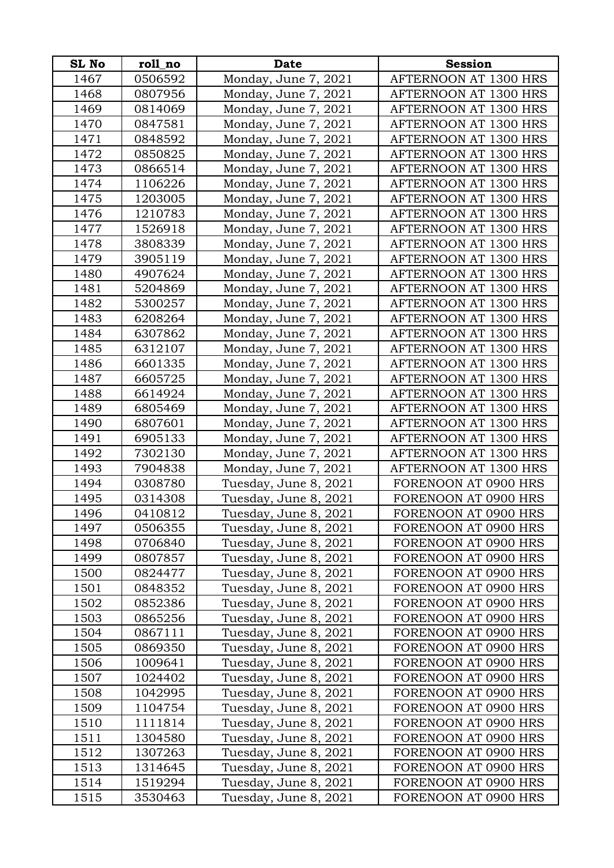| <b>SL No</b> | roll_no | <b>Date</b>           | <b>Session</b>        |
|--------------|---------|-----------------------|-----------------------|
| 1467         | 0506592 | Monday, June 7, 2021  | AFTERNOON AT 1300 HRS |
| 1468         | 0807956 | Monday, June 7, 2021  | AFTERNOON AT 1300 HRS |
| 1469         | 0814069 | Monday, June 7, 2021  | AFTERNOON AT 1300 HRS |
| 1470         | 0847581 | Monday, June 7, 2021  | AFTERNOON AT 1300 HRS |
| 1471         | 0848592 | Monday, June 7, 2021  | AFTERNOON AT 1300 HRS |
| 1472         | 0850825 | Monday, June 7, 2021  | AFTERNOON AT 1300 HRS |
| 1473         | 0866514 | Monday, June 7, 2021  | AFTERNOON AT 1300 HRS |
| 1474         | 1106226 | Monday, June 7, 2021  | AFTERNOON AT 1300 HRS |
| 1475         | 1203005 | Monday, June 7, 2021  | AFTERNOON AT 1300 HRS |
| 1476         | 1210783 | Monday, June 7, 2021  | AFTERNOON AT 1300 HRS |
| 1477         | 1526918 | Monday, June 7, 2021  | AFTERNOON AT 1300 HRS |
| 1478         | 3808339 | Monday, June 7, 2021  | AFTERNOON AT 1300 HRS |
| 1479         | 3905119 | Monday, June 7, 2021  | AFTERNOON AT 1300 HRS |
| 1480         | 4907624 | Monday, June 7, 2021  | AFTERNOON AT 1300 HRS |
| 1481         | 5204869 | Monday, June 7, 2021  | AFTERNOON AT 1300 HRS |
| 1482         | 5300257 | Monday, June 7, 2021  | AFTERNOON AT 1300 HRS |
| 1483         | 6208264 | Monday, June 7, 2021  | AFTERNOON AT 1300 HRS |
| 1484         | 6307862 | Monday, June 7, 2021  | AFTERNOON AT 1300 HRS |
| 1485         | 6312107 | Monday, June 7, 2021  | AFTERNOON AT 1300 HRS |
| 1486         | 6601335 | Monday, June 7, 2021  | AFTERNOON AT 1300 HRS |
| 1487         | 6605725 | Monday, June 7, 2021  | AFTERNOON AT 1300 HRS |
| 1488         | 6614924 | Monday, June 7, 2021  | AFTERNOON AT 1300 HRS |
| 1489         | 6805469 | Monday, June 7, 2021  | AFTERNOON AT 1300 HRS |
| 1490         | 6807601 | Monday, June 7, 2021  | AFTERNOON AT 1300 HRS |
| 1491         | 6905133 | Monday, June 7, 2021  | AFTERNOON AT 1300 HRS |
| 1492         | 7302130 | Monday, June 7, 2021  | AFTERNOON AT 1300 HRS |
| 1493         | 7904838 | Monday, June 7, 2021  | AFTERNOON AT 1300 HRS |
| 1494         | 0308780 | Tuesday, June 8, 2021 | FORENOON AT 0900 HRS  |
| 1495         | 0314308 | Tuesday, June 8, 2021 | FORENOON AT 0900 HRS  |
| 1496         | 0410812 | Tuesday, June 8, 2021 | FORENOON AT 0900 HRS  |
| 1497         | 0506355 | Tuesday, June 8, 2021 | FORENOON AT 0900 HRS  |
| 1498         | 0706840 | Tuesday, June 8, 2021 | FORENOON AT 0900 HRS  |
| 1499         | 0807857 | Tuesday, June 8, 2021 | FORENOON AT 0900 HRS  |
| 1500         | 0824477 | Tuesday, June 8, 2021 | FORENOON AT 0900 HRS  |
| 1501         | 0848352 | Tuesday, June 8, 2021 | FORENOON AT 0900 HRS  |
| 1502         | 0852386 | Tuesday, June 8, 2021 | FORENOON AT 0900 HRS  |
| 1503         | 0865256 | Tuesday, June 8, 2021 | FORENOON AT 0900 HRS  |
| 1504         | 0867111 | Tuesday, June 8, 2021 | FORENOON AT 0900 HRS  |
| 1505         | 0869350 | Tuesday, June 8, 2021 | FORENOON AT 0900 HRS  |
| 1506         | 1009641 | Tuesday, June 8, 2021 | FORENOON AT 0900 HRS  |
| 1507         | 1024402 | Tuesday, June 8, 2021 | FORENOON AT 0900 HRS  |
| 1508         | 1042995 | Tuesday, June 8, 2021 | FORENOON AT 0900 HRS  |
| 1509         | 1104754 | Tuesday, June 8, 2021 | FORENOON AT 0900 HRS  |
| 1510         | 1111814 | Tuesday, June 8, 2021 | FORENOON AT 0900 HRS  |
| 1511         | 1304580 | Tuesday, June 8, 2021 | FORENOON AT 0900 HRS  |
| 1512         | 1307263 | Tuesday, June 8, 2021 | FORENOON AT 0900 HRS  |
| 1513         | 1314645 | Tuesday, June 8, 2021 | FORENOON AT 0900 HRS  |
| 1514         | 1519294 | Tuesday, June 8, 2021 | FORENOON AT 0900 HRS  |
| 1515         | 3530463 | Tuesday, June 8, 2021 | FORENOON AT 0900 HRS  |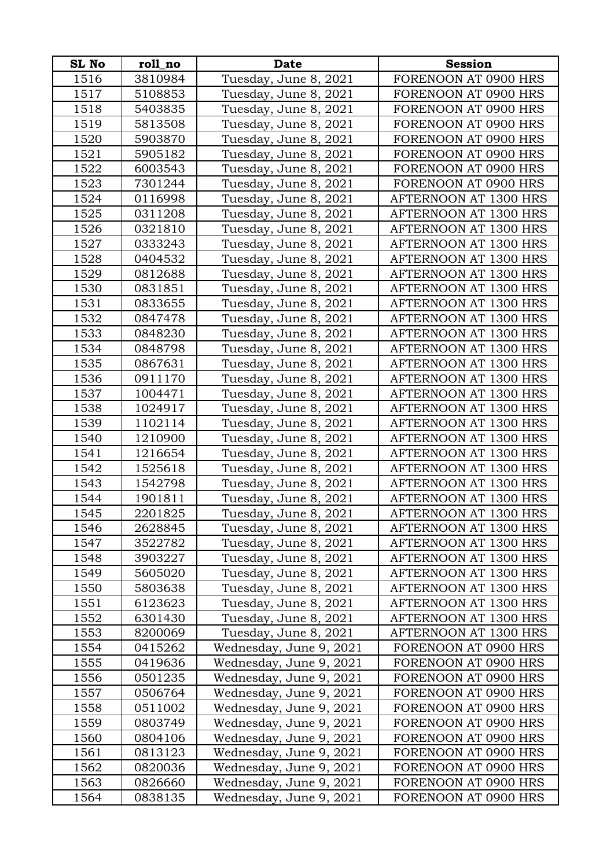| <b>SL No</b> | roll no | <b>Date</b>             | <b>Session</b>        |
|--------------|---------|-------------------------|-----------------------|
| 1516         | 3810984 | Tuesday, June 8, 2021   | FORENOON AT 0900 HRS  |
| 1517         | 5108853 | Tuesday, June 8, 2021   | FORENOON AT 0900 HRS  |
| 1518         | 5403835 | Tuesday, June 8, 2021   | FORENOON AT 0900 HRS  |
| 1519         | 5813508 | Tuesday, June 8, 2021   | FORENOON AT 0900 HRS  |
| 1520         | 5903870 | Tuesday, June 8, 2021   | FORENOON AT 0900 HRS  |
| 1521         | 5905182 | Tuesday, June 8, 2021   | FORENOON AT 0900 HRS  |
| 1522         | 6003543 | Tuesday, June 8, 2021   | FORENOON AT 0900 HRS  |
| 1523         | 7301244 | Tuesday, June 8, 2021   | FORENOON AT 0900 HRS  |
| 1524         | 0116998 | Tuesday, June 8, 2021   | AFTERNOON AT 1300 HRS |
| 1525         | 0311208 | Tuesday, June 8, 2021   | AFTERNOON AT 1300 HRS |
| 1526         | 0321810 | Tuesday, June 8, 2021   | AFTERNOON AT 1300 HRS |
| 1527         | 0333243 | Tuesday, June 8, 2021   | AFTERNOON AT 1300 HRS |
| 1528         | 0404532 | Tuesday, June 8, 2021   | AFTERNOON AT 1300 HRS |
| 1529         | 0812688 | Tuesday, June 8, 2021   | AFTERNOON AT 1300 HRS |
| 1530         | 0831851 | Tuesday, June 8, 2021   | AFTERNOON AT 1300 HRS |
| 1531         | 0833655 | Tuesday, June 8, 2021   | AFTERNOON AT 1300 HRS |
| 1532         | 0847478 | Tuesday, June 8, 2021   | AFTERNOON AT 1300 HRS |
| 1533         | 0848230 | Tuesday, June 8, 2021   | AFTERNOON AT 1300 HRS |
| 1534         | 0848798 | Tuesday, June 8, 2021   | AFTERNOON AT 1300 HRS |
| 1535         | 0867631 | Tuesday, June 8, 2021   | AFTERNOON AT 1300 HRS |
| 1536         | 0911170 | Tuesday, June 8, 2021   | AFTERNOON AT 1300 HRS |
| 1537         | 1004471 | Tuesday, June 8, 2021   | AFTERNOON AT 1300 HRS |
| 1538         | 1024917 | Tuesday, June 8, 2021   | AFTERNOON AT 1300 HRS |
| 1539         | 1102114 | Tuesday, June 8, 2021   | AFTERNOON AT 1300 HRS |
| 1540         | 1210900 | Tuesday, June 8, 2021   | AFTERNOON AT 1300 HRS |
| 1541         | 1216654 | Tuesday, June 8, 2021   | AFTERNOON AT 1300 HRS |
| 1542         | 1525618 | Tuesday, June 8, 2021   | AFTERNOON AT 1300 HRS |
| 1543         | 1542798 | Tuesday, June 8, 2021   | AFTERNOON AT 1300 HRS |
| 1544         | 1901811 | Tuesday, June 8, 2021   | AFTERNOON AT 1300 HRS |
| 1545         | 2201825 | Tuesday, June 8, 2021   | AFTERNOON AT 1300 HRS |
| 1546         | 2628845 | Tuesday, June 8, 2021   | AFTERNOON AT 1300 HRS |
| 1547         | 3522782 | Tuesday, June 8, 2021   | AFTERNOON AT 1300 HRS |
| 1548         | 3903227 | Tuesday, June 8, 2021   | AFTERNOON AT 1300 HRS |
| 1549         | 5605020 | Tuesday, June 8, 2021   | AFTERNOON AT 1300 HRS |
| 1550         | 5803638 | Tuesday, June 8, 2021   | AFTERNOON AT 1300 HRS |
| 1551         | 6123623 | Tuesday, June 8, 2021   | AFTERNOON AT 1300 HRS |
| 1552         | 6301430 | Tuesday, June 8, 2021   | AFTERNOON AT 1300 HRS |
| 1553         | 8200069 | Tuesday, June 8, 2021   | AFTERNOON AT 1300 HRS |
| 1554         | 0415262 | Wednesday, June 9, 2021 | FORENOON AT 0900 HRS  |
| 1555         | 0419636 | Wednesday, June 9, 2021 | FORENOON AT 0900 HRS  |
| 1556         | 0501235 | Wednesday, June 9, 2021 | FORENOON AT 0900 HRS  |
| 1557         | 0506764 | Wednesday, June 9, 2021 | FORENOON AT 0900 HRS  |
| 1558         | 0511002 | Wednesday, June 9, 2021 | FORENOON AT 0900 HRS  |
| 1559         | 0803749 | Wednesday, June 9, 2021 | FORENOON AT 0900 HRS  |
| 1560         | 0804106 | Wednesday, June 9, 2021 | FORENOON AT 0900 HRS  |
| 1561         | 0813123 | Wednesday, June 9, 2021 | FORENOON AT 0900 HRS  |
| 1562         | 0820036 | Wednesday, June 9, 2021 | FORENOON AT 0900 HRS  |
| 1563         | 0826660 | Wednesday, June 9, 2021 | FORENOON AT 0900 HRS  |
| 1564         | 0838135 | Wednesday, June 9, 2021 | FORENOON AT 0900 HRS  |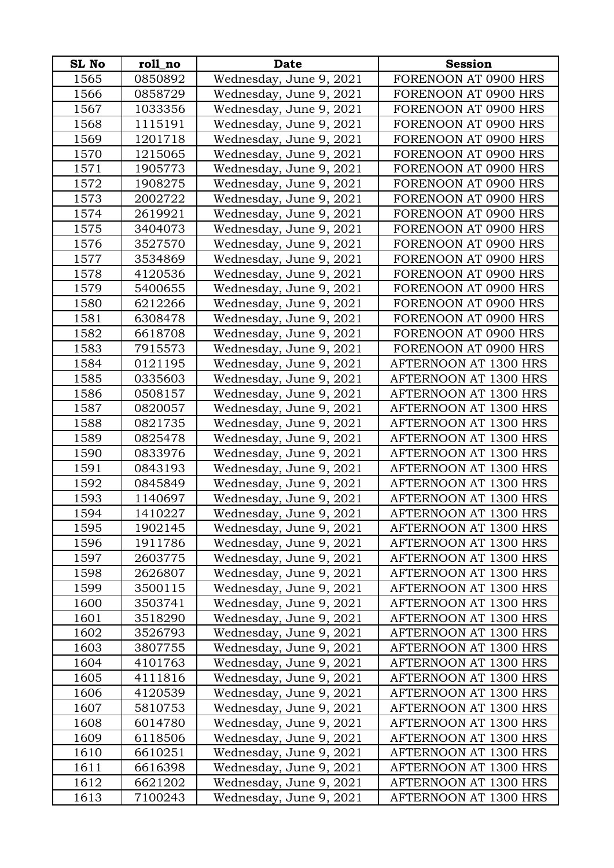| SL No        | roll_no            | <b>Date</b>                                        | <b>Session</b>                                 |
|--------------|--------------------|----------------------------------------------------|------------------------------------------------|
| 1565         | 0850892            | Wednesday, June 9, 2021                            | FORENOON AT 0900 HRS                           |
| 1566         | 0858729            | Wednesday, June 9, 2021                            | FORENOON AT 0900 HRS                           |
| 1567         | 1033356            | Wednesday, June 9, 2021                            | FORENOON AT 0900 HRS                           |
| 1568         | 1115191            | Wednesday, June 9, 2021                            | FORENOON AT 0900 HRS                           |
| 1569         | 1201718            | Wednesday, June 9, 2021                            | FORENOON AT 0900 HRS                           |
| 1570         | 1215065            | Wednesday, June 9, 2021                            | FORENOON AT 0900 HRS                           |
| 1571         | 1905773            | Wednesday, June 9, 2021                            | FORENOON AT 0900 HRS                           |
| 1572         | 1908275            | Wednesday, June 9, 2021                            | FORENOON AT 0900 HRS                           |
| 1573         | 2002722            | Wednesday, June 9, 2021                            | FORENOON AT 0900 HRS                           |
| 1574         | 2619921            | Wednesday, June 9, 2021                            | FORENOON AT 0900 HRS                           |
| 1575         | 3404073            | Wednesday, June 9, 2021                            | FORENOON AT 0900 HRS                           |
| 1576         | 3527570            | Wednesday, June 9, 2021                            | FORENOON AT 0900 HRS                           |
| 1577         | 3534869            | Wednesday, June 9, 2021                            | FORENOON AT 0900 HRS                           |
| 1578         | 4120536            | Wednesday, June 9, 2021                            | FORENOON AT 0900 HRS                           |
| 1579         | 5400655            | Wednesday, June 9, 2021                            | FORENOON AT 0900 HRS                           |
| 1580         | 6212266            | Wednesday, June 9, 2021                            | FORENOON AT 0900 HRS                           |
| 1581         | 6308478            | Wednesday, June 9, 2021                            | FORENOON AT 0900 HRS                           |
| 1582         | 6618708            | Wednesday, June 9, 2021                            | FORENOON AT 0900 HRS                           |
| 1583         | 7915573            | Wednesday, June 9, 2021                            | FORENOON AT 0900 HRS                           |
| 1584         | 0121195            | Wednesday, June 9, 2021                            | AFTERNOON AT 1300 HRS                          |
| 1585         | 0335603            | Wednesday, June 9, 2021                            | AFTERNOON AT 1300 HRS                          |
| 1586         | 0508157            | Wednesday, June 9, 2021                            | AFTERNOON AT 1300 HRS                          |
| 1587         | 0820057            | Wednesday, June 9, 2021                            | AFTERNOON AT 1300 HRS                          |
| 1588         | 0821735            | Wednesday, June 9, 2021                            | AFTERNOON AT 1300 HRS                          |
| 1589         | 0825478            | Wednesday, June 9, 2021                            | AFTERNOON AT 1300 HRS                          |
| 1590         | 0833976            | Wednesday, June 9, 2021                            | AFTERNOON AT 1300 HRS                          |
| 1591         | 0843193            | Wednesday, June 9, 2021                            | AFTERNOON AT 1300 HRS                          |
| 1592         | 0845849            | Wednesday, June 9, 2021                            | AFTERNOON AT 1300 HRS                          |
| 1593         | 1140697            | Wednesday, June 9, 2021                            | AFTERNOON AT 1300 HRS                          |
| 1594         | 1410227            | Wednesday, June 9, 2021                            | AFTERNOON AT 1300 HRS                          |
| 1595         | 1902145            | Wednesday, June 9, 2021                            | AFTERNOON AT 1300 HRS                          |
| 1596         | 1911786            | Wednesday, June 9, 2021                            | AFTERNOON AT 1300 HRS                          |
| 1597         | 2603775            | Wednesday, June 9, 2021                            | AFTERNOON AT 1300 HRS                          |
| 1598         | 2626807            | Wednesday, June 9, 2021                            | AFTERNOON AT 1300 HRS                          |
| 1599         | 3500115            | Wednesday, June 9, 2021                            | AFTERNOON AT 1300 HRS                          |
| 1600         | 3503741            | Wednesday, June 9, 2021                            | AFTERNOON AT 1300 HRS                          |
| 1601         | 3518290            | Wednesday, June 9, 2021                            | AFTERNOON AT 1300 HRS                          |
| 1602         | 3526793            | Wednesday, June 9, 2021                            | AFTERNOON AT 1300 HRS                          |
| 1603         | 3807755            | Wednesday, June 9, 2021                            | AFTERNOON AT 1300 HRS                          |
| 1604         | 4101763            | Wednesday, June 9, 2021                            | AFTERNOON AT 1300 HRS                          |
| 1605         | 4111816            | Wednesday, June 9, 2021                            | AFTERNOON AT 1300 HRS                          |
| 1606         | 4120539            | Wednesday, June 9, 2021                            | AFTERNOON AT 1300 HRS<br>AFTERNOON AT 1300 HRS |
| 1607         | 5810753            | Wednesday, June 9, 2021                            |                                                |
| 1608<br>1609 | 6014780<br>6118506 | Wednesday, June 9, 2021                            | AFTERNOON AT 1300 HRS<br>AFTERNOON AT 1300 HRS |
| 1610         | 6610251            | Wednesday, June 9, 2021                            | AFTERNOON AT 1300 HRS                          |
| 1611         | 6616398            | Wednesday, June 9, 2021<br>Wednesday, June 9, 2021 | AFTERNOON AT 1300 HRS                          |
| 1612         | 6621202            | Wednesday, June 9, 2021                            | AFTERNOON AT 1300 HRS                          |
| 1613         | 7100243            | Wednesday, June 9, 2021                            | AFTERNOON AT 1300 HRS                          |
|              |                    |                                                    |                                                |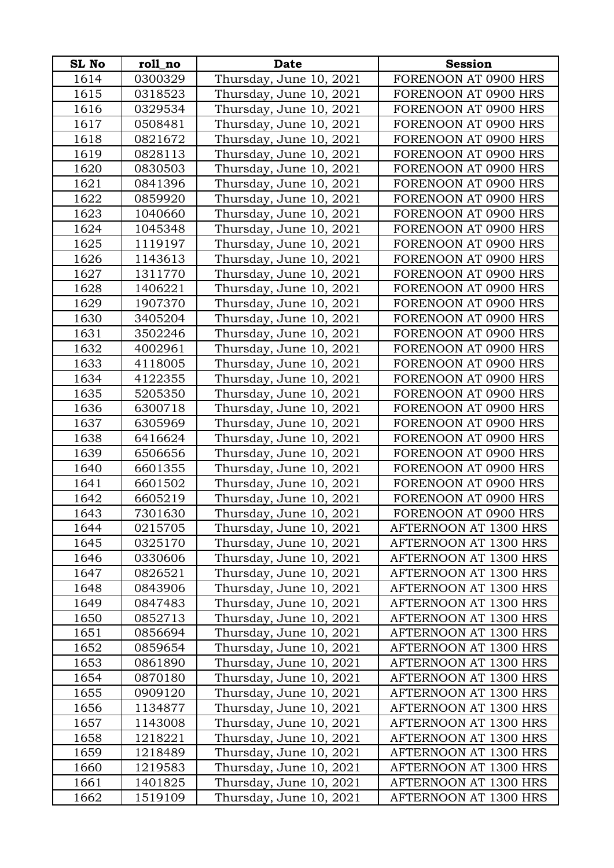| SL No | roll_no | <b>Date</b>             | <b>Session</b>        |
|-------|---------|-------------------------|-----------------------|
| 1614  | 0300329 | Thursday, June 10, 2021 | FORENOON AT 0900 HRS  |
| 1615  | 0318523 | Thursday, June 10, 2021 | FORENOON AT 0900 HRS  |
| 1616  | 0329534 | Thursday, June 10, 2021 | FORENOON AT 0900 HRS  |
| 1617  | 0508481 | Thursday, June 10, 2021 | FORENOON AT 0900 HRS  |
| 1618  | 0821672 | Thursday, June 10, 2021 | FORENOON AT 0900 HRS  |
| 1619  | 0828113 | Thursday, June 10, 2021 | FORENOON AT 0900 HRS  |
| 1620  | 0830503 | Thursday, June 10, 2021 | FORENOON AT 0900 HRS  |
| 1621  | 0841396 | Thursday, June 10, 2021 | FORENOON AT 0900 HRS  |
| 1622  | 0859920 | Thursday, June 10, 2021 | FORENOON AT 0900 HRS  |
| 1623  | 1040660 | Thursday, June 10, 2021 | FORENOON AT 0900 HRS  |
| 1624  | 1045348 | Thursday, June 10, 2021 | FORENOON AT 0900 HRS  |
| 1625  | 1119197 | Thursday, June 10, 2021 | FORENOON AT 0900 HRS  |
| 1626  | 1143613 | Thursday, June 10, 2021 | FORENOON AT 0900 HRS  |
| 1627  | 1311770 | Thursday, June 10, 2021 | FORENOON AT 0900 HRS  |
| 1628  | 1406221 | Thursday, June 10, 2021 | FORENOON AT 0900 HRS  |
| 1629  | 1907370 | Thursday, June 10, 2021 | FORENOON AT 0900 HRS  |
| 1630  | 3405204 | Thursday, June 10, 2021 | FORENOON AT 0900 HRS  |
| 1631  | 3502246 | Thursday, June 10, 2021 | FORENOON AT 0900 HRS  |
| 1632  | 4002961 | Thursday, June 10, 2021 | FORENOON AT 0900 HRS  |
| 1633  | 4118005 | Thursday, June 10, 2021 | FORENOON AT 0900 HRS  |
| 1634  | 4122355 | Thursday, June 10, 2021 | FORENOON AT 0900 HRS  |
| 1635  | 5205350 | Thursday, June 10, 2021 | FORENOON AT 0900 HRS  |
| 1636  | 6300718 | Thursday, June 10, 2021 | FORENOON AT 0900 HRS  |
| 1637  | 6305969 | Thursday, June 10, 2021 | FORENOON AT 0900 HRS  |
| 1638  | 6416624 | Thursday, June 10, 2021 | FORENOON AT 0900 HRS  |
| 1639  | 6506656 | Thursday, June 10, 2021 | FORENOON AT 0900 HRS  |
| 1640  | 6601355 | Thursday, June 10, 2021 | FORENOON AT 0900 HRS  |
| 1641  | 6601502 | Thursday, June 10, 2021 | FORENOON AT 0900 HRS  |
| 1642  | 6605219 | Thursday, June 10, 2021 | FORENOON AT 0900 HRS  |
| 1643  | 7301630 | Thursday, June 10, 2021 | FORENOON AT 0900 HRS  |
| 1644  | 0215705 | Thursday, June 10, 2021 | AFTERNOON AT 1300 HRS |
| 1645  | 0325170 | Thursday, June 10, 2021 | AFTERNOON AT 1300 HRS |
| 1646  | 0330606 | Thursday, June 10, 2021 | AFTERNOON AT 1300 HRS |
| 1647  | 0826521 | Thursday, June 10, 2021 | AFTERNOON AT 1300 HRS |
| 1648  | 0843906 | Thursday, June 10, 2021 | AFTERNOON AT 1300 HRS |
| 1649  | 0847483 | Thursday, June 10, 2021 | AFTERNOON AT 1300 HRS |
| 1650  | 0852713 | Thursday, June 10, 2021 | AFTERNOON AT 1300 HRS |
| 1651  | 0856694 | Thursday, June 10, 2021 | AFTERNOON AT 1300 HRS |
| 1652  | 0859654 | Thursday, June 10, 2021 | AFTERNOON AT 1300 HRS |
| 1653  | 0861890 | Thursday, June 10, 2021 | AFTERNOON AT 1300 HRS |
| 1654  | 0870180 | Thursday, June 10, 2021 | AFTERNOON AT 1300 HRS |
| 1655  | 0909120 | Thursday, June 10, 2021 | AFTERNOON AT 1300 HRS |
| 1656  | 1134877 | Thursday, June 10, 2021 | AFTERNOON AT 1300 HRS |
| 1657  | 1143008 | Thursday, June 10, 2021 | AFTERNOON AT 1300 HRS |
| 1658  | 1218221 | Thursday, June 10, 2021 | AFTERNOON AT 1300 HRS |
| 1659  | 1218489 | Thursday, June 10, 2021 | AFTERNOON AT 1300 HRS |
| 1660  | 1219583 | Thursday, June 10, 2021 | AFTERNOON AT 1300 HRS |
| 1661  | 1401825 | Thursday, June 10, 2021 | AFTERNOON AT 1300 HRS |
| 1662  | 1519109 | Thursday, June 10, 2021 | AFTERNOON AT 1300 HRS |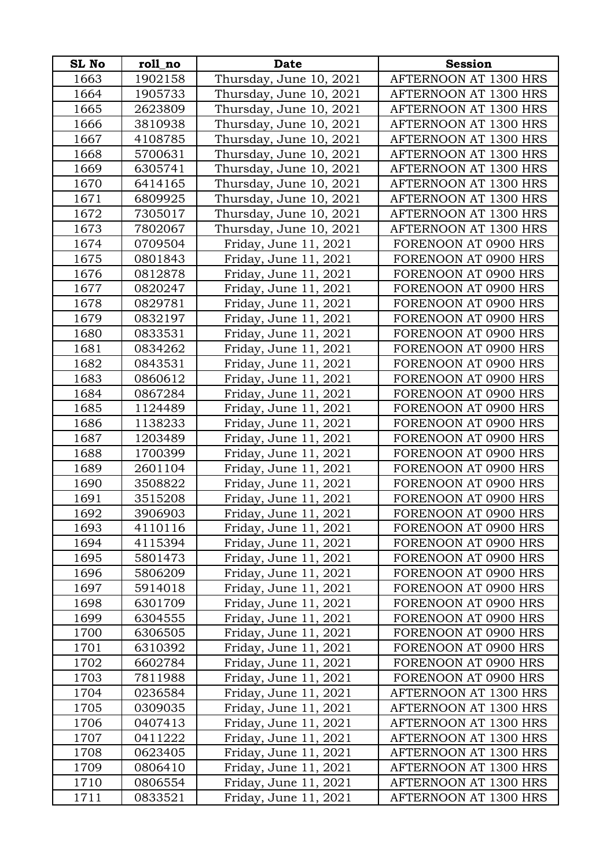| <b>SL No</b> | roll_no | <b>Date</b>             | <b>Session</b>        |
|--------------|---------|-------------------------|-----------------------|
| 1663         | 1902158 | Thursday, June 10, 2021 | AFTERNOON AT 1300 HRS |
| 1664         | 1905733 | Thursday, June 10, 2021 | AFTERNOON AT 1300 HRS |
| 1665         | 2623809 | Thursday, June 10, 2021 | AFTERNOON AT 1300 HRS |
| 1666         | 3810938 | Thursday, June 10, 2021 | AFTERNOON AT 1300 HRS |
| 1667         | 4108785 | Thursday, June 10, 2021 | AFTERNOON AT 1300 HRS |
| 1668         | 5700631 | Thursday, June 10, 2021 | AFTERNOON AT 1300 HRS |
| 1669         | 6305741 | Thursday, June 10, 2021 | AFTERNOON AT 1300 HRS |
| 1670         | 6414165 | Thursday, June 10, 2021 | AFTERNOON AT 1300 HRS |
| 1671         | 6809925 | Thursday, June 10, 2021 | AFTERNOON AT 1300 HRS |
| 1672         | 7305017 | Thursday, June 10, 2021 | AFTERNOON AT 1300 HRS |
| 1673         | 7802067 | Thursday, June 10, 2021 | AFTERNOON AT 1300 HRS |
| 1674         | 0709504 | Friday, June 11, 2021   | FORENOON AT 0900 HRS  |
| 1675         | 0801843 | Friday, June 11, 2021   | FORENOON AT 0900 HRS  |
| 1676         | 0812878 | Friday, June 11, 2021   | FORENOON AT 0900 HRS  |
| 1677         | 0820247 | Friday, June 11, 2021   | FORENOON AT 0900 HRS  |
| 1678         | 0829781 | Friday, June 11, 2021   | FORENOON AT 0900 HRS  |
| 1679         | 0832197 | Friday, June 11, 2021   | FORENOON AT 0900 HRS  |
| 1680         | 0833531 | Friday, June 11, 2021   | FORENOON AT 0900 HRS  |
| 1681         | 0834262 | Friday, June 11, 2021   | FORENOON AT 0900 HRS  |
| 1682         | 0843531 | Friday, June 11, 2021   | FORENOON AT 0900 HRS  |
| 1683         | 0860612 | Friday, June 11, 2021   | FORENOON AT 0900 HRS  |
| 1684         | 0867284 | Friday, June 11, 2021   | FORENOON AT 0900 HRS  |
| 1685         | 1124489 | Friday, June 11, 2021   | FORENOON AT 0900 HRS  |
| 1686         | 1138233 | Friday, June 11, 2021   | FORENOON AT 0900 HRS  |
| 1687         | 1203489 | Friday, June 11, 2021   | FORENOON AT 0900 HRS  |
| 1688         | 1700399 | Friday, June 11, 2021   | FORENOON AT 0900 HRS  |
| 1689         | 2601104 | Friday, June 11, 2021   | FORENOON AT 0900 HRS  |
| 1690         | 3508822 | Friday, June 11, 2021   | FORENOON AT 0900 HRS  |
| 1691         | 3515208 | Friday, June 11, 2021   | FORENOON AT 0900 HRS  |
| 1692         | 3906903 | Friday, June 11, 2021   | FORENOON AT 0900 HRS  |
| 1693         | 4110116 | Friday, June 11, 2021   | FORENOON AT 0900 HRS  |
| 1694         | 4115394 | Friday, June 11, 2021   | FORENOON AT 0900 HRS  |
| 1695         | 5801473 | Friday, June 11, 2021   | FORENOON AT 0900 HRS  |
| 1696         | 5806209 | Friday, June 11, 2021   | FORENOON AT 0900 HRS  |
| 1697         | 5914018 | Friday, June 11, 2021   | FORENOON AT 0900 HRS  |
| 1698         | 6301709 | Friday, June 11, 2021   | FORENOON AT 0900 HRS  |
| 1699         | 6304555 | Friday, June 11, 2021   | FORENOON AT 0900 HRS  |
| 1700         | 6306505 | Friday, June 11, 2021   | FORENOON AT 0900 HRS  |
| 1701         | 6310392 | Friday, June 11, 2021   | FORENOON AT 0900 HRS  |
| 1702         | 6602784 | Friday, June 11, 2021   | FORENOON AT 0900 HRS  |
| 1703         | 7811988 | Friday, June 11, 2021   | FORENOON AT 0900 HRS  |
| 1704         | 0236584 | Friday, June 11, 2021   | AFTERNOON AT 1300 HRS |
| 1705         | 0309035 | Friday, June 11, 2021   | AFTERNOON AT 1300 HRS |
| 1706         | 0407413 | Friday, June 11, 2021   | AFTERNOON AT 1300 HRS |
| 1707         | 0411222 | Friday, June 11, 2021   | AFTERNOON AT 1300 HRS |
| 1708         | 0623405 | Friday, June 11, 2021   | AFTERNOON AT 1300 HRS |
| 1709         | 0806410 | Friday, June 11, 2021   | AFTERNOON AT 1300 HRS |
| 1710         | 0806554 | Friday, June 11, 2021   | AFTERNOON AT 1300 HRS |
| 1711         | 0833521 | Friday, June 11, 2021   | AFTERNOON AT 1300 HRS |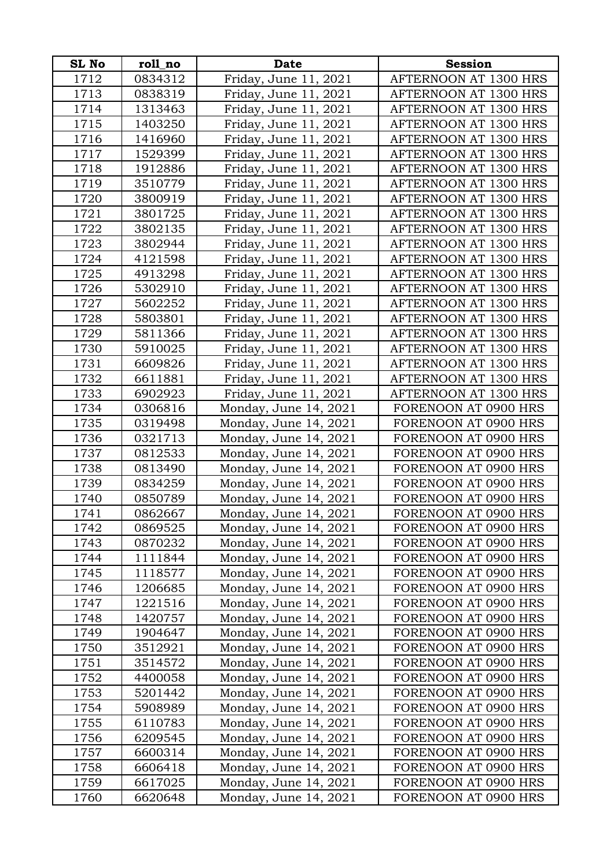| <b>SL No</b> | roll_no | <b>Date</b>           | <b>Session</b>        |
|--------------|---------|-----------------------|-----------------------|
| 1712         | 0834312 | Friday, June 11, 2021 | AFTERNOON AT 1300 HRS |
| 1713         | 0838319 | Friday, June 11, 2021 | AFTERNOON AT 1300 HRS |
| 1714         | 1313463 | Friday, June 11, 2021 | AFTERNOON AT 1300 HRS |
| 1715         | 1403250 | Friday, June 11, 2021 | AFTERNOON AT 1300 HRS |
| 1716         | 1416960 | Friday, June 11, 2021 | AFTERNOON AT 1300 HRS |
| 1717         | 1529399 | Friday, June 11, 2021 | AFTERNOON AT 1300 HRS |
| 1718         | 1912886 | Friday, June 11, 2021 | AFTERNOON AT 1300 HRS |
| 1719         | 3510779 | Friday, June 11, 2021 | AFTERNOON AT 1300 HRS |
| 1720         | 3800919 | Friday, June 11, 2021 | AFTERNOON AT 1300 HRS |
| 1721         | 3801725 | Friday, June 11, 2021 | AFTERNOON AT 1300 HRS |
| 1722         | 3802135 | Friday, June 11, 2021 | AFTERNOON AT 1300 HRS |
| 1723         | 3802944 | Friday, June 11, 2021 | AFTERNOON AT 1300 HRS |
| 1724         | 4121598 | Friday, June 11, 2021 | AFTERNOON AT 1300 HRS |
| 1725         | 4913298 | Friday, June 11, 2021 | AFTERNOON AT 1300 HRS |
| 1726         | 5302910 | Friday, June 11, 2021 | AFTERNOON AT 1300 HRS |
| 1727         | 5602252 | Friday, June 11, 2021 | AFTERNOON AT 1300 HRS |
| 1728         | 5803801 | Friday, June 11, 2021 | AFTERNOON AT 1300 HRS |
| 1729         | 5811366 | Friday, June 11, 2021 | AFTERNOON AT 1300 HRS |
| 1730         | 5910025 | Friday, June 11, 2021 | AFTERNOON AT 1300 HRS |
| 1731         | 6609826 | Friday, June 11, 2021 | AFTERNOON AT 1300 HRS |
| 1732         | 6611881 | Friday, June 11, 2021 | AFTERNOON AT 1300 HRS |
| 1733         | 6902923 | Friday, June 11, 2021 | AFTERNOON AT 1300 HRS |
| 1734         | 0306816 | Monday, June 14, 2021 | FORENOON AT 0900 HRS  |
| 1735         | 0319498 | Monday, June 14, 2021 | FORENOON AT 0900 HRS  |
| 1736         | 0321713 | Monday, June 14, 2021 | FORENOON AT 0900 HRS  |
| 1737         | 0812533 | Monday, June 14, 2021 | FORENOON AT 0900 HRS  |
| 1738         | 0813490 | Monday, June 14, 2021 | FORENOON AT 0900 HRS  |
| 1739         | 0834259 | Monday, June 14, 2021 | FORENOON AT 0900 HRS  |
| 1740         | 0850789 | Monday, June 14, 2021 | FORENOON AT 0900 HRS  |
| 1741         | 0862667 | Monday, June 14, 2021 | FORENOON AT 0900 HRS  |
| 1742         | 0869525 | Monday, June 14, 2021 | FORENOON AT 0900 HRS  |
| 1743         | 0870232 | Monday, June 14, 2021 | FORENOON AT 0900 HRS  |
| 1744         | 1111844 | Monday, June 14, 2021 | FORENOON AT 0900 HRS  |
| 1745         | 1118577 | Monday, June 14, 2021 | FORENOON AT 0900 HRS  |
| 1746         | 1206685 | Monday, June 14, 2021 | FORENOON AT 0900 HRS  |
| 1747         | 1221516 | Monday, June 14, 2021 | FORENOON AT 0900 HRS  |
| 1748         | 1420757 | Monday, June 14, 2021 | FORENOON AT 0900 HRS  |
| 1749         | 1904647 | Monday, June 14, 2021 | FORENOON AT 0900 HRS  |
| 1750         | 3512921 | Monday, June 14, 2021 | FORENOON AT 0900 HRS  |
| 1751         | 3514572 | Monday, June 14, 2021 | FORENOON AT 0900 HRS  |
| 1752         | 4400058 | Monday, June 14, 2021 | FORENOON AT 0900 HRS  |
| 1753         | 5201442 | Monday, June 14, 2021 | FORENOON AT 0900 HRS  |
| 1754         | 5908989 | Monday, June 14, 2021 | FORENOON AT 0900 HRS  |
| 1755         | 6110783 | Monday, June 14, 2021 | FORENOON AT 0900 HRS  |
| 1756         | 6209545 | Monday, June 14, 2021 | FORENOON AT 0900 HRS  |
| 1757         | 6600314 | Monday, June 14, 2021 | FORENOON AT 0900 HRS  |
| 1758         | 6606418 | Monday, June 14, 2021 | FORENOON AT 0900 HRS  |
| 1759         | 6617025 | Monday, June 14, 2021 | FORENOON AT 0900 HRS  |
| 1760         | 6620648 | Monday, June 14, 2021 | FORENOON AT 0900 HRS  |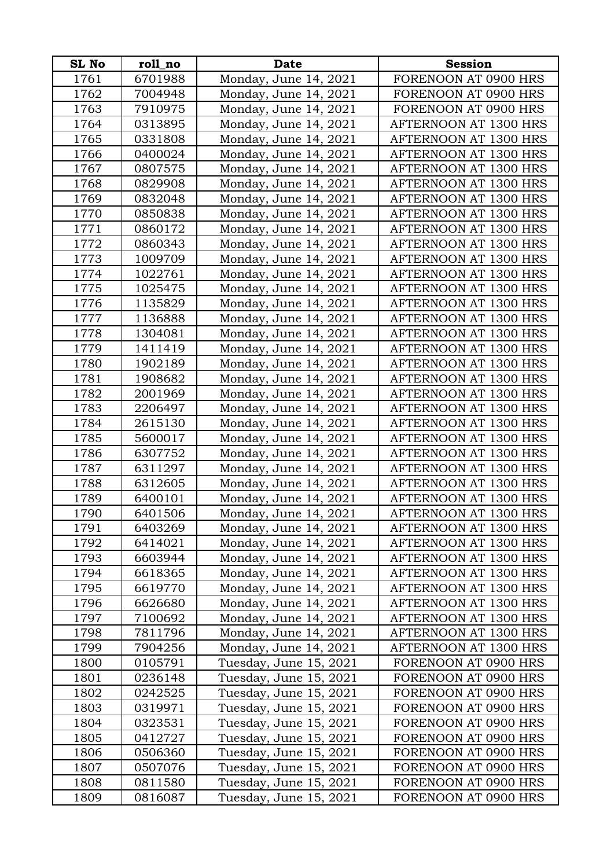| <b>SL No</b> | roll_no | <b>Date</b>            | <b>Session</b>               |
|--------------|---------|------------------------|------------------------------|
| 1761         | 6701988 | Monday, June 14, 2021  | FORENOON AT 0900 HRS         |
| 1762         | 7004948 | Monday, June 14, 2021  | FORENOON AT 0900 HRS         |
| 1763         | 7910975 | Monday, June 14, 2021  | FORENOON AT 0900 HRS         |
| 1764         | 0313895 | Monday, June 14, 2021  | AFTERNOON AT 1300 HRS        |
| 1765         | 0331808 | Monday, June 14, 2021  | AFTERNOON AT 1300 HRS        |
| 1766         | 0400024 | Monday, June 14, 2021  | AFTERNOON AT 1300 HRS        |
| 1767         | 0807575 | Monday, June 14, 2021  | AFTERNOON AT 1300 HRS        |
| 1768         | 0829908 | Monday, June 14, 2021  | AFTERNOON AT 1300 HRS        |
| 1769         | 0832048 | Monday, June 14, 2021  | AFTERNOON AT 1300 HRS        |
| 1770         | 0850838 | Monday, June 14, 2021  | AFTERNOON AT 1300 HRS        |
| 1771         | 0860172 | Monday, June 14, 2021  | AFTERNOON AT 1300 HRS        |
| 1772         | 0860343 | Monday, June 14, 2021  | AFTERNOON AT 1300 HRS        |
| 1773         | 1009709 | Monday, June 14, 2021  | AFTERNOON AT 1300 HRS        |
| 1774         | 1022761 | Monday, June 14, 2021  | AFTERNOON AT 1300 HRS        |
| 1775         | 1025475 | Monday, June 14, 2021  | AFTERNOON AT 1300 HRS        |
| 1776         | 1135829 | Monday, June 14, 2021  | AFTERNOON AT 1300 HRS        |
| 1777         | 1136888 | Monday, June 14, 2021  | AFTERNOON AT 1300 HRS        |
| 1778         | 1304081 | Monday, June 14, 2021  | AFTERNOON AT 1300 HRS        |
| 1779         | 1411419 | Monday, June 14, 2021  | AFTERNOON AT 1300 HRS        |
| 1780         | 1902189 | Monday, June 14, 2021  | AFTERNOON AT 1300 HRS        |
| 1781         | 1908682 | Monday, June 14, 2021  | AFTERNOON AT 1300 HRS        |
| 1782         | 2001969 | Monday, June 14, 2021  | AFTERNOON AT 1300 HRS        |
| 1783         | 2206497 | Monday, June 14, 2021  | AFTERNOON AT 1300 HRS        |
| 1784         | 2615130 | Monday, June 14, 2021  | AFTERNOON AT 1300 HRS        |
| 1785         | 5600017 | Monday, June 14, 2021  | AFTERNOON AT 1300 HRS        |
| 1786         | 6307752 | Monday, June 14, 2021  | AFTERNOON AT 1300 HRS        |
| 1787         | 6311297 | Monday, June 14, 2021  | AFTERNOON AT 1300 HRS        |
| 1788         | 6312605 | Monday, June 14, 2021  | AFTERNOON AT 1300 HRS        |
| 1789         | 6400101 | Monday, June 14, 2021  | AFTERNOON AT 1300 HRS        |
| 1790         | 6401506 | Monday, June 14, 2021  | AFTERNOON AT 1300 HRS        |
| 1791         | 6403269 | Monday, June 14, 2021  | AFTERNOON AT 1300 HRS        |
| 1792         | 6414021 | Monday, June 14, 2021  | AFTERNOON AT 1300 HRS        |
| 1793         | 6603944 | Monday, June 14, 2021  | AFTERNOON AT 1300 HRS        |
| 1794         | 6618365 | Monday, June 14, 2021  | AFTERNOON AT 1300 HRS        |
| 1795         | 6619770 | Monday, June 14, 2021  | AFTERNOON AT 1300 HRS        |
| 1796         | 6626680 | Monday, June 14, 2021  | AFTERNOON AT 1300 HRS        |
| 1797         | 7100692 | Monday, June 14, 2021  | <b>AFTERNOON AT 1300 HRS</b> |
| 1798         | 7811796 | Monday, June 14, 2021  | AFTERNOON AT 1300 HRS        |
| 1799         | 7904256 | Monday, June 14, 2021  | AFTERNOON AT 1300 HRS        |
| 1800         | 0105791 | Tuesday, June 15, 2021 | FORENOON AT 0900 HRS         |
| 1801         | 0236148 | Tuesday, June 15, 2021 | FORENOON AT 0900 HRS         |
| 1802         | 0242525 | Tuesday, June 15, 2021 | FORENOON AT 0900 HRS         |
| 1803         | 0319971 | Tuesday, June 15, 2021 | FORENOON AT 0900 HRS         |
| 1804         | 0323531 | Tuesday, June 15, 2021 | FORENOON AT 0900 HRS         |
| 1805         | 0412727 | Tuesday, June 15, 2021 | FORENOON AT 0900 HRS         |
| 1806         | 0506360 | Tuesday, June 15, 2021 | FORENOON AT 0900 HRS         |
| 1807         | 0507076 | Tuesday, June 15, 2021 | FORENOON AT 0900 HRS         |
| 1808         | 0811580 | Tuesday, June 15, 2021 | FORENOON AT 0900 HRS         |
| 1809         | 0816087 | Tuesday, June 15, 2021 | FORENOON AT 0900 HRS         |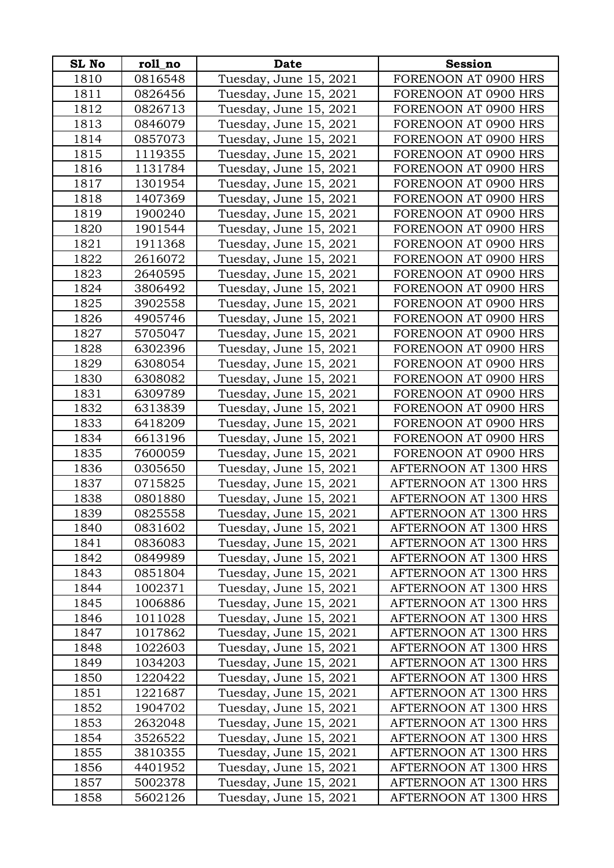| <b>SL No</b> | roll_no | <b>Date</b>            | <b>Session</b>        |
|--------------|---------|------------------------|-----------------------|
| 1810         | 0816548 | Tuesday, June 15, 2021 | FORENOON AT 0900 HRS  |
| 1811         | 0826456 | Tuesday, June 15, 2021 | FORENOON AT 0900 HRS  |
| 1812         | 0826713 | Tuesday, June 15, 2021 | FORENOON AT 0900 HRS  |
| 1813         | 0846079 | Tuesday, June 15, 2021 | FORENOON AT 0900 HRS  |
| 1814         | 0857073 | Tuesday, June 15, 2021 | FORENOON AT 0900 HRS  |
| 1815         | 1119355 | Tuesday, June 15, 2021 | FORENOON AT 0900 HRS  |
| 1816         | 1131784 | Tuesday, June 15, 2021 | FORENOON AT 0900 HRS  |
| 1817         | 1301954 | Tuesday, June 15, 2021 | FORENOON AT 0900 HRS  |
| 1818         | 1407369 | Tuesday, June 15, 2021 | FORENOON AT 0900 HRS  |
| 1819         | 1900240 | Tuesday, June 15, 2021 | FORENOON AT 0900 HRS  |
| 1820         | 1901544 | Tuesday, June 15, 2021 | FORENOON AT 0900 HRS  |
| 1821         | 1911368 | Tuesday, June 15, 2021 | FORENOON AT 0900 HRS  |
| 1822         | 2616072 | Tuesday, June 15, 2021 | FORENOON AT 0900 HRS  |
| 1823         | 2640595 | Tuesday, June 15, 2021 | FORENOON AT 0900 HRS  |
| 1824         | 3806492 | Tuesday, June 15, 2021 | FORENOON AT 0900 HRS  |
| 1825         | 3902558 | Tuesday, June 15, 2021 | FORENOON AT 0900 HRS  |
| 1826         | 4905746 | Tuesday, June 15, 2021 | FORENOON AT 0900 HRS  |
| 1827         | 5705047 | Tuesday, June 15, 2021 | FORENOON AT 0900 HRS  |
| 1828         | 6302396 | Tuesday, June 15, 2021 | FORENOON AT 0900 HRS  |
| 1829         | 6308054 | Tuesday, June 15, 2021 | FORENOON AT 0900 HRS  |
| 1830         | 6308082 | Tuesday, June 15, 2021 | FORENOON AT 0900 HRS  |
| 1831         | 6309789 | Tuesday, June 15, 2021 | FORENOON AT 0900 HRS  |
| 1832         | 6313839 | Tuesday, June 15, 2021 | FORENOON AT 0900 HRS  |
| 1833         | 6418209 | Tuesday, June 15, 2021 | FORENOON AT 0900 HRS  |
| 1834         | 6613196 | Tuesday, June 15, 2021 | FORENOON AT 0900 HRS  |
| 1835         | 7600059 | Tuesday, June 15, 2021 | FORENOON AT 0900 HRS  |
| 1836         | 0305650 | Tuesday, June 15, 2021 | AFTERNOON AT 1300 HRS |
| 1837         | 0715825 | Tuesday, June 15, 2021 | AFTERNOON AT 1300 HRS |
| 1838         | 0801880 | Tuesday, June 15, 2021 | AFTERNOON AT 1300 HRS |
| 1839         | 0825558 | Tuesday, June 15, 2021 | AFTERNOON AT 1300 HRS |
| 1840         | 0831602 | Tuesday, June 15, 2021 | AFTERNOON AT 1300 HRS |
| 1841         | 0836083 | Tuesday, June 15, 2021 | AFTERNOON AT 1300 HRS |
| 1842         | 0849989 | Tuesday, June 15, 2021 | AFTERNOON AT 1300 HRS |
| 1843         | 0851804 | Tuesday, June 15, 2021 | AFTERNOON AT 1300 HRS |
| 1844         | 1002371 | Tuesday, June 15, 2021 | AFTERNOON AT 1300 HRS |
| 1845         | 1006886 | Tuesday, June 15, 2021 | AFTERNOON AT 1300 HRS |
| 1846         | 1011028 | Tuesday, June 15, 2021 | AFTERNOON AT 1300 HRS |
| 1847         | 1017862 | Tuesday, June 15, 2021 | AFTERNOON AT 1300 HRS |
| 1848         | 1022603 | Tuesday, June 15, 2021 | AFTERNOON AT 1300 HRS |
| 1849         | 1034203 | Tuesday, June 15, 2021 | AFTERNOON AT 1300 HRS |
| 1850         | 1220422 | Tuesday, June 15, 2021 | AFTERNOON AT 1300 HRS |
| 1851         | 1221687 | Tuesday, June 15, 2021 | AFTERNOON AT 1300 HRS |
| 1852         | 1904702 | Tuesday, June 15, 2021 | AFTERNOON AT 1300 HRS |
| 1853         | 2632048 | Tuesday, June 15, 2021 | AFTERNOON AT 1300 HRS |
| 1854         | 3526522 | Tuesday, June 15, 2021 | AFTERNOON AT 1300 HRS |
| 1855         | 3810355 | Tuesday, June 15, 2021 | AFTERNOON AT 1300 HRS |
| 1856         | 4401952 | Tuesday, June 15, 2021 | AFTERNOON AT 1300 HRS |
| 1857         | 5002378 | Tuesday, June 15, 2021 | AFTERNOON AT 1300 HRS |
| 1858         | 5602126 | Tuesday, June 15, 2021 | AFTERNOON AT 1300 HRS |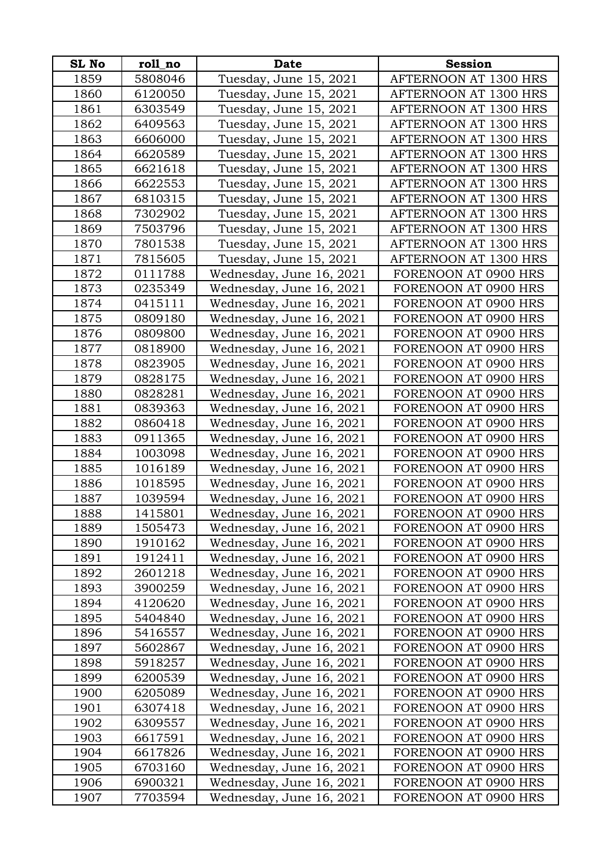| <b>SL No</b> | roll_no | <b>Date</b>              | <b>Session</b>        |
|--------------|---------|--------------------------|-----------------------|
| 1859         | 5808046 | Tuesday, June 15, 2021   | AFTERNOON AT 1300 HRS |
| 1860         | 6120050 | Tuesday, June 15, 2021   | AFTERNOON AT 1300 HRS |
| 1861         | 6303549 | Tuesday, June 15, 2021   | AFTERNOON AT 1300 HRS |
| 1862         | 6409563 | Tuesday, June 15, 2021   | AFTERNOON AT 1300 HRS |
| 1863         | 6606000 | Tuesday, June 15, 2021   | AFTERNOON AT 1300 HRS |
| 1864         | 6620589 | Tuesday, June 15, 2021   | AFTERNOON AT 1300 HRS |
| 1865         | 6621618 | Tuesday, June 15, 2021   | AFTERNOON AT 1300 HRS |
| 1866         | 6622553 | Tuesday, June 15, 2021   | AFTERNOON AT 1300 HRS |
| 1867         | 6810315 | Tuesday, June 15, 2021   | AFTERNOON AT 1300 HRS |
| 1868         | 7302902 | Tuesday, June 15, 2021   | AFTERNOON AT 1300 HRS |
| 1869         | 7503796 | Tuesday, June 15, 2021   | AFTERNOON AT 1300 HRS |
| 1870         | 7801538 | Tuesday, June 15, 2021   | AFTERNOON AT 1300 HRS |
| 1871         | 7815605 | Tuesday, June 15, 2021   | AFTERNOON AT 1300 HRS |
| 1872         | 0111788 | Wednesday, June 16, 2021 | FORENOON AT 0900 HRS  |
| 1873         | 0235349 | Wednesday, June 16, 2021 | FORENOON AT 0900 HRS  |
| 1874         | 0415111 | Wednesday, June 16, 2021 | FORENOON AT 0900 HRS  |
| 1875         | 0809180 | Wednesday, June 16, 2021 | FORENOON AT 0900 HRS  |
| 1876         | 0809800 | Wednesday, June 16, 2021 | FORENOON AT 0900 HRS  |
| 1877         | 0818900 | Wednesday, June 16, 2021 | FORENOON AT 0900 HRS  |
| 1878         | 0823905 | Wednesday, June 16, 2021 | FORENOON AT 0900 HRS  |
| 1879         | 0828175 | Wednesday, June 16, 2021 | FORENOON AT 0900 HRS  |
| 1880         | 0828281 | Wednesday, June 16, 2021 | FORENOON AT 0900 HRS  |
| 1881         | 0839363 | Wednesday, June 16, 2021 | FORENOON AT 0900 HRS  |
| 1882         | 0860418 | Wednesday, June 16, 2021 | FORENOON AT 0900 HRS  |
| 1883         | 0911365 | Wednesday, June 16, 2021 | FORENOON AT 0900 HRS  |
| 1884         | 1003098 | Wednesday, June 16, 2021 | FORENOON AT 0900 HRS  |
| 1885         | 1016189 | Wednesday, June 16, 2021 | FORENOON AT 0900 HRS  |
| 1886         | 1018595 | Wednesday, June 16, 2021 | FORENOON AT 0900 HRS  |
| 1887         | 1039594 | Wednesday, June 16, 2021 | FORENOON AT 0900 HRS  |
| 1888         | 1415801 | Wednesday, June 16, 2021 | FORENOON AT 0900 HRS  |
| 1889         | 1505473 | Wednesday, June 16, 2021 | FORENOON AT 0900 HRS  |
| 1890         | 1910162 | Wednesday, June 16, 2021 | FORENOON AT 0900 HRS  |
| 1891         | 1912411 | Wednesday, June 16, 2021 | FORENOON AT 0900 HRS  |
| 1892         | 2601218 | Wednesday, June 16, 2021 | FORENOON AT 0900 HRS  |
| 1893         | 3900259 | Wednesday, June 16, 2021 | FORENOON AT 0900 HRS  |
| 1894         | 4120620 | Wednesday, June 16, 2021 | FORENOON AT 0900 HRS  |
| 1895         | 5404840 | Wednesday, June 16, 2021 | FORENOON AT 0900 HRS  |
| 1896         | 5416557 | Wednesday, June 16, 2021 | FORENOON AT 0900 HRS  |
| 1897         | 5602867 | Wednesday, June 16, 2021 | FORENOON AT 0900 HRS  |
| 1898         | 5918257 | Wednesday, June 16, 2021 | FORENOON AT 0900 HRS  |
| 1899         | 6200539 | Wednesday, June 16, 2021 | FORENOON AT 0900 HRS  |
| 1900         | 6205089 | Wednesday, June 16, 2021 | FORENOON AT 0900 HRS  |
| 1901         | 6307418 | Wednesday, June 16, 2021 | FORENOON AT 0900 HRS  |
| 1902         | 6309557 | Wednesday, June 16, 2021 | FORENOON AT 0900 HRS  |
| 1903         | 6617591 | Wednesday, June 16, 2021 | FORENOON AT 0900 HRS  |
| 1904         | 6617826 | Wednesday, June 16, 2021 | FORENOON AT 0900 HRS  |
| 1905         | 6703160 | Wednesday, June 16, 2021 | FORENOON AT 0900 HRS  |
| 1906         | 6900321 | Wednesday, June 16, 2021 | FORENOON AT 0900 HRS  |
| 1907         | 7703594 | Wednesday, June 16, 2021 | FORENOON AT 0900 HRS  |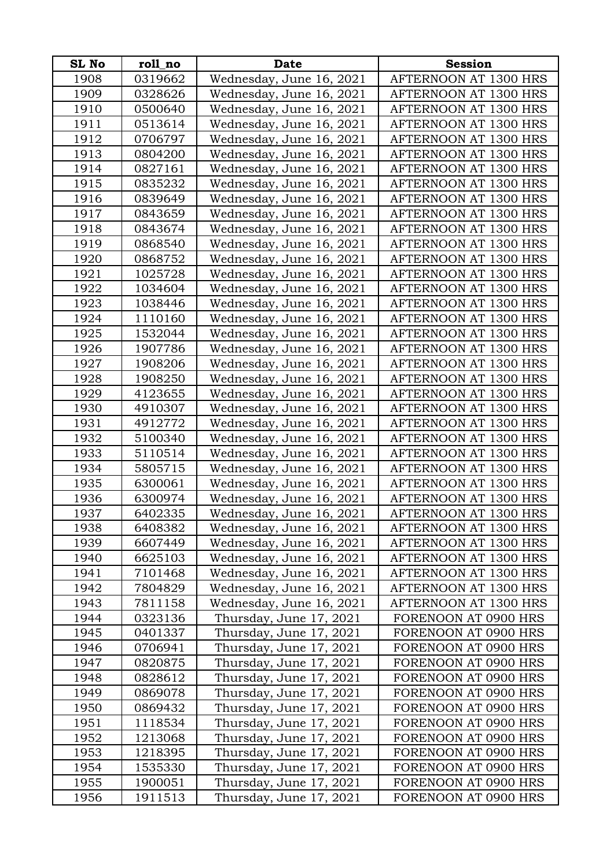| <b>SL No</b> | roll_no | Date                     | <b>Session</b>        |
|--------------|---------|--------------------------|-----------------------|
| 1908         | 0319662 | Wednesday, June 16, 2021 | AFTERNOON AT 1300 HRS |
| 1909         | 0328626 | Wednesday, June 16, 2021 | AFTERNOON AT 1300 HRS |
| 1910         | 0500640 | Wednesday, June 16, 2021 | AFTERNOON AT 1300 HRS |
| 1911         | 0513614 | Wednesday, June 16, 2021 | AFTERNOON AT 1300 HRS |
| 1912         | 0706797 | Wednesday, June 16, 2021 | AFTERNOON AT 1300 HRS |
| 1913         | 0804200 | Wednesday, June 16, 2021 | AFTERNOON AT 1300 HRS |
| 1914         | 0827161 | Wednesday, June 16, 2021 | AFTERNOON AT 1300 HRS |
| 1915         | 0835232 | Wednesday, June 16, 2021 | AFTERNOON AT 1300 HRS |
| 1916         | 0839649 | Wednesday, June 16, 2021 | AFTERNOON AT 1300 HRS |
| 1917         | 0843659 | Wednesday, June 16, 2021 | AFTERNOON AT 1300 HRS |
| 1918         | 0843674 | Wednesday, June 16, 2021 | AFTERNOON AT 1300 HRS |
| 1919         | 0868540 | Wednesday, June 16, 2021 | AFTERNOON AT 1300 HRS |
| 1920         | 0868752 | Wednesday, June 16, 2021 | AFTERNOON AT 1300 HRS |
| 1921         | 1025728 | Wednesday, June 16, 2021 | AFTERNOON AT 1300 HRS |
| 1922         | 1034604 | Wednesday, June 16, 2021 | AFTERNOON AT 1300 HRS |
| 1923         | 1038446 | Wednesday, June 16, 2021 | AFTERNOON AT 1300 HRS |
| 1924         | 1110160 | Wednesday, June 16, 2021 | AFTERNOON AT 1300 HRS |
| 1925         | 1532044 | Wednesday, June 16, 2021 | AFTERNOON AT 1300 HRS |
| 1926         | 1907786 | Wednesday, June 16, 2021 | AFTERNOON AT 1300 HRS |
| 1927         | 1908206 | Wednesday, June 16, 2021 | AFTERNOON AT 1300 HRS |
| 1928         | 1908250 | Wednesday, June 16, 2021 | AFTERNOON AT 1300 HRS |
| 1929         | 4123655 | Wednesday, June 16, 2021 | AFTERNOON AT 1300 HRS |
| 1930         | 4910307 | Wednesday, June 16, 2021 | AFTERNOON AT 1300 HRS |
| 1931         | 4912772 | Wednesday, June 16, 2021 | AFTERNOON AT 1300 HRS |
| 1932         | 5100340 | Wednesday, June 16, 2021 | AFTERNOON AT 1300 HRS |
| 1933         | 5110514 | Wednesday, June 16, 2021 | AFTERNOON AT 1300 HRS |
| 1934         | 5805715 | Wednesday, June 16, 2021 | AFTERNOON AT 1300 HRS |
| 1935         | 6300061 | Wednesday, June 16, 2021 | AFTERNOON AT 1300 HRS |
| 1936         | 6300974 | Wednesday, June 16, 2021 | AFTERNOON AT 1300 HRS |
| 1937         | 6402335 | Wednesday, June 16, 2021 | AFTERNOON AT 1300 HRS |
| 1938         | 6408382 | Wednesday, June 16, 2021 | AFTERNOON AT 1300 HRS |
| 1939         | 6607449 | Wednesday, June 16, 2021 | AFTERNOON AT 1300 HRS |
| 1940         | 6625103 | Wednesday, June 16, 2021 | AFTERNOON AT 1300 HRS |
| 1941         | 7101468 | Wednesday, June 16, 2021 | AFTERNOON AT 1300 HRS |
| 1942         | 7804829 | Wednesday, June 16, 2021 | AFTERNOON AT 1300 HRS |
| 1943         | 7811158 | Wednesday, June 16, 2021 | AFTERNOON AT 1300 HRS |
| 1944         | 0323136 | Thursday, June 17, 2021  | FORENOON AT 0900 HRS  |
| 1945         | 0401337 | Thursday, June 17, 2021  | FORENOON AT 0900 HRS  |
| 1946         | 0706941 | Thursday, June 17, 2021  | FORENOON AT 0900 HRS  |
| 1947         | 0820875 | Thursday, June 17, 2021  | FORENOON AT 0900 HRS  |
| 1948         | 0828612 | Thursday, June 17, 2021  | FORENOON AT 0900 HRS  |
| 1949         | 0869078 | Thursday, June 17, 2021  | FORENOON AT 0900 HRS  |
| 1950         | 0869432 | Thursday, June 17, 2021  | FORENOON AT 0900 HRS  |
| 1951         | 1118534 | Thursday, June 17, 2021  | FORENOON AT 0900 HRS  |
| 1952         | 1213068 | Thursday, June 17, 2021  | FORENOON AT 0900 HRS  |
| 1953         | 1218395 | Thursday, June 17, 2021  | FORENOON AT 0900 HRS  |
| 1954         | 1535330 | Thursday, June 17, 2021  | FORENOON AT 0900 HRS  |
| 1955         | 1900051 | Thursday, June 17, 2021  | FORENOON AT 0900 HRS  |
| 1956         | 1911513 | Thursday, June 17, 2021  | FORENOON AT 0900 HRS  |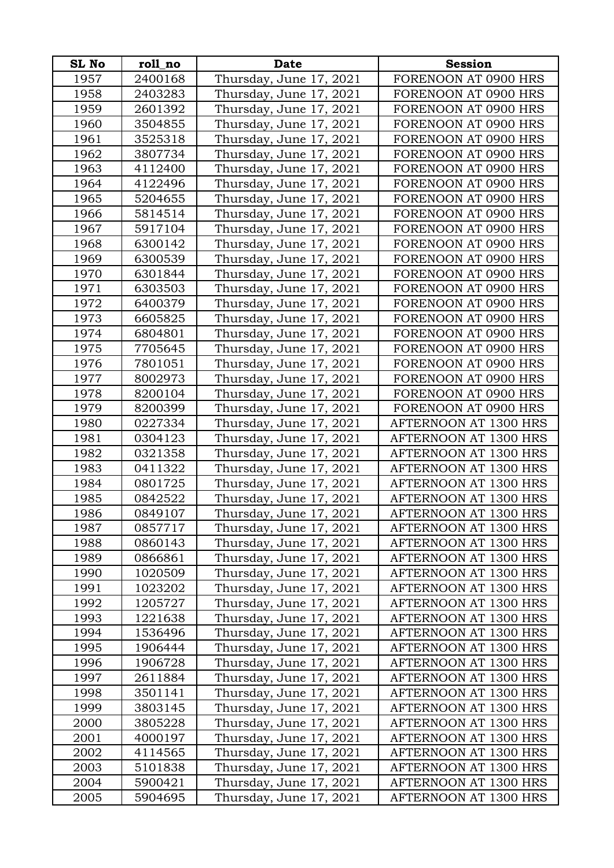| SL No | roll_no | <b>Date</b>             | <b>Session</b>        |
|-------|---------|-------------------------|-----------------------|
| 1957  | 2400168 | Thursday, June 17, 2021 | FORENOON AT 0900 HRS  |
| 1958  | 2403283 | Thursday, June 17, 2021 | FORENOON AT 0900 HRS  |
| 1959  | 2601392 | Thursday, June 17, 2021 | FORENOON AT 0900 HRS  |
| 1960  | 3504855 | Thursday, June 17, 2021 | FORENOON AT 0900 HRS  |
| 1961  | 3525318 | Thursday, June 17, 2021 | FORENOON AT 0900 HRS  |
| 1962  | 3807734 | Thursday, June 17, 2021 | FORENOON AT 0900 HRS  |
| 1963  | 4112400 | Thursday, June 17, 2021 | FORENOON AT 0900 HRS  |
| 1964  | 4122496 | Thursday, June 17, 2021 | FORENOON AT 0900 HRS  |
| 1965  | 5204655 | Thursday, June 17, 2021 | FORENOON AT 0900 HRS  |
| 1966  | 5814514 | Thursday, June 17, 2021 | FORENOON AT 0900 HRS  |
| 1967  | 5917104 | Thursday, June 17, 2021 | FORENOON AT 0900 HRS  |
| 1968  | 6300142 | Thursday, June 17, 2021 | FORENOON AT 0900 HRS  |
| 1969  | 6300539 | Thursday, June 17, 2021 | FORENOON AT 0900 HRS  |
| 1970  | 6301844 | Thursday, June 17, 2021 | FORENOON AT 0900 HRS  |
| 1971  | 6303503 | Thursday, June 17, 2021 | FORENOON AT 0900 HRS  |
| 1972  | 6400379 | Thursday, June 17, 2021 | FORENOON AT 0900 HRS  |
| 1973  | 6605825 | Thursday, June 17, 2021 | FORENOON AT 0900 HRS  |
| 1974  | 6804801 | Thursday, June 17, 2021 | FORENOON AT 0900 HRS  |
| 1975  | 7705645 | Thursday, June 17, 2021 | FORENOON AT 0900 HRS  |
| 1976  | 7801051 | Thursday, June 17, 2021 | FORENOON AT 0900 HRS  |
| 1977  | 8002973 | Thursday, June 17, 2021 | FORENOON AT 0900 HRS  |
| 1978  | 8200104 | Thursday, June 17, 2021 | FORENOON AT 0900 HRS  |
| 1979  | 8200399 | Thursday, June 17, 2021 | FORENOON AT 0900 HRS  |
| 1980  | 0227334 | Thursday, June 17, 2021 | AFTERNOON AT 1300 HRS |
| 1981  | 0304123 | Thursday, June 17, 2021 | AFTERNOON AT 1300 HRS |
| 1982  | 0321358 | Thursday, June 17, 2021 | AFTERNOON AT 1300 HRS |
| 1983  | 0411322 | Thursday, June 17, 2021 | AFTERNOON AT 1300 HRS |
| 1984  | 0801725 | Thursday, June 17, 2021 | AFTERNOON AT 1300 HRS |
| 1985  | 0842522 | Thursday, June 17, 2021 | AFTERNOON AT 1300 HRS |
| 1986  | 0849107 | Thursday, June 17, 2021 | AFTERNOON AT 1300 HRS |
| 1987  | 0857717 | Thursday, June 17, 2021 | AFTERNOON AT 1300 HRS |
| 1988  | 0860143 | Thursday, June 17, 2021 | AFTERNOON AT 1300 HRS |
| 1989  | 0866861 | Thursday, June 17, 2021 | AFTERNOON AT 1300 HRS |
| 1990  | 1020509 | Thursday, June 17, 2021 | AFTERNOON AT 1300 HRS |
| 1991  | 1023202 | Thursday, June 17, 2021 | AFTERNOON AT 1300 HRS |
| 1992  | 1205727 | Thursday, June 17, 2021 | AFTERNOON AT 1300 HRS |
| 1993  | 1221638 | Thursday, June 17, 2021 | AFTERNOON AT 1300 HRS |
| 1994  | 1536496 | Thursday, June 17, 2021 | AFTERNOON AT 1300 HRS |
| 1995  | 1906444 | Thursday, June 17, 2021 | AFTERNOON AT 1300 HRS |
| 1996  | 1906728 | Thursday, June 17, 2021 | AFTERNOON AT 1300 HRS |
| 1997  | 2611884 | Thursday, June 17, 2021 | AFTERNOON AT 1300 HRS |
| 1998  | 3501141 | Thursday, June 17, 2021 | AFTERNOON AT 1300 HRS |
| 1999  | 3803145 | Thursday, June 17, 2021 | AFTERNOON AT 1300 HRS |
| 2000  | 3805228 | Thursday, June 17, 2021 | AFTERNOON AT 1300 HRS |
| 2001  | 4000197 | Thursday, June 17, 2021 | AFTERNOON AT 1300 HRS |
| 2002  | 4114565 | Thursday, June 17, 2021 | AFTERNOON AT 1300 HRS |
| 2003  | 5101838 | Thursday, June 17, 2021 | AFTERNOON AT 1300 HRS |
| 2004  | 5900421 | Thursday, June 17, 2021 | AFTERNOON AT 1300 HRS |
| 2005  | 5904695 | Thursday, June 17, 2021 | AFTERNOON AT 1300 HRS |